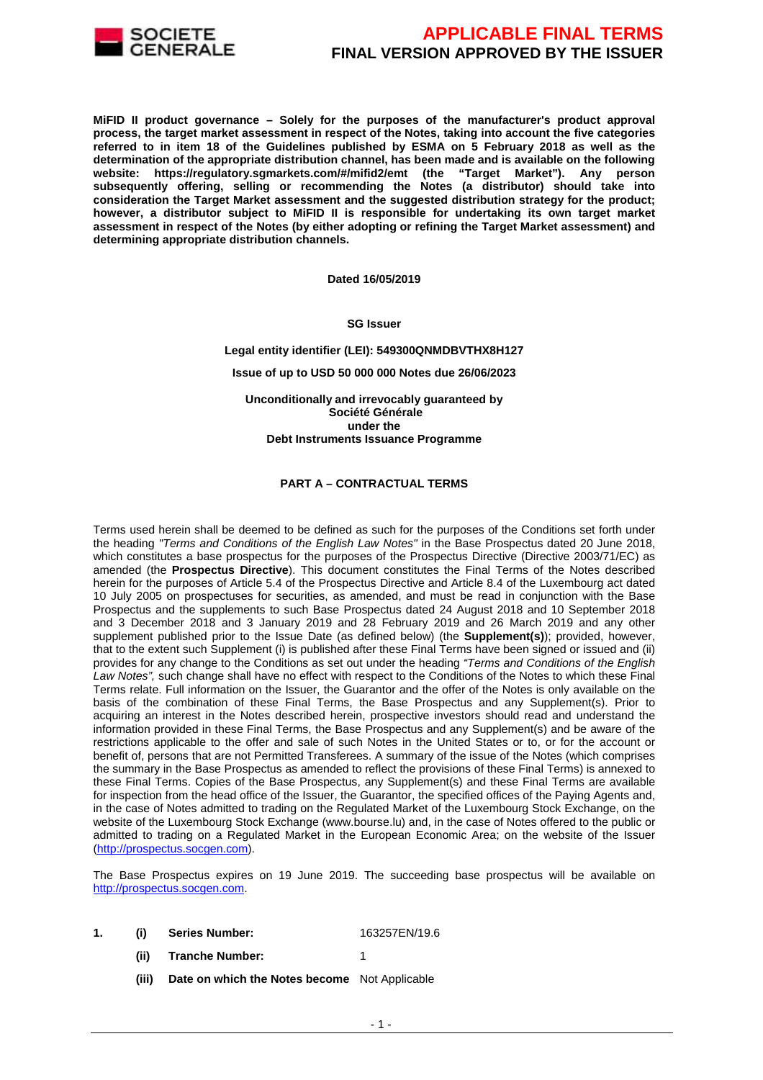

**MiFID II product governance – Solely for the purposes of the manufacturer's product approval process, the target market assessment in respect of the Notes, taking into account the five categories referred to in item 18 of the Guidelines published by ESMA on 5 February 2018 as well as the determination of the appropriate distribution channel, has been made and is available on the following website: https://regulatory.sgmarkets.com/#/mifid2/emt (the "Target Market"). Any person subsequently offering, selling or recommending the Notes (a distributor) should take into consideration the Target Market assessment and the suggested distribution strategy for the product; however, a distributor subject to MiFID II is responsible for undertaking its own target market assessment in respect of the Notes (by either adopting or refining the Target Market assessment) and determining appropriate distribution channels.** 

**Dated 16/05/2019**

**SG Issuer** 

**Legal entity identifier (LEI): 549300QNMDBVTHX8H127**

**Issue of up to USD 50 000 000 Notes due 26/06/2023** 

**Unconditionally and irrevocably guaranteed by Société Générale under the Debt Instruments Issuance Programme**

#### **PART A – CONTRACTUAL TERMS**

Terms used herein shall be deemed to be defined as such for the purposes of the Conditions set forth under the heading "Terms and Conditions of the English Law Notes" in the Base Prospectus dated 20 June 2018, which constitutes a base prospectus for the purposes of the Prospectus Directive (Directive 2003/71/EC) as amended (the **Prospectus Directive**). This document constitutes the Final Terms of the Notes described herein for the purposes of Article 5.4 of the Prospectus Directive and Article 8.4 of the Luxembourg act dated 10 July 2005 on prospectuses for securities, as amended, and must be read in conjunction with the Base Prospectus and the supplements to such Base Prospectus dated 24 August 2018 and 10 September 2018 and 3 December 2018 and 3 January 2019 and 28 February 2019 and 26 March 2019 and any other supplement published prior to the Issue Date (as defined below) (the **Supplement(s)**); provided, however, that to the extent such Supplement (i) is published after these Final Terms have been signed or issued and (ii) provides for any change to the Conditions as set out under the heading "Terms and Conditions of the English Law Notes", such change shall have no effect with respect to the Conditions of the Notes to which these Final Terms relate. Full information on the Issuer, the Guarantor and the offer of the Notes is only available on the basis of the combination of these Final Terms, the Base Prospectus and any Supplement(s). Prior to acquiring an interest in the Notes described herein, prospective investors should read and understand the information provided in these Final Terms, the Base Prospectus and any Supplement(s) and be aware of the restrictions applicable to the offer and sale of such Notes in the United States or to, or for the account or benefit of, persons that are not Permitted Transferees. A summary of the issue of the Notes (which comprises the summary in the Base Prospectus as amended to reflect the provisions of these Final Terms) is annexed to these Final Terms. Copies of the Base Prospectus, any Supplement(s) and these Final Terms are available for inspection from the head office of the Issuer, the Guarantor, the specified offices of the Paying Agents and, in the case of Notes admitted to trading on the Regulated Market of the Luxembourg Stock Exchange, on the website of the Luxembourg Stock Exchange (www.bourse.lu) and, in the case of Notes offered to the public or admitted to trading on a Regulated Market in the European Economic Area; on the website of the Issuer (http://prospectus.socgen.com).

The Base Prospectus expires on 19 June 2019. The succeeding base prospectus will be available on http://prospectus.socgen.com.

- **1. (i) Series Number:** 163257EN/19.6
	- **(ii) Tranche Number:** 1
	- **(iii) Date on which the Notes become** Not Applicable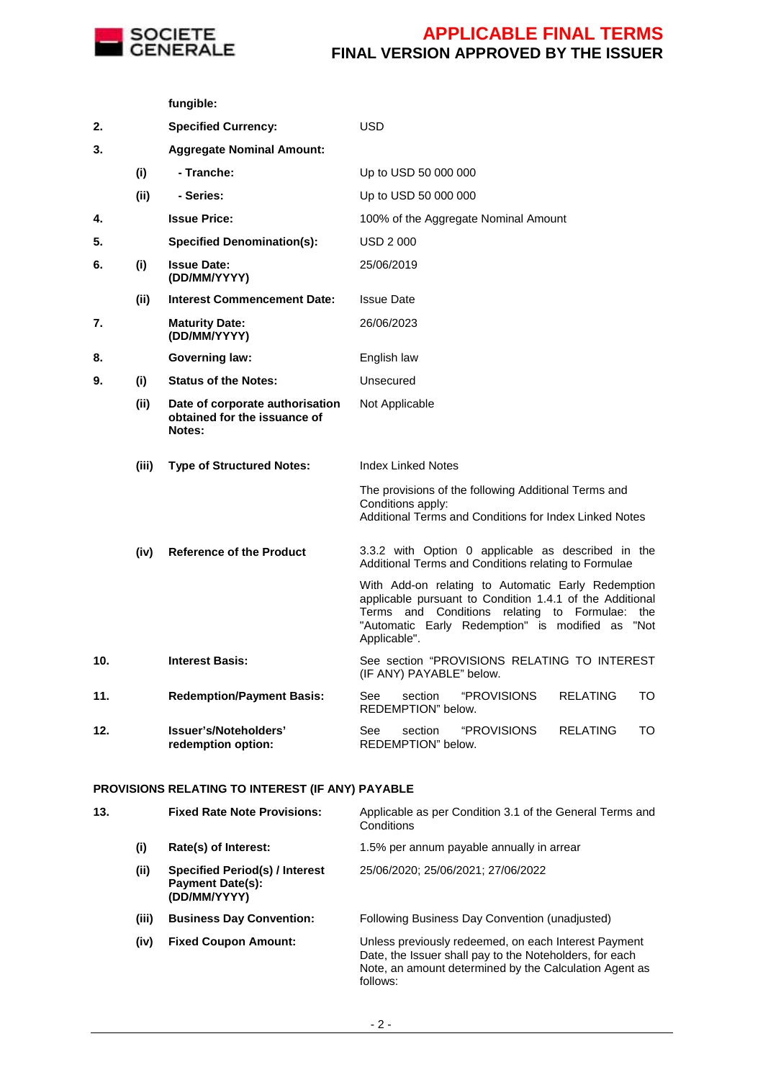

**fungible:**

### **APPLICABLE FINAL TERMS FINAL VERSION APPROVED BY THE ISSUER**

**2. Specified Currency:** USD **3. Aggregate Nominal Amount: (i) - Tranche:** Up to USD 50 000 000 **(ii) - Series:** Up to USD 50 000 000 **4. Issue Price:** 100% of the Aggregate Nominal Amount **5. Specified Denomination(s):** USD 2 000 **6. (i) Issue Date: (DD/MM/YYYY)** 25/06/2019 **(ii) Interest Commencement Date:** Issue Date **7. Maturity Date: (DD/MM/YYYY)** 26/06/2023 **8. Governing law:** English law **9. (i) Status of the Notes:** Unsecured **(ii) Date of corporate authorisation obtained for the issuance of Notes:**  Not Applicable **(iii) Type of Structured Notes:** Index Linked Notes The provisions of the following Additional Terms and Conditions apply: Additional Terms and Conditions for Index Linked Notes **(iv) Reference of the Product** 3.3.2 with Option 0 applicable as described in the Additional Terms and Conditions relating to Formulae With Add-on relating to Automatic Early Redemption applicable pursuant to Condition 1.4.1 of the Additional Terms and Conditions relating to Formulae: the "Automatic Early Redemption" is modified as "Not Applicable". **10. Interest Basis:** See section "PROVISIONS RELATING TO INTEREST (IF ANY) PAYABLE" below. **11. Redemption/Payment Basis:** See section "PROVISIONS RELATING TO REDEMPTION" below. **12. Issuer's/Noteholders' redemption option:** See section "PROVISIONS RELATING TO REDEMPTION" below.

#### **PROVISIONS RELATING TO INTEREST (IF ANY) PAYABLE**

| 13. |       | <b>Fixed Rate Note Provisions:</b>                                        | Applicable as per Condition 3.1 of the General Terms and<br>Conditions                                                                                                                |
|-----|-------|---------------------------------------------------------------------------|---------------------------------------------------------------------------------------------------------------------------------------------------------------------------------------|
|     | (i)   | Rate(s) of Interest:                                                      | 1.5% per annum payable annually in arrear                                                                                                                                             |
|     | (ii)  | Specified Period(s) / Interest<br><b>Payment Date(s):</b><br>(DD/MM/YYYY) | 25/06/2020; 25/06/2021; 27/06/2022                                                                                                                                                    |
|     | (iii) | <b>Business Day Convention:</b>                                           | Following Business Day Convention (unadjusted)                                                                                                                                        |
|     | (iv)  | <b>Fixed Coupon Amount:</b>                                               | Unless previously redeemed, on each Interest Payment<br>Date, the Issuer shall pay to the Noteholders, for each<br>Note, an amount determined by the Calculation Agent as<br>follows: |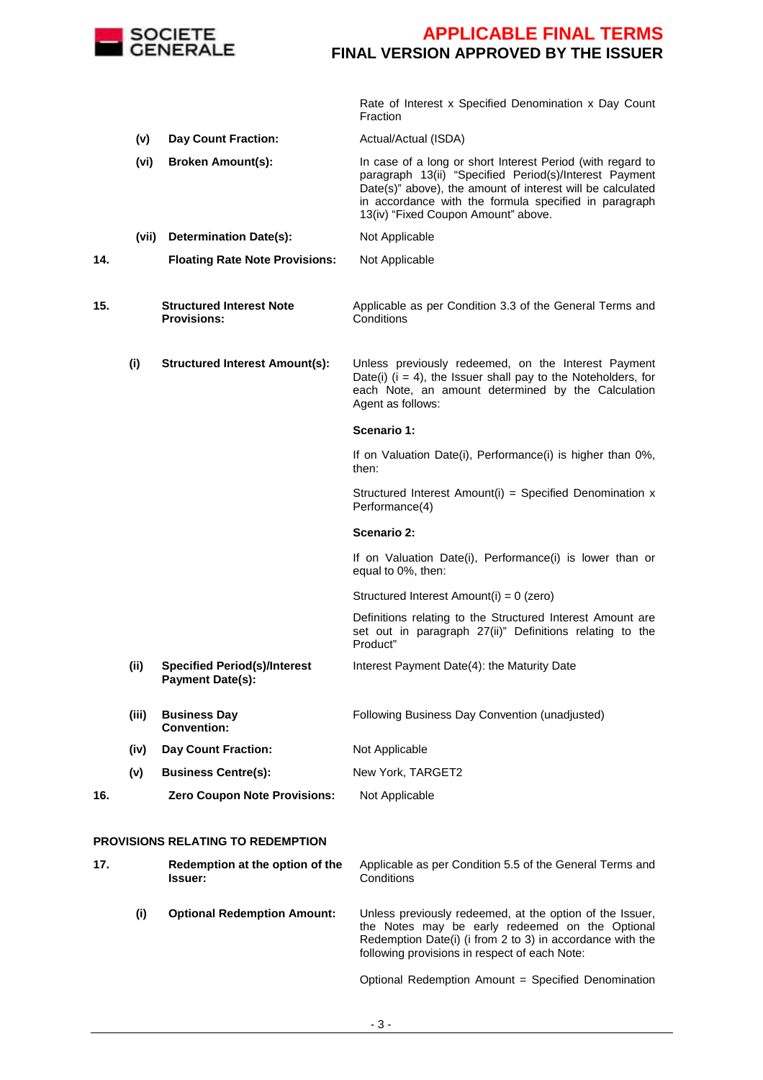

 Rate of Interest x Specified Denomination x Day Count Fraction

- **(v) Day Count Fraction:** Actual/Actual (ISDA)
- **(vi) Broken Amount(s):** In case of a long or short Interest Period (with regard to paragraph 13(ii) "Specified Period(s)/Interest Payment Date(s)" above), the amount of interest will be calculated in accordance with the formula specified in paragraph 13(iv) "Fixed Coupon Amount" above. **(vii) Determination Date(s):** Not Applicable
- **14. Floating Rate Note Provisions:** Not Applicable

**15. Structured Interest Note Provisions:** Applicable as per Condition 3.3 of the General Terms and **Conditions** 

**(i) Structured Interest Amount(s):** Unless previously redeemed, on the Interest Payment Date(i)  $(i = 4)$ , the Issuer shall pay to the Noteholders, for each Note, an amount determined by the Calculation Agent as follows:

#### **Scenario 1:**

If on Valuation Date(i), Performance(i) is higher than 0%, then:

Structured Interest Amount(i) = Specified Denomination x Performance(4)

#### **Scenario 2:**

If on Valuation Date(i), Performance(i) is lower than or equal to 0%, then:

Structured Interest Amount(i) = 0 (zero)

 Definitions relating to the Structured Interest Amount are set out in paragraph 27(ii)" Definitions relating to the Product"

- **(ii) Specified Period(s)/Interest Payment Date(s):**  Interest Payment Date(4): the Maturity Date
- **(iii) Business Day Convention:** Following Business Day Convention (unadjusted) **(iv) Day Count Fraction:** Not Applicable
- **(v) Business Centre(s):** New York, TARGET2

#### **16. Zero Coupon Note Provisions:** Not Applicable

#### **PROVISIONS RELATING TO REDEMPTION**

| 17. |     | Redemption at the option of the<br><b>Issuer:</b> | Applicable as per Condition 5.5 of the General Terms and<br>Conditions                                                                                                                                                    |  |
|-----|-----|---------------------------------------------------|---------------------------------------------------------------------------------------------------------------------------------------------------------------------------------------------------------------------------|--|
|     | (i) | <b>Optional Redemption Amount:</b>                | Unless previously redeemed, at the option of the Issuer,<br>the Notes may be early redeemed on the Optional<br>Redemption Date(i) (i from 2 to 3) in accordance with the<br>following provisions in respect of each Note: |  |

Optional Redemption Amount = Specified Denomination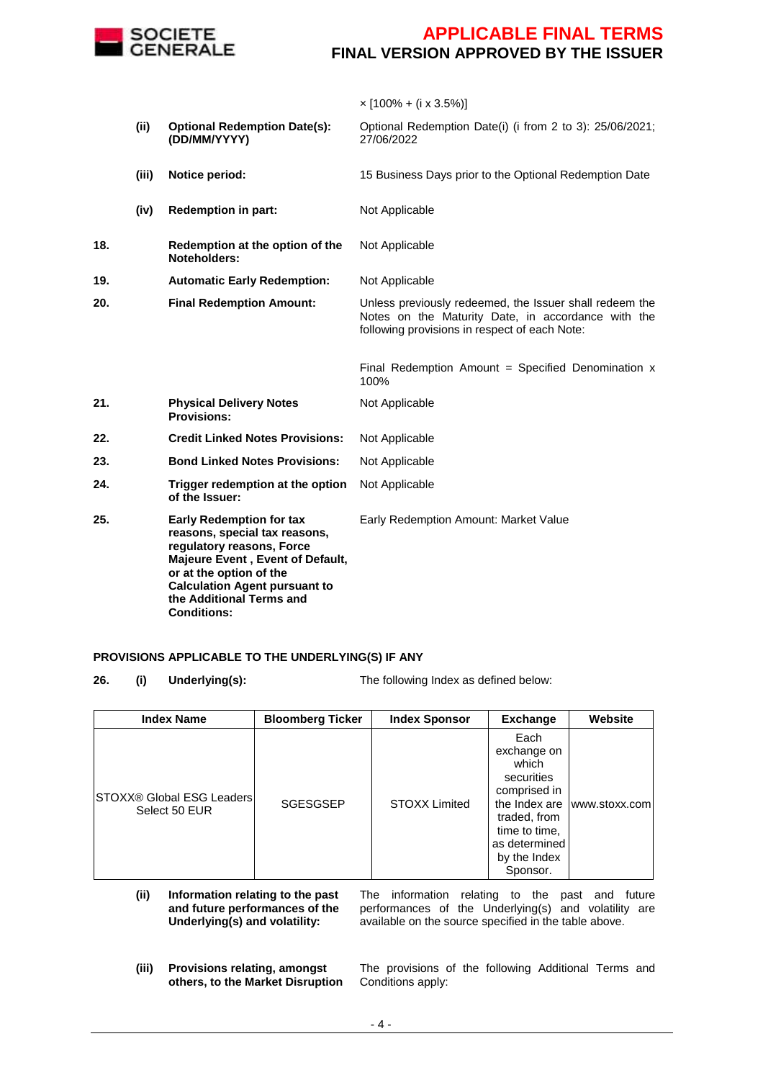

 $\times$  [100% + (i x 3.5%)]

|     | (ii)  | <b>Optional Redemption Date(s):</b><br>(DD/MM/YYYY)                                                                                                                                                                                                    | Optional Redemption Date(i) (i from 2 to 3): 25/06/2021;<br>27/06/2022                                                                                         |
|-----|-------|--------------------------------------------------------------------------------------------------------------------------------------------------------------------------------------------------------------------------------------------------------|----------------------------------------------------------------------------------------------------------------------------------------------------------------|
|     | (iii) | Notice period:                                                                                                                                                                                                                                         | 15 Business Days prior to the Optional Redemption Date                                                                                                         |
|     | (iv)  | <b>Redemption in part:</b>                                                                                                                                                                                                                             | Not Applicable                                                                                                                                                 |
| 18. |       | Redemption at the option of the<br>Noteholders:                                                                                                                                                                                                        | Not Applicable                                                                                                                                                 |
| 19. |       | <b>Automatic Early Redemption:</b>                                                                                                                                                                                                                     | Not Applicable                                                                                                                                                 |
| 20. |       | <b>Final Redemption Amount:</b>                                                                                                                                                                                                                        | Unless previously redeemed, the Issuer shall redeem the<br>Notes on the Maturity Date, in accordance with the<br>following provisions in respect of each Note: |
|     |       |                                                                                                                                                                                                                                                        | Final Redemption Amount = Specified Denomination $x$<br>100%                                                                                                   |
| 21. |       | <b>Physical Delivery Notes</b><br><b>Provisions:</b>                                                                                                                                                                                                   | Not Applicable                                                                                                                                                 |
| 22. |       | <b>Credit Linked Notes Provisions:</b>                                                                                                                                                                                                                 | Not Applicable                                                                                                                                                 |
| 23. |       | <b>Bond Linked Notes Provisions:</b>                                                                                                                                                                                                                   | Not Applicable                                                                                                                                                 |
| 24. |       | Trigger redemption at the option<br>of the Issuer:                                                                                                                                                                                                     | Not Applicable                                                                                                                                                 |
| 25. |       | <b>Early Redemption for tax</b><br>reasons, special tax reasons,<br>regulatory reasons, Force<br>Majeure Event, Event of Default,<br>or at the option of the<br><b>Calculation Agent pursuant to</b><br>the Additional Terms and<br><b>Conditions:</b> | Early Redemption Amount: Market Value                                                                                                                          |

#### **PROVISIONS APPLICABLE TO THE UNDERLYING(S) IF ANY**

**26. (i) Underlying(s):** The following Index as defined below:

| <b>Index Name</b>                                 | <b>Bloomberg Ticker</b> | <b>Index Sponsor</b> | <b>Exchange</b>                                                                                                                          | <b>Website</b>              |
|---------------------------------------------------|-------------------------|----------------------|------------------------------------------------------------------------------------------------------------------------------------------|-----------------------------|
| <b>STOXX® Global ESG Leaders</b><br>Select 50 EUR | <b>SGESGSEP</b>         | <b>STOXX Limited</b> | Each<br>exchange on<br>which<br>securities<br>comprised in<br>traded, from<br>time to time,<br>as determined<br>by the Index<br>Sponsor. | the Index are www.stoxx.com |

- **(ii) Information relating to the past and future performances of the Underlying(s) and volatility:** The information relating to the past and future performances of the Underlying(s) and volatility are available on the source specified in the table above.
- **(iii) Provisions relating, amongst others, to the Market Disruption**

The provisions of the following Additional Terms and Conditions apply: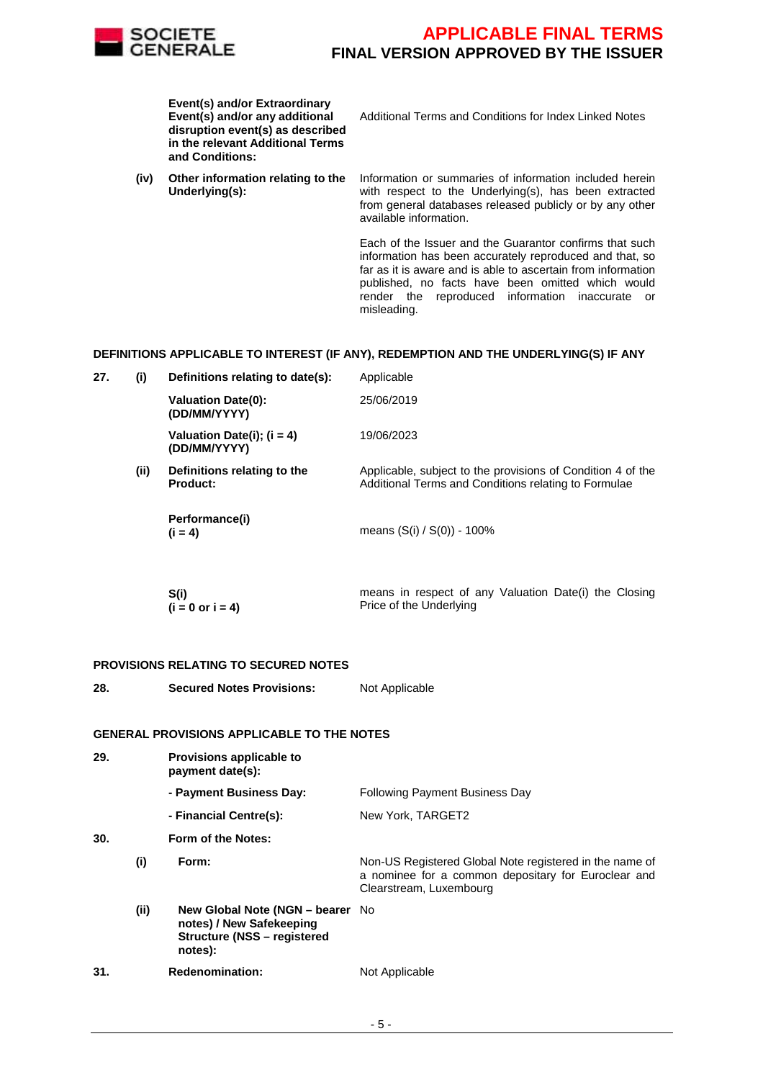

**Event(s) and/or Extraordinary Event(s) and/or any additional disruption event(s) as described in the relevant Additional Terms and Conditions:**

**(iv) Other information relating to the Underlying(s):**

Additional Terms and Conditions for Index Linked Notes

Information or summaries of information included herein with respect to the Underlying(s), has been extracted from general databases released publicly or by any other available information.

Each of the Issuer and the Guarantor confirms that such information has been accurately reproduced and that, so far as it is aware and is able to ascertain from information published, no facts have been omitted which would render the reproduced information inaccurate or misleading.

#### **DEFINITIONS APPLICABLE TO INTEREST (IF ANY), REDEMPTION AND THE UNDERLYING(S) IF ANY**

| 27. | (i)  | Definitions relating to date(s):               | Applicable                                                                                                          |
|-----|------|------------------------------------------------|---------------------------------------------------------------------------------------------------------------------|
|     |      | <b>Valuation Date(0):</b><br>(DD/MM/YYYY)      | 25/06/2019                                                                                                          |
|     |      | Valuation Date(i); $(i = 4)$<br>(DD/MM/YYYY)   | 19/06/2023                                                                                                          |
|     | (ii) | Definitions relating to the<br><b>Product:</b> | Applicable, subject to the provisions of Condition 4 of the<br>Additional Terms and Conditions relating to Formulae |
|     |      | Performance(i)<br>$(i = 4)$                    | means $(S(i) / S(0)) - 100\%$                                                                                       |

| S(i)                        | means in respect of any Valuation Date(i) the Closing |
|-----------------------------|-------------------------------------------------------|
| $(i = 0 \text{ or } i = 4)$ | Price of the Underlying                               |

#### **PROVISIONS RELATING TO SECURED NOTES**

**28. Secured Notes Provisions:** Not Applicable

#### **GENERAL PROVISIONS APPLICABLE TO THE NOTES**

| 29. |      | Provisions applicable to<br>payment date(s):                                                                  |                                                                                                                                           |
|-----|------|---------------------------------------------------------------------------------------------------------------|-------------------------------------------------------------------------------------------------------------------------------------------|
|     |      | - Payment Business Day:                                                                                       | <b>Following Payment Business Day</b>                                                                                                     |
|     |      | - Financial Centre(s):                                                                                        | New York, TARGET2                                                                                                                         |
| 30. |      | Form of the Notes:                                                                                            |                                                                                                                                           |
|     | (i)  | Form:                                                                                                         | Non-US Registered Global Note registered in the name of<br>a nominee for a common depositary for Euroclear and<br>Clearstream, Luxembourg |
|     | (ii) | New Global Note (NGN – bearer No<br>notes) / New Safekeeping<br><b>Structure (NSS - registered</b><br>notes): |                                                                                                                                           |
| 31. |      | <b>Redenomination:</b>                                                                                        | Not Applicable                                                                                                                            |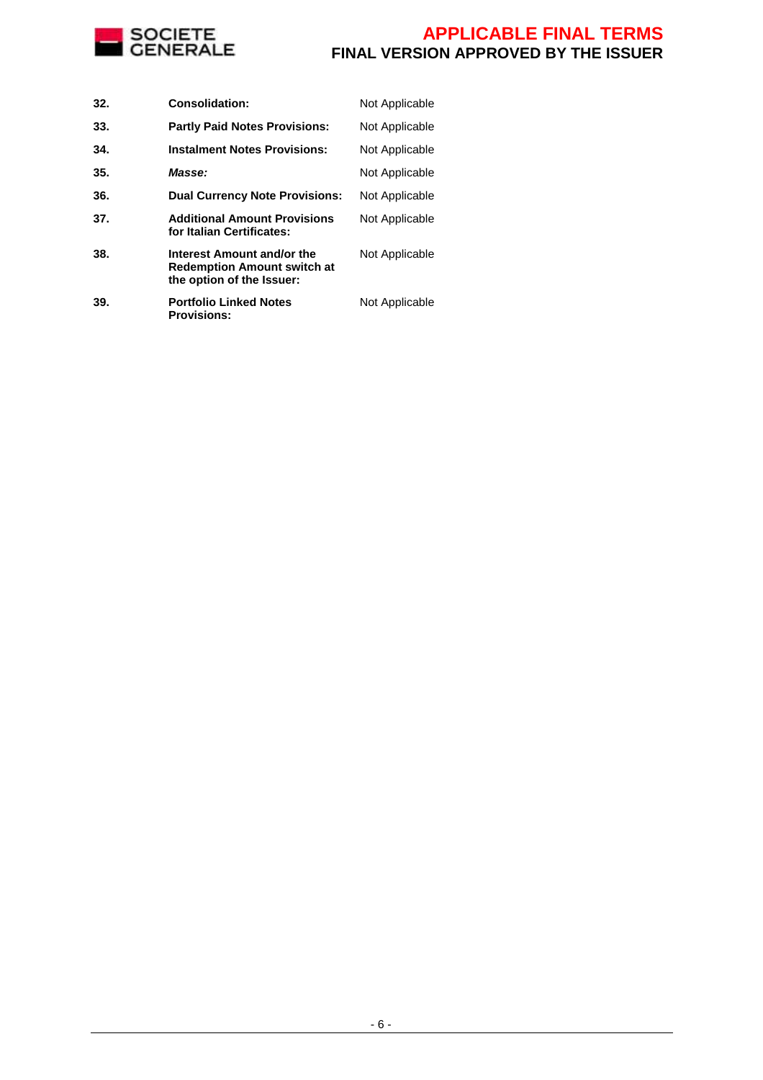

| 32. | <b>Consolidation:</b>                                                                         | Not Applicable |
|-----|-----------------------------------------------------------------------------------------------|----------------|
| 33. | <b>Partly Paid Notes Provisions:</b>                                                          | Not Applicable |
| 34. | <b>Instalment Notes Provisions:</b>                                                           | Not Applicable |
| 35. | Masse:                                                                                        | Not Applicable |
| 36. | <b>Dual Currency Note Provisions:</b>                                                         | Not Applicable |
| 37. | <b>Additional Amount Provisions</b><br>for Italian Certificates:                              | Not Applicable |
| 38. | Interest Amount and/or the<br><b>Redemption Amount switch at</b><br>the option of the Issuer: | Not Applicable |
| 39. | <b>Portfolio Linked Notes</b><br><b>Provisions:</b>                                           | Not Applicable |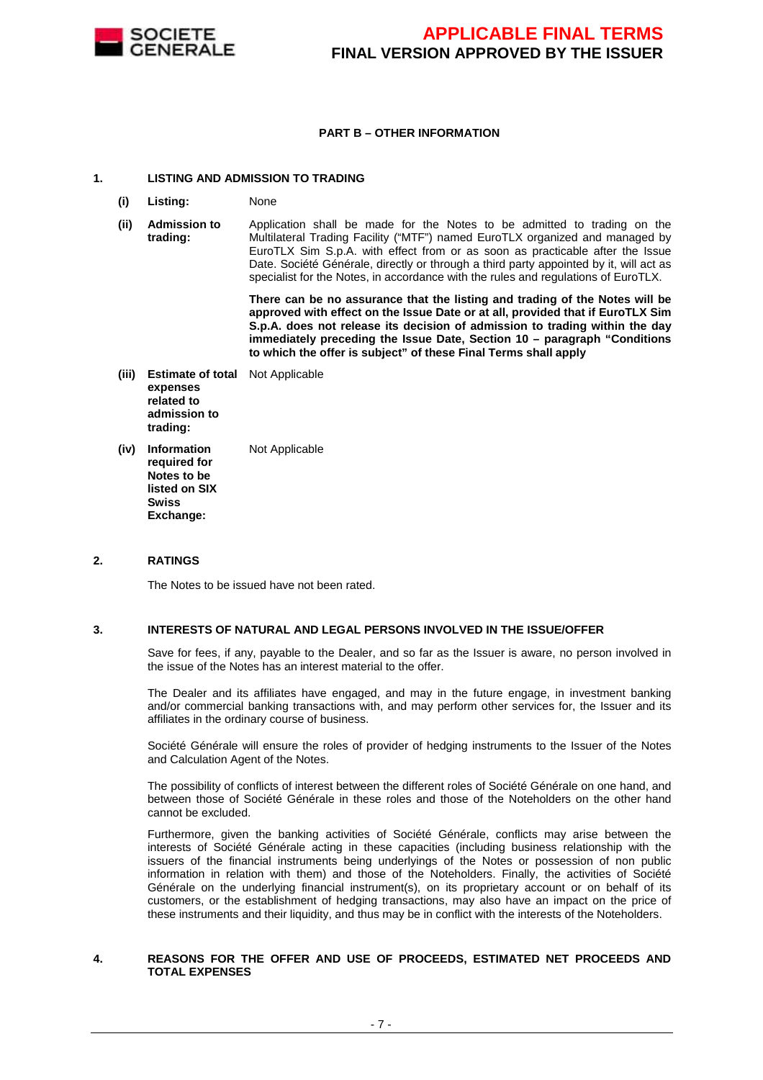

#### **PART B – OTHER INFORMATION**

#### **1. LISTING AND ADMISSION TO TRADING**

- **(i) Listing:** None
- **(ii) Admission to trading:** Application shall be made for the Notes to be admitted to trading on the Multilateral Trading Facility ("MTF") named EuroTLX organized and managed by EuroTLX Sim S.p.A. with effect from or as soon as practicable after the Issue Date. Société Générale, directly or through a third party appointed by it, will act as specialist for the Notes, in accordance with the rules and regulations of EuroTLX.

 **There can be no assurance that the listing and trading of the Notes will be approved with effect on the Issue Date or at all, provided that if EuroTLX Sim S.p.A. does not release its decision of admission to trading within the day immediately preceding the Issue Date, Section 10 – paragraph "Conditions to which the offer is subject" of these Final Terms shall apply**

- **(iii) Estimate of total**  Not Applicable **expenses related to admission to trading:**
- **(iv) Information required for Notes to be listed on SIX Swiss Exchange:** Not Applicable

#### **2. RATINGS**

The Notes to be issued have not been rated.

#### **3. INTERESTS OF NATURAL AND LEGAL PERSONS INVOLVED IN THE ISSUE/OFFER**

 Save for fees, if any, payable to the Dealer, and so far as the Issuer is aware, no person involved in the issue of the Notes has an interest material to the offer.

The Dealer and its affiliates have engaged, and may in the future engage, in investment banking and/or commercial banking transactions with, and may perform other services for, the Issuer and its affiliates in the ordinary course of business.

Société Générale will ensure the roles of provider of hedging instruments to the Issuer of the Notes and Calculation Agent of the Notes.

The possibility of conflicts of interest between the different roles of Société Générale on one hand, and between those of Société Générale in these roles and those of the Noteholders on the other hand cannot be excluded.

 Furthermore, given the banking activities of Société Générale, conflicts may arise between the interests of Société Générale acting in these capacities (including business relationship with the issuers of the financial instruments being underlyings of the Notes or possession of non public information in relation with them) and those of the Noteholders. Finally, the activities of Société Générale on the underlying financial instrument(s), on its proprietary account or on behalf of its customers, or the establishment of hedging transactions, may also have an impact on the price of these instruments and their liquidity, and thus may be in conflict with the interests of the Noteholders.

#### **4. REASONS FOR THE OFFER AND USE OF PROCEEDS, ESTIMATED NET PROCEEDS AND TOTAL EXPENSES**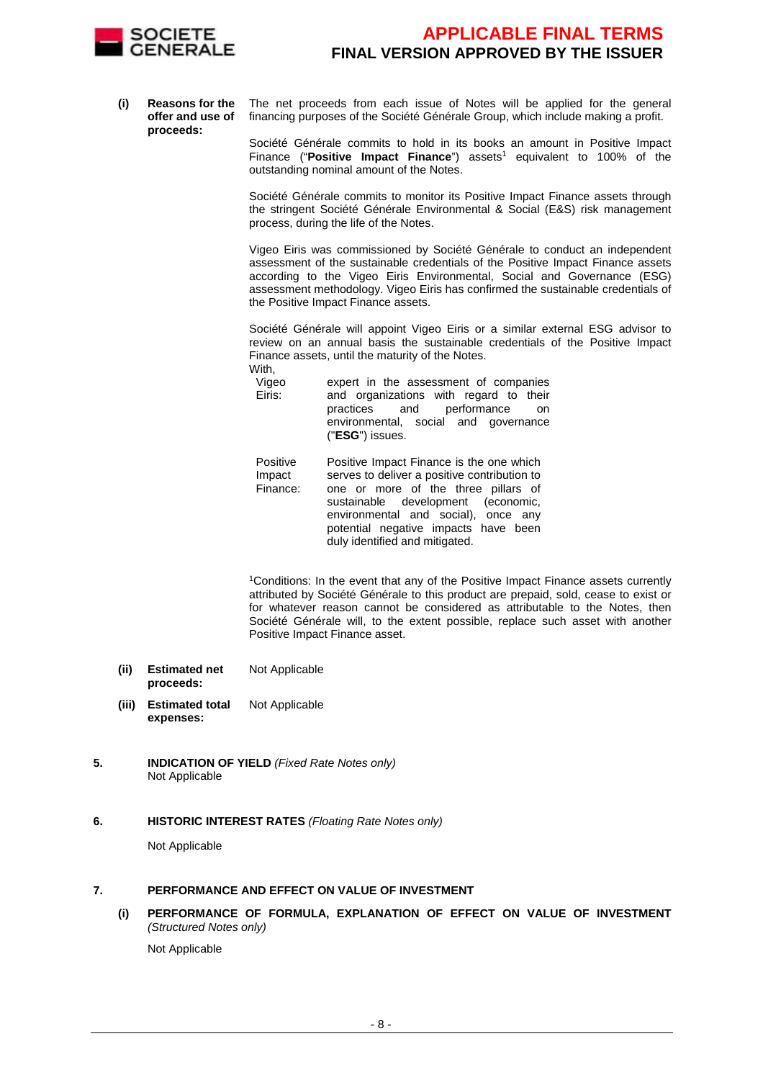

**(i) Reasons for the offer and use of proceeds:** The net proceeds from each issue of Notes will be applied for the general financing purposes of the Société Générale Group, which include making a profit.

> Société Générale commits to hold in its books an amount in Positive Impact Finance ("Positive Impact Finance") assets<sup>1</sup> equivalent to 100% of the outstanding nominal amount of the Notes.

> Société Générale commits to monitor its Positive Impact Finance assets through the stringent Société Générale Environmental & Social (E&S) risk management process, during the life of the Notes.

> Vigeo Eiris was commissioned by Société Générale to conduct an independent assessment of the sustainable credentials of the Positive Impact Finance assets according to the Vigeo Eiris Environmental, Social and Governance (ESG) assessment methodology. Vigeo Eiris has confirmed the sustainable credentials of the Positive Impact Finance assets.

> Société Générale will appoint Vigeo Eiris or a similar external ESG advisor to review on an annual basis the sustainable credentials of the Positive Impact Finance assets, until the maturity of the Notes. With,

| Vigeo  | expert in the assessment of companies  |
|--------|----------------------------------------|
| Eiris: | and organizations with regard to their |
|        | practices and performance on           |
|        | environmental, social and governance   |
|        | (" <b>ESG</b> ") issues.               |

| Positive | Positive Impact Finance is the one which     |
|----------|----------------------------------------------|
| Impact   | serves to deliver a positive contribution to |
| Finance: | one or more of the three pillars of          |
|          | sustainable development (economic,           |
|          | environmental and social), once any          |
|          | potential negative impacts have been         |
|          | duly identified and mitigated.               |

<sup>1</sup>Conditions: In the event that any of the Positive Impact Finance assets currently attributed by Société Générale to this product are prepaid, sold, cease to exist or for whatever reason cannot be considered as attributable to the Notes, then Société Générale will, to the extent possible, replace such asset with another Positive Impact Finance asset.

- **(ii) Estimated net proceeds:** Not Applicable
- **(iii) Estimated total expenses:** Not Applicable
- **5. INDICATION OF YIELD** (Fixed Rate Notes only) Not Applicable
- **6. HISTORIC INTEREST RATES** (Floating Rate Notes only)

Not Applicable

#### **7. PERFORMANCE AND EFFECT ON VALUE OF INVESTMENT**

**(i) PERFORMANCE OF FORMULA, EXPLANATION OF EFFECT ON VALUE OF INVESTMENT**  (Structured Notes only)

Not Applicable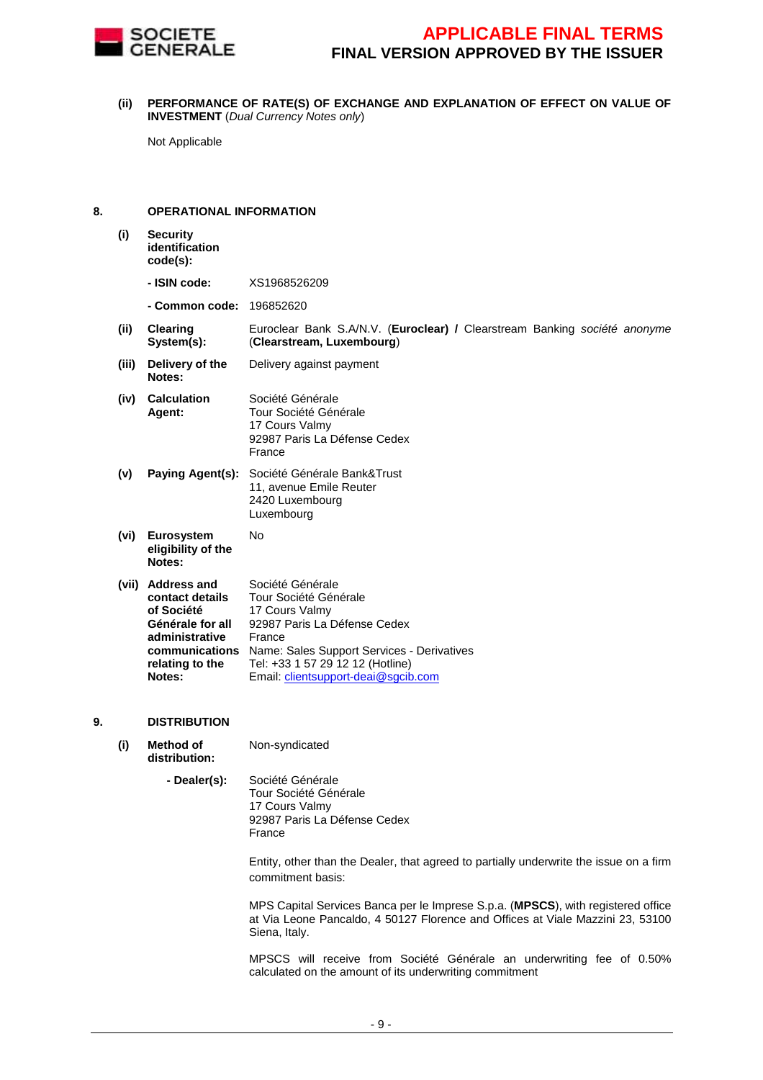

**(ii) PERFORMANCE OF RATE(S) OF EXCHANGE AND EXPLANATION OF EFFECT ON VALUE OF INVESTMENT** (Dual Currency Notes only)

Not Applicable

#### **8. OPERATIONAL INFORMATION**

- **(i) Security identification code(s):**
	- **ISIN code:** XS1968526209
	- **Common code:** 196852620
- **(ii) Clearing System(s):** Euroclear Bank S.A/N.V. (**Euroclear) /** Clearstream Banking société anonyme (**Clearstream, Luxembourg**)
- **(iii) Delivery of the Notes:** Delivery against payment
- **(iv) Calculation Agent:** Société Générale Tour Société Générale 17 Cours Valmy 92987 Paris La Défense Cedex France
- **(v) Paying Agent(s):** Société Générale Bank&Trust 11, avenue Emile Reuter 2420 Luxembourg Luxembourg

No

- **(vi) Eurosystem eligibility of the Notes:**
- **(vii) Address and contact details of Société Générale for all administrative communications**  Name: Sales Support Services - Derivatives **relating to the Notes:** Société Générale Tour Société Générale 17 Cours Valmy 92987 Paris La Défense Cedex France Tel: +33 1 57 29 12 12 (Hotline) Email: clientsupport-deai@sgcib.com

#### **9. DISTRIBUTION**

- **(i) Method of distribution:** Non-syndicated
	- **Dealer(s):** Société Générale Tour Société Générale 17 Cours Valmy 92987 Paris La Défense Cedex
		- France

Entity, other than the Dealer, that agreed to partially underwrite the issue on a firm commitment basis:

MPS Capital Services Banca per le Imprese S.p.a. (**MPSCS**), with registered office at Via Leone Pancaldo, 4 50127 Florence and Offices at Viale Mazzini 23, 53100 Siena, Italy.

MPSCS will receive from Société Générale an underwriting fee of 0.50% calculated on the amount of its underwriting commitment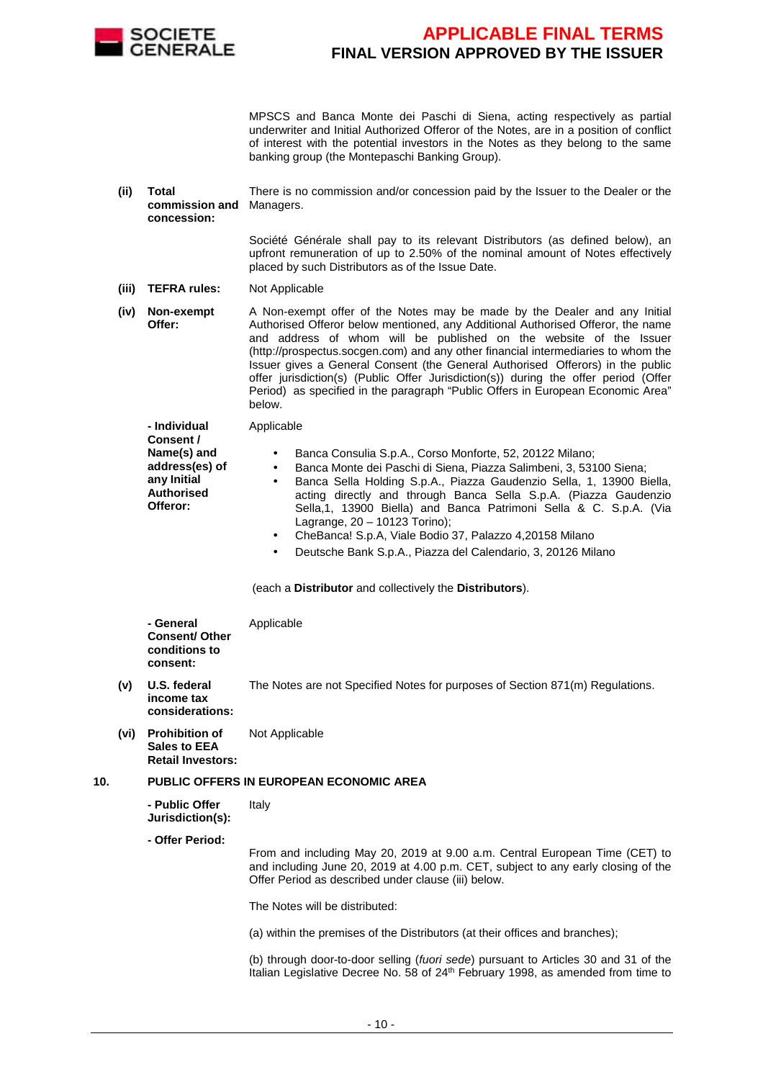

MPSCS and Banca Monte dei Paschi di Siena, acting respectively as partial underwriter and Initial Authorized Offeror of the Notes, are in a position of conflict of interest with the potential investors in the Notes as they belong to the same banking group (the Montepaschi Banking Group).

**(ii) Total commission and**  Managers. **concession:** There is no commission and/or concession paid by the Issuer to the Dealer or the

> Société Générale shall pay to its relevant Distributors (as defined below), an upfront remuneration of up to 2.50% of the nominal amount of Notes effectively placed by such Distributors as of the Issue Date.

- **(iii) TEFRA rules:** Not Applicable
- **(iv) Non-exempt Offer:** A Non-exempt offer of the Notes may be made by the Dealer and any Initial Authorised Offeror below mentioned, any Additional Authorised Offeror, the name and address of whom will be published on the website of the Issuer (http://prospectus.socgen.com) and any other financial intermediaries to whom the Issuer gives a General Consent (the General Authorised Offerors) in the public offer jurisdiction(s) (Public Offer Jurisdiction(s)) during the offer period (Offer Period) as specified in the paragraph "Public Offers in European Economic Area" below.

 **- Individual Consent / Name(s) and address(es) of any Initial Authorised Offeror:** Applicable • Banca Consulia S.p.A., Corso Monforte, 52, 20122 Milano; • Banca Monte dei Paschi di Siena, Piazza Salimbeni, 3, 53100 Siena; • Banca Sella Holding S.p.A., Piazza Gaudenzio Sella, 1, 13900 Biella, acting directly and through Banca Sella S.p.A. (Piazza Gaudenzio Sella,1, 13900 Biella) and Banca Patrimoni Sella & C. S.p.A. (Via Lagrange, 20 – 10123 Torino);

- CheBanca! S.p.A, Viale Bodio 37, Palazzo 4,20158 Milano
- Deutsche Bank S.p.A., Piazza del Calendario, 3, 20126 Milano

(each a **Distributor** and collectively the **Distributors**).

|     |      | - General<br><b>Consent/ Other</b><br>conditions to<br>consent:   | Applicable                                                                                                                                                                                                              |
|-----|------|-------------------------------------------------------------------|-------------------------------------------------------------------------------------------------------------------------------------------------------------------------------------------------------------------------|
|     | (v)  | U.S. federal<br>income tax<br>considerations:                     | The Notes are not Specified Notes for purposes of Section 871(m) Regulations.                                                                                                                                           |
|     | (vi) | <b>Prohibition of</b><br>Sales to EEA<br><b>Retail Investors:</b> | Not Applicable                                                                                                                                                                                                          |
| 10. |      |                                                                   | <b>PUBLIC OFFERS IN EUROPEAN ECONOMIC AREA</b>                                                                                                                                                                          |
|     |      | - Public Offer<br>Jurisdiction(s):                                | Italy                                                                                                                                                                                                                   |
|     |      | - Offer Period:                                                   |                                                                                                                                                                                                                         |
|     |      |                                                                   | From and including May 20, 2019 at 9.00 a.m. Central European Time (CET) to<br>and including June 20, 2019 at 4.00 p.m. CET, subject to any early closing of the<br>Offer Period as described under clause (iii) below. |
|     |      |                                                                   | The Notes will be distributed:                                                                                                                                                                                          |
|     |      |                                                                   | (a) within the premises of the Distributors (at their offices and branches);                                                                                                                                            |
|     |      |                                                                   | (b) through door-to-door selling (fuori sede) pursuant to Articles 30 and 31 of the<br>Italian Legislative Decree No. 58 of 24 <sup>th</sup> February 1998, as amended from time to                                     |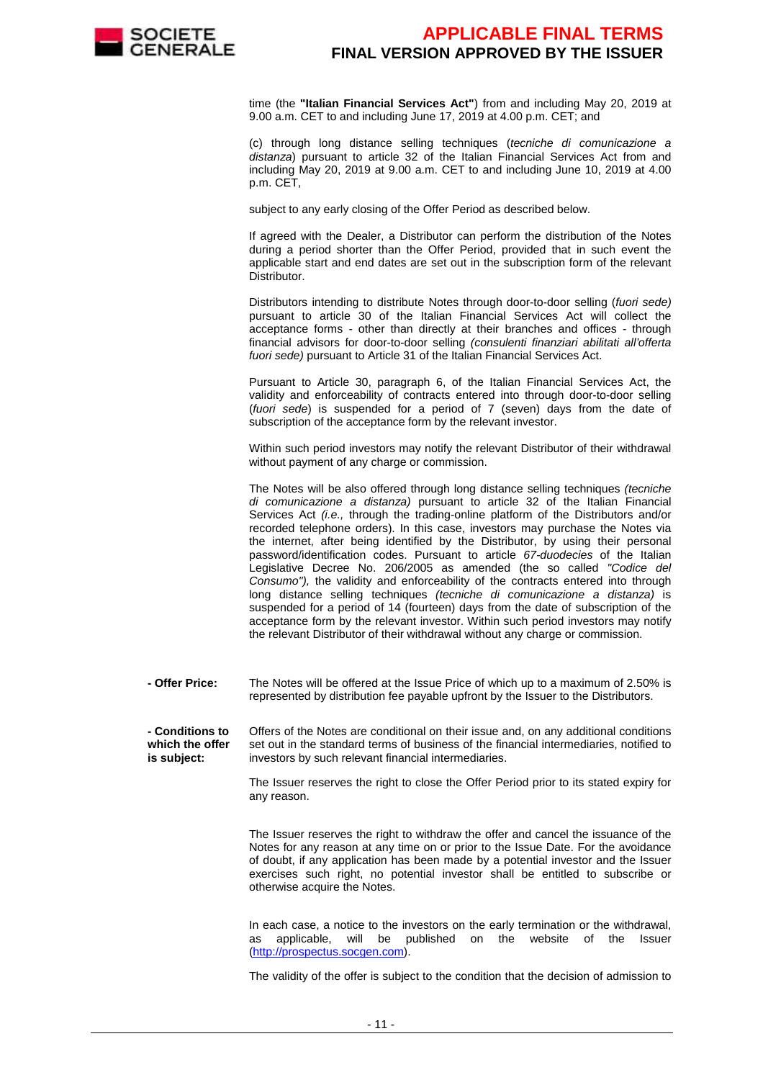

time (the **"Italian Financial Services Act"**) from and including May 20, 2019 at 9.00 a.m. CET to and including June 17, 2019 at 4.00 p.m. CET; and

(c) through long distance selling techniques (tecniche di comunicazione a distanza) pursuant to article 32 of the Italian Financial Services Act from and including May 20, 2019 at 9.00 a.m. CET to and including June 10, 2019 at 4.00 p.m. CET,

subject to any early closing of the Offer Period as described below.

If agreed with the Dealer, a Distributor can perform the distribution of the Notes during a period shorter than the Offer Period, provided that in such event the applicable start and end dates are set out in the subscription form of the relevant Distributor.

Distributors intending to distribute Notes through door-to-door selling (fuori sede) pursuant to article 30 of the Italian Financial Services Act will collect the acceptance forms - other than directly at their branches and offices - through financial advisors for door-to-door selling (consulenti finanziari abilitati all'offerta fuori sede) pursuant to Article 31 of the Italian Financial Services Act.

Pursuant to Article 30, paragraph 6, of the Italian Financial Services Act, the validity and enforceability of contracts entered into through door-to-door selling (fuori sede) is suspended for a period of 7 (seven) days from the date of subscription of the acceptance form by the relevant investor.

Within such period investors may notify the relevant Distributor of their withdrawal without payment of any charge or commission.

The Notes will be also offered through long distance selling techniques (tecniche di comunicazione a distanza) pursuant to article 32 of the Italian Financial Services Act *(i.e.,* through the trading-online platform of the Distributors and/or recorded telephone orders). In this case, investors may purchase the Notes via the internet, after being identified by the Distributor, by using their personal password/identification codes. Pursuant to article 67-duodecies of the Italian Legislative Decree No. 206/2005 as amended (the so called "Codice del Consumo"), the validity and enforceability of the contracts entered into through long distance selling techniques (tecniche di comunicazione a distanza) is suspended for a period of 14 (fourteen) days from the date of subscription of the acceptance form by the relevant investor. Within such period investors may notify the relevant Distributor of their withdrawal without any charge or commission.

 **- Offer Price:** The Notes will be offered at the Issue Price of which up to a maximum of 2.50% is represented by distribution fee payable upfront by the Issuer to the Distributors.

 **- Conditions to which the offer is subject:** Offers of the Notes are conditional on their issue and, on any additional conditions set out in the standard terms of business of the financial intermediaries, notified to investors by such relevant financial intermediaries.

> The Issuer reserves the right to close the Offer Period prior to its stated expiry for any reason.

> The Issuer reserves the right to withdraw the offer and cancel the issuance of the Notes for any reason at any time on or prior to the Issue Date. For the avoidance of doubt, if any application has been made by a potential investor and the Issuer exercises such right, no potential investor shall be entitled to subscribe or otherwise acquire the Notes.

> In each case, a notice to the investors on the early termination or the withdrawal, as applicable, will be published on the website of the Issuer (http://prospectus.socgen.com).

> The validity of the offer is subject to the condition that the decision of admission to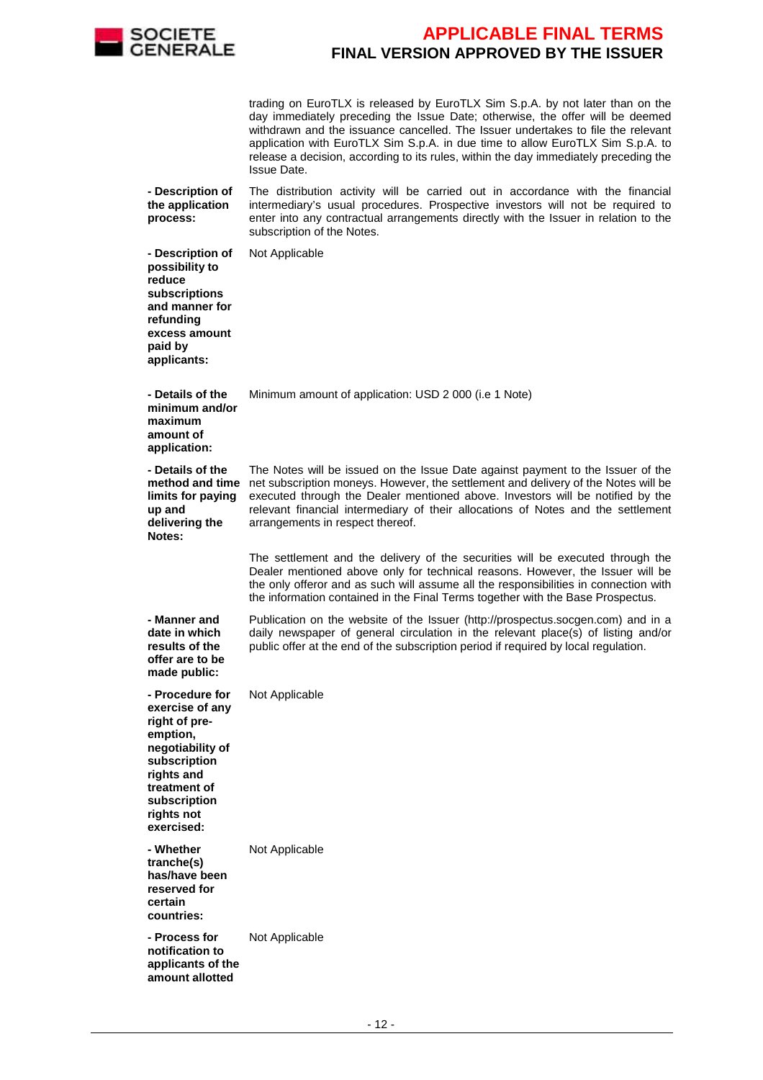

trading on EuroTLX is released by EuroTLX Sim S.p.A. by not later than on the day immediately preceding the Issue Date; otherwise, the offer will be deemed withdrawn and the issuance cancelled. The Issuer undertakes to file the relevant application with EuroTLX Sim S.p.A. in due time to allow EuroTLX Sim S.p.A. to release a decision, according to its rules, within the day immediately preceding the Issue Date.

 **- Description of the application process:** The distribution activity will be carried out in accordance with the financial intermediary's usual procedures. Prospective investors will not be required to enter into any contractual arrangements directly with the Issuer in relation to the subscription of the Notes.

 **- Description of possibility to reduce subscriptions and manner for refunding excess amount** 

Not Applicable

**paid by applicants: - Details of the minimum and/or maximum amount of application:** Minimum amount of application: USD 2 000 (i.e 1 Note) **- Details of the**  method and time net subscription moneys. However, the settlement and delivery of the Notes will be **limits for paying up and delivering the Notes:** The Notes will be issued on the Issue Date against payment to the Issuer of the executed through the Dealer mentioned above. Investors will be notified by the relevant financial intermediary of their allocations of Notes and the settlement arrangements in respect thereof. The settlement and the delivery of the securities will be executed through the Dealer mentioned above only for technical reasons. However, the Issuer will be the only offeror and as such will assume all the responsibilities in connection with the information contained in the Final Terms together with the Base Prospectus. **- Manner and date in which results of the offer are to be made public:** Publication on the website of the Issuer (http://prospectus.socgen.com) and in a daily newspaper of general circulation in the relevant place(s) of listing and/or public offer at the end of the subscription period if required by local regulation. **- Procedure for exercise of any right of preemption, negotiability of subscription rights and treatment of subscription rights not exercised:** Not Applicable

 **- Whether tranche(s) has/have been reserved for certain countries:** Not Applicable

 **- Process for notification to applicants of the amount allotted**  Not Applicable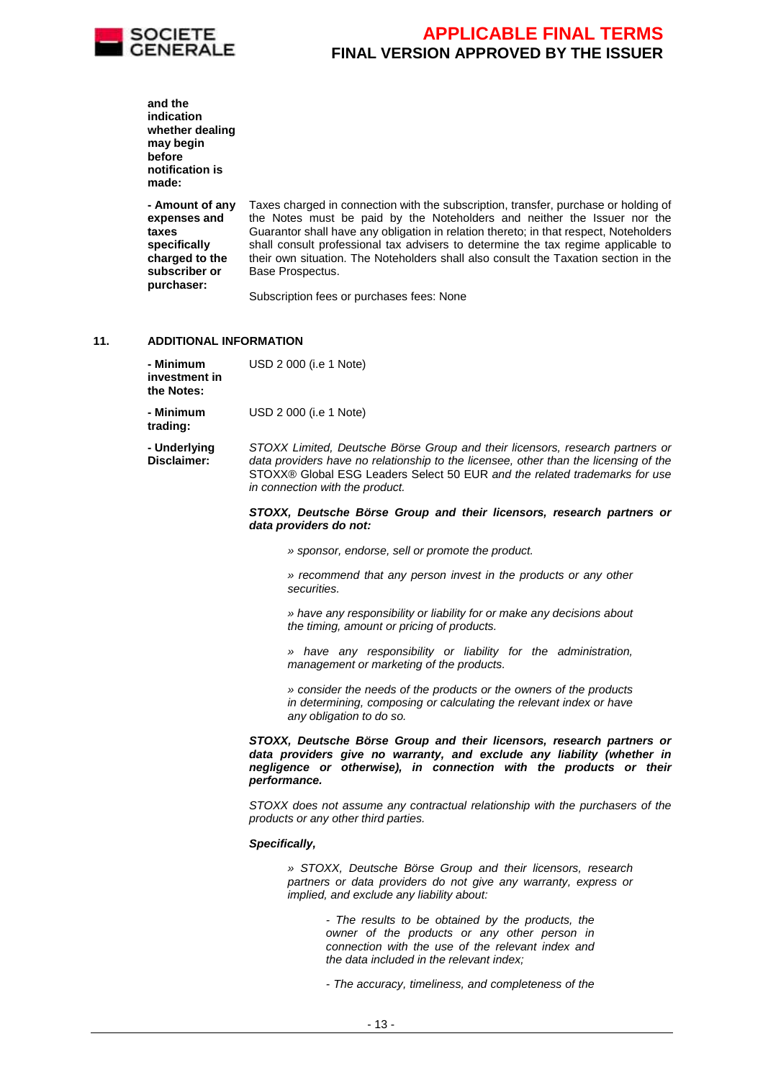

|     | and the<br>indication<br>whether dealing<br>may begin<br>before<br>notification is<br>made:               |                                                                                                                                                                                                                                                                                                                                                                                                                                                          |
|-----|-----------------------------------------------------------------------------------------------------------|----------------------------------------------------------------------------------------------------------------------------------------------------------------------------------------------------------------------------------------------------------------------------------------------------------------------------------------------------------------------------------------------------------------------------------------------------------|
|     | - Amount of any<br>expenses and<br>taxes<br>specifically<br>charged to the<br>subscriber or<br>purchaser: | Taxes charged in connection with the subscription, transfer, purchase or holding of<br>the Notes must be paid by the Noteholders and neither the Issuer nor the<br>Guarantor shall have any obligation in relation thereto; in that respect, Noteholders<br>shall consult professional tax advisers to determine the tax regime applicable to<br>their own situation. The Noteholders shall also consult the Taxation section in the<br>Base Prospectus. |
|     |                                                                                                           | Subscription fees or purchases fees: None                                                                                                                                                                                                                                                                                                                                                                                                                |
| 11. | <b>ADDITIONAL INFORMATION</b>                                                                             |                                                                                                                                                                                                                                                                                                                                                                                                                                                          |
|     | - Minimum<br>investment in<br>the Notes:                                                                  | USD 2 000 (i.e 1 Note)                                                                                                                                                                                                                                                                                                                                                                                                                                   |
|     | - Minimum<br>trading:                                                                                     | USD 2 000 (i.e 1 Note)                                                                                                                                                                                                                                                                                                                                                                                                                                   |
|     | - Underlying<br><b>Disclaimer:</b>                                                                        | STOXX Limited, Deutsche Börse Group and their licensors, research partners or<br>data providers have no relationship to the licensee, other than the licensing of the<br>STOXX® Global ESG Leaders Select 50 EUR and the related trademarks for use<br>in connection with the product.                                                                                                                                                                   |
|     |                                                                                                           | STOXX, Deutsche Börse Group and their licensors, research partners or<br>data providers do not:                                                                                                                                                                                                                                                                                                                                                          |
|     |                                                                                                           | » sponsor, endorse, sell or promote the product.                                                                                                                                                                                                                                                                                                                                                                                                         |
|     |                                                                                                           | » recommend that any person invest in the products or any other<br>securities.                                                                                                                                                                                                                                                                                                                                                                           |
|     |                                                                                                           | » have any responsibility or liability for or make any decisions about<br>the timing, amount or pricing of products.                                                                                                                                                                                                                                                                                                                                     |
|     |                                                                                                           | » have any responsibility or liability for the administration,<br>management or marketing of the products.                                                                                                                                                                                                                                                                                                                                               |
|     |                                                                                                           | » consider the needs of the products or the owners of the products<br>in determining, composing or calculating the relevant index or have<br>any obligation to do so.                                                                                                                                                                                                                                                                                    |
|     |                                                                                                           | STOXX, Deutsche Börse Group and their licensors, research partners or<br>data providers give no warranty, and exclude any liability (whether in<br>negligence or otherwise), in connection with the products or their<br>performance.                                                                                                                                                                                                                    |
|     |                                                                                                           | STOXX does not assume any contractual relationship with the purchasers of the<br>products or any other third parties.                                                                                                                                                                                                                                                                                                                                    |
|     |                                                                                                           | Specifically,                                                                                                                                                                                                                                                                                                                                                                                                                                            |
|     |                                                                                                           | » STOXX, Deutsche Börse Group and their licensors, research<br>partners or data providers do not give any warranty, express or<br>implied, and exclude any liability about:                                                                                                                                                                                                                                                                              |

- The results to be obtained by the products, the owner of the products or any other person in connection with the use of the relevant index and the data included in the relevant index;

- The accuracy, timeliness, and completeness of the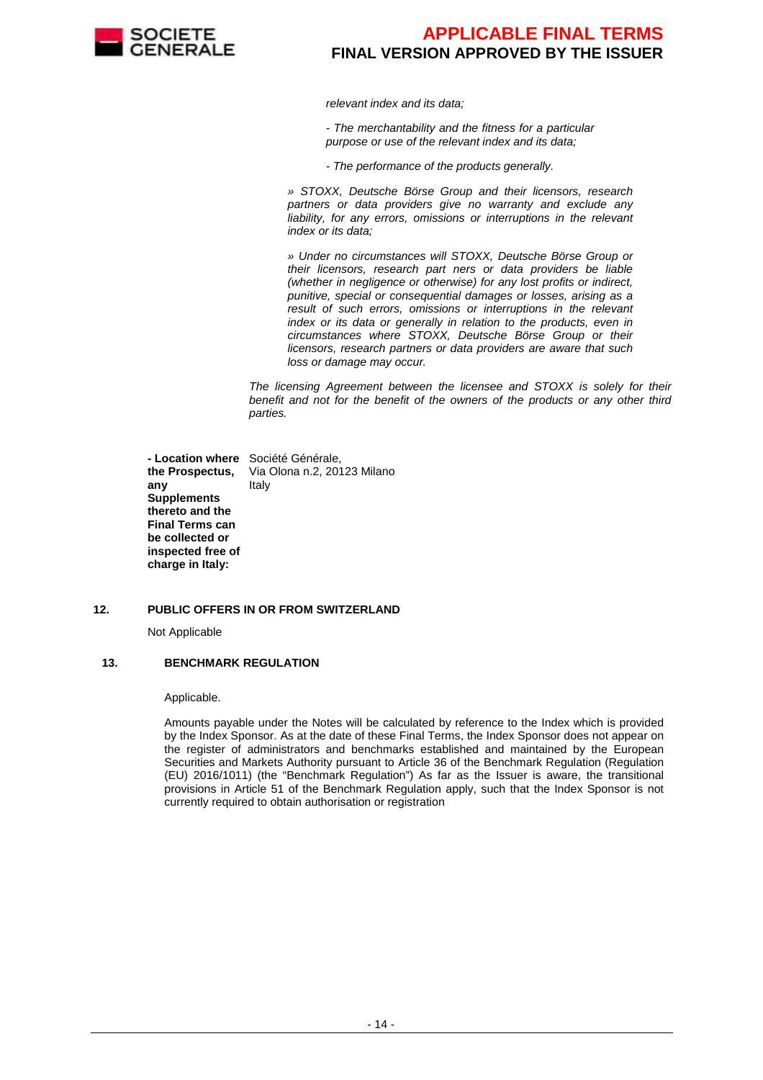

relevant index and its data;

- The merchantability and the fitness for a particular purpose or use of the relevant index and its data;

- The performance of the products generally.

» STOXX, Deutsche Börse Group and their licensors, research partners or data providers give no warranty and exclude any liability, for any errors, omissions or interruptions in the relevant index or its data;

» Under no circumstances will STOXX, Deutsche Börse Group or their licensors, research part ners or data providers be liable (whether in negligence or otherwise) for any lost profits or indirect, punitive, special or consequential damages or losses, arising as a result of such errors, omissions or interruptions in the relevant index or its data or generally in relation to the products, even in circumstances where STOXX, Deutsche Börse Group or their licensors, research partners or data providers are aware that such loss or damage may occur.

The licensing Agreement between the licensee and STOXX is solely for their benefit and not for the benefit of the owners of the products or any other third parties.

 **- Location where**  Société Générale, **the Prospectus, any Supplements thereto and the Final Terms can be collected or inspected free of charge in Italy:** Via Olona n.2, 20123 Milano Italy

#### **12. PUBLIC OFFERS IN OR FROM SWITZERLAND**

Not Applicable

#### **13. BENCHMARK REGULATION**

Applicable.

Amounts payable under the Notes will be calculated by reference to the Index which is provided by the Index Sponsor. As at the date of these Final Terms, the Index Sponsor does not appear on the register of administrators and benchmarks established and maintained by the European Securities and Markets Authority pursuant to Article 36 of the Benchmark Regulation (Regulation (EU) 2016/1011) (the "Benchmark Regulation") As far as the Issuer is aware, the transitional provisions in Article 51 of the Benchmark Regulation apply, such that the Index Sponsor is not currently required to obtain authorisation or registration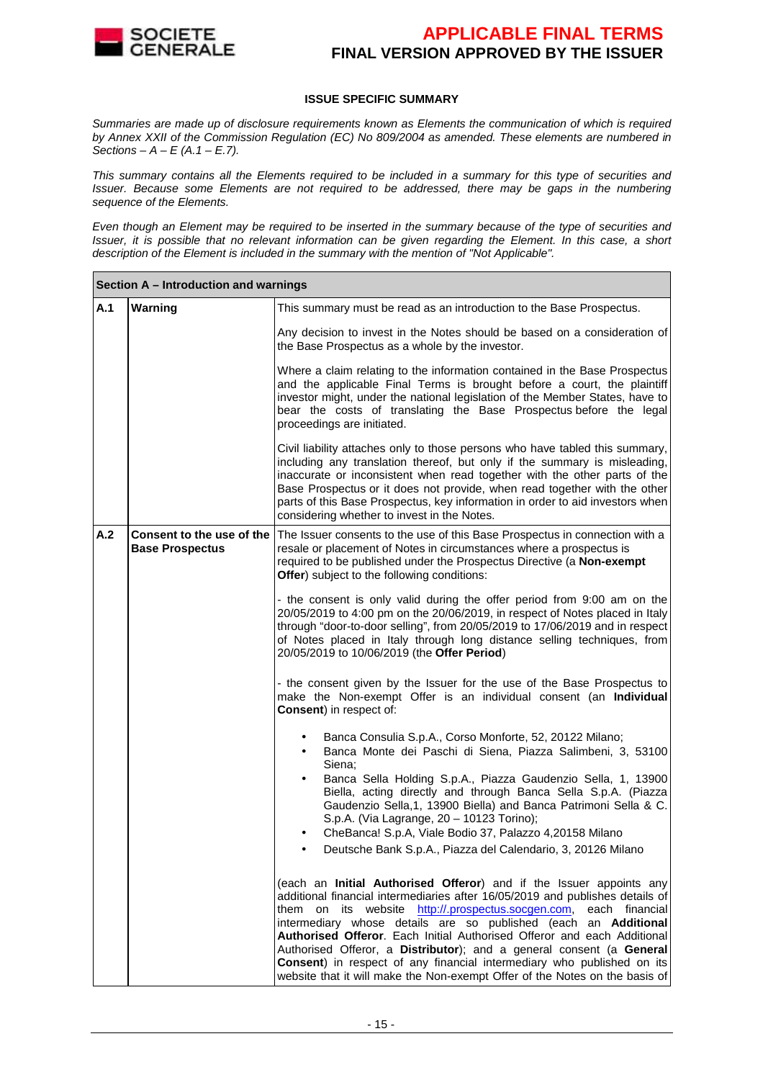

#### **ISSUE SPECIFIC SUMMARY**

Summaries are made up of disclosure requirements known as Elements the communication of which is required by Annex XXII of the Commission Regulation (EC) No 809/2004 as amended. These elements are numbered in Sections –  $A - E(A.1 - E.7)$ .

This summary contains all the Elements required to be included in a summary for this type of securities and Issuer. Because some Elements are not required to be addressed, there may be gaps in the numbering sequence of the Elements.

Even though an Element may be required to be inserted in the summary because of the type of securities and Issuer, it is possible that no relevant information can be given regarding the Element. In this case, a short description of the Element is included in the summary with the mention of "Not Applicable".

|     | Section A - Introduction and warnings               |                                                                                                                                                                                                                                                                                                                                                                                                                                                                                                                                                                                                                |  |  |  |  |  |  |
|-----|-----------------------------------------------------|----------------------------------------------------------------------------------------------------------------------------------------------------------------------------------------------------------------------------------------------------------------------------------------------------------------------------------------------------------------------------------------------------------------------------------------------------------------------------------------------------------------------------------------------------------------------------------------------------------------|--|--|--|--|--|--|
| A.1 | Warning                                             | This summary must be read as an introduction to the Base Prospectus.                                                                                                                                                                                                                                                                                                                                                                                                                                                                                                                                           |  |  |  |  |  |  |
|     |                                                     | Any decision to invest in the Notes should be based on a consideration of<br>the Base Prospectus as a whole by the investor.                                                                                                                                                                                                                                                                                                                                                                                                                                                                                   |  |  |  |  |  |  |
|     |                                                     | Where a claim relating to the information contained in the Base Prospectus<br>and the applicable Final Terms is brought before a court, the plaintiff<br>investor might, under the national legislation of the Member States, have to<br>bear the costs of translating the Base Prospectus before the legal<br>proceedings are initiated.                                                                                                                                                                                                                                                                      |  |  |  |  |  |  |
|     |                                                     | Civil liability attaches only to those persons who have tabled this summary,<br>including any translation thereof, but only if the summary is misleading,<br>inaccurate or inconsistent when read together with the other parts of the<br>Base Prospectus or it does not provide, when read together with the other<br>parts of this Base Prospectus, key information in order to aid investors when<br>considering whether to invest in the Notes.                                                                                                                                                            |  |  |  |  |  |  |
| A.2 | Consent to the use of the<br><b>Base Prospectus</b> | The Issuer consents to the use of this Base Prospectus in connection with a<br>resale or placement of Notes in circumstances where a prospectus is<br>required to be published under the Prospectus Directive (a Non-exempt<br>Offer) subject to the following conditions:                                                                                                                                                                                                                                                                                                                                     |  |  |  |  |  |  |
|     |                                                     | - the consent is only valid during the offer period from 9:00 am on the<br>20/05/2019 to 4:00 pm on the 20/06/2019, in respect of Notes placed in Italy<br>through "door-to-door selling", from 20/05/2019 to 17/06/2019 and in respect<br>of Notes placed in Italy through long distance selling techniques, from<br>20/05/2019 to 10/06/2019 (the Offer Period)                                                                                                                                                                                                                                              |  |  |  |  |  |  |
|     |                                                     | - the consent given by the Issuer for the use of the Base Prospectus to<br>make the Non-exempt Offer is an individual consent (an Individual<br><b>Consent)</b> in respect of:                                                                                                                                                                                                                                                                                                                                                                                                                                 |  |  |  |  |  |  |
|     |                                                     | Banca Consulia S.p.A., Corso Monforte, 52, 20122 Milano;<br>Banca Monte dei Paschi di Siena, Piazza Salimbeni, 3, 53100<br>$\bullet$<br>Siena;<br>Banca Sella Holding S.p.A., Piazza Gaudenzio Sella, 1, 13900<br>Biella, acting directly and through Banca Sella S.p.A. (Piazza<br>Gaudenzio Sella, 1, 13900 Biella) and Banca Patrimoni Sella & C.<br>S.p.A. (Via Lagrange, 20 - 10123 Torino);<br>CheBanca! S.p.A, Viale Bodio 37, Palazzo 4,20158 Milano<br>Deutsche Bank S.p.A., Piazza del Calendario, 3, 20126 Milano                                                                                   |  |  |  |  |  |  |
|     |                                                     | (each an Initial Authorised Offeror) and if the Issuer appoints any<br>additional financial intermediaries after 16/05/2019 and publishes details of<br>its website http://.prospectus.socgen.com,<br>each financial<br>them on<br>intermediary whose details are so published (each an Additional<br>Authorised Offeror. Each Initial Authorised Offeror and each Additional<br>Authorised Offeror, a Distributor); and a general consent (a General<br>Consent) in respect of any financial intermediary who published on its<br>website that it will make the Non-exempt Offer of the Notes on the basis of |  |  |  |  |  |  |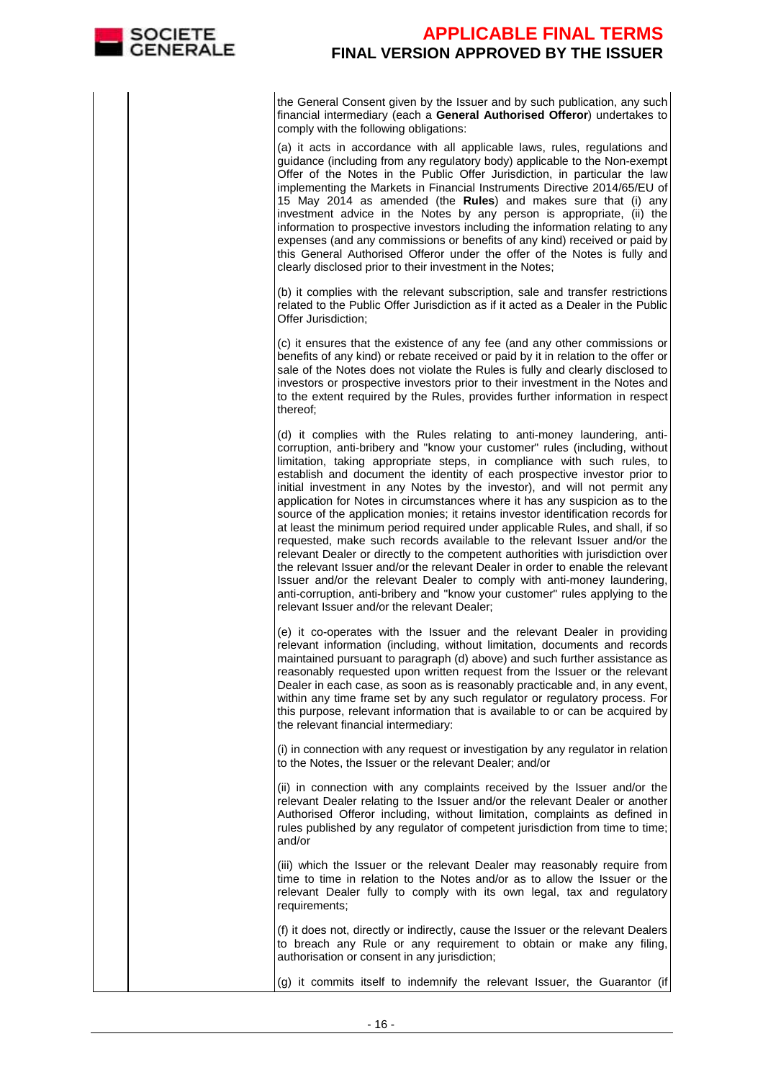

the General Consent given by the Issuer and by such publication, any such financial intermediary (each a **General Authorised Offeror**) undertakes to comply with the following obligations:

 (a) it acts in accordance with all applicable laws, rules, regulations and guidance (including from any regulatory body) applicable to the Non-exempt Offer of the Notes in the Public Offer Jurisdiction, in particular the law implementing the Markets in Financial Instruments Directive 2014/65/EU of 15 May 2014 as amended (the **Rules**) and makes sure that (i) any investment advice in the Notes by any person is appropriate, (ii) the information to prospective investors including the information relating to any expenses (and any commissions or benefits of any kind) received or paid by this General Authorised Offeror under the offer of the Notes is fully and clearly disclosed prior to their investment in the Notes;

(b) it complies with the relevant subscription, sale and transfer restrictions related to the Public Offer Jurisdiction as if it acted as a Dealer in the Public Offer Jurisdiction;

(c) it ensures that the existence of any fee (and any other commissions or benefits of any kind) or rebate received or paid by it in relation to the offer or sale of the Notes does not violate the Rules is fully and clearly disclosed to investors or prospective investors prior to their investment in the Notes and to the extent required by the Rules, provides further information in respect thereof;

(d) it complies with the Rules relating to anti-money laundering, anticorruption, anti-bribery and "know your customer" rules (including, without limitation, taking appropriate steps, in compliance with such rules, to establish and document the identity of each prospective investor prior to initial investment in any Notes by the investor), and will not permit any application for Notes in circumstances where it has any suspicion as to the source of the application monies; it retains investor identification records for at least the minimum period required under applicable Rules, and shall, if so requested, make such records available to the relevant Issuer and/or the relevant Dealer or directly to the competent authorities with jurisdiction over the relevant Issuer and/or the relevant Dealer in order to enable the relevant Issuer and/or the relevant Dealer to comply with anti-money laundering, anti-corruption, anti-bribery and "know your customer" rules applying to the relevant Issuer and/or the relevant Dealer;

(e) it co-operates with the Issuer and the relevant Dealer in providing relevant information (including, without limitation, documents and records maintained pursuant to paragraph (d) above) and such further assistance as reasonably requested upon written request from the Issuer or the relevant Dealer in each case, as soon as is reasonably practicable and, in any event, within any time frame set by any such regulator or regulatory process. For this purpose, relevant information that is available to or can be acquired by the relevant financial intermediary:

(i) in connection with any request or investigation by any regulator in relation to the Notes, the Issuer or the relevant Dealer; and/or

(ii) in connection with any complaints received by the Issuer and/or the relevant Dealer relating to the Issuer and/or the relevant Dealer or another Authorised Offeror including, without limitation, complaints as defined in rules published by any regulator of competent jurisdiction from time to time; and/or

(iii) which the Issuer or the relevant Dealer mav reasonably require from time to time in relation to the Notes and/or as to allow the Issuer or the relevant Dealer fully to comply with its own legal, tax and regulatory requirements;

(f) it does not, directly or indirectly, cause the Issuer or the relevant Dealers to breach any Rule or any requirement to obtain or make any filing, authorisation or consent in any jurisdiction;

(g) it commits itself to indemnify the relevant Issuer, the Guarantor (if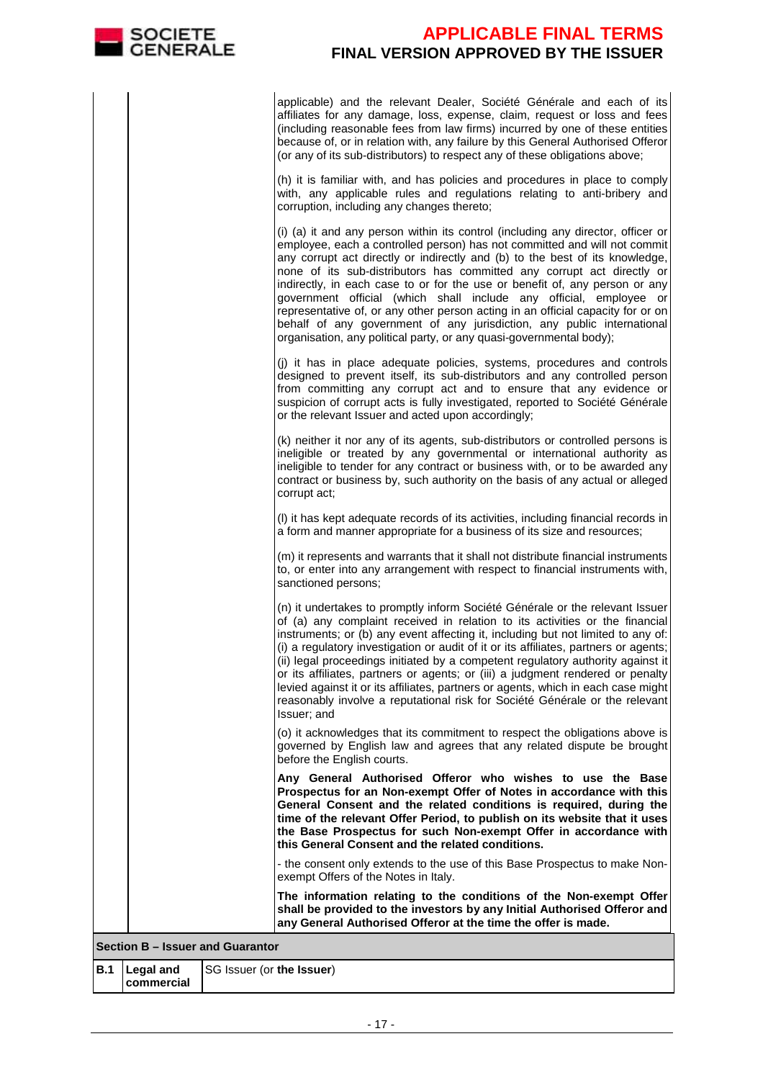

applicable) and the relevant Dealer, Société Générale and each of its affiliates for any damage, loss, expense, claim, request or loss and fees (including reasonable fees from law firms) incurred by one of these entities because of, or in relation with, any failure by this General Authorised Offeror (or any of its sub-distributors) to respect any of these obligations above;

(h) it is familiar with, and has policies and procedures in place to comply with, any applicable rules and regulations relating to anti-bribery and corruption, including any changes thereto;

(i) (a) it and any person within its control (including any director, officer or employee, each a controlled person) has not committed and will not commit any corrupt act directly or indirectly and (b) to the best of its knowledge, none of its sub-distributors has committed any corrupt act directly or indirectly, in each case to or for the use or benefit of, any person or any government official (which shall include any official, employee or representative of, or any other person acting in an official capacity for or on behalf of any government of any jurisdiction, any public international organisation, any political party, or any quasi-governmental body);

(j) it has in place adequate policies, systems, procedures and controls designed to prevent itself, its sub-distributors and any controlled person from committing any corrupt act and to ensure that any evidence or suspicion of corrupt acts is fully investigated, reported to Société Générale or the relevant Issuer and acted upon accordingly;

(k) neither it nor any of its agents, sub-distributors or controlled persons is ineligible or treated by any governmental or international authority as ineligible to tender for any contract or business with, or to be awarded any contract or business by, such authority on the basis of any actual or alleged corrupt act;

(l) it has kept adequate records of its activities, including financial records in a form and manner appropriate for a business of its size and resources;

(m) it represents and warrants that it shall not distribute financial instruments to, or enter into any arrangement with respect to financial instruments with, sanctioned persons;

(n) it undertakes to promptly inform Société Générale or the relevant Issuer of (a) any complaint received in relation to its activities or the financial instruments; or (b) any event affecting it, including but not limited to any of: (i) a regulatory investigation or audit of it or its affiliates, partners or agents; (ii) legal proceedings initiated by a competent regulatory authority against it or its affiliates, partners or agents; or (iii) a judgment rendered or penalty levied against it or its affiliates, partners or agents, which in each case might reasonably involve a reputational risk for Société Générale or the relevant Issuer; and

 (o) it acknowledges that its commitment to respect the obligations above is governed by English law and agrees that any related dispute be brought before the English courts.

 **Any General Authorised Offeror who wishes to use the Base Prospectus for an Non-exempt Offer of Notes in accordance with this General Consent and the related conditions is required, during the time of the relevant Offer Period, to publish on its website that it uses the Base Prospectus for such Non-exempt Offer in accordance with this General Consent and the related conditions.**

 - the consent only extends to the use of this Base Prospectus to make Nonexempt Offers of the Notes in Italy.

 **The information relating to the conditions of the Non-exempt Offer shall be provided to the investors by any Initial Authorised Offeror and any General Authorised Offeror at the time the offer is made.**

#### **Section B – Issuer and Guarantor**

| B.1   Legal and | SG Issuer (or the Issuer) |
|-----------------|---------------------------|
| commercial      |                           |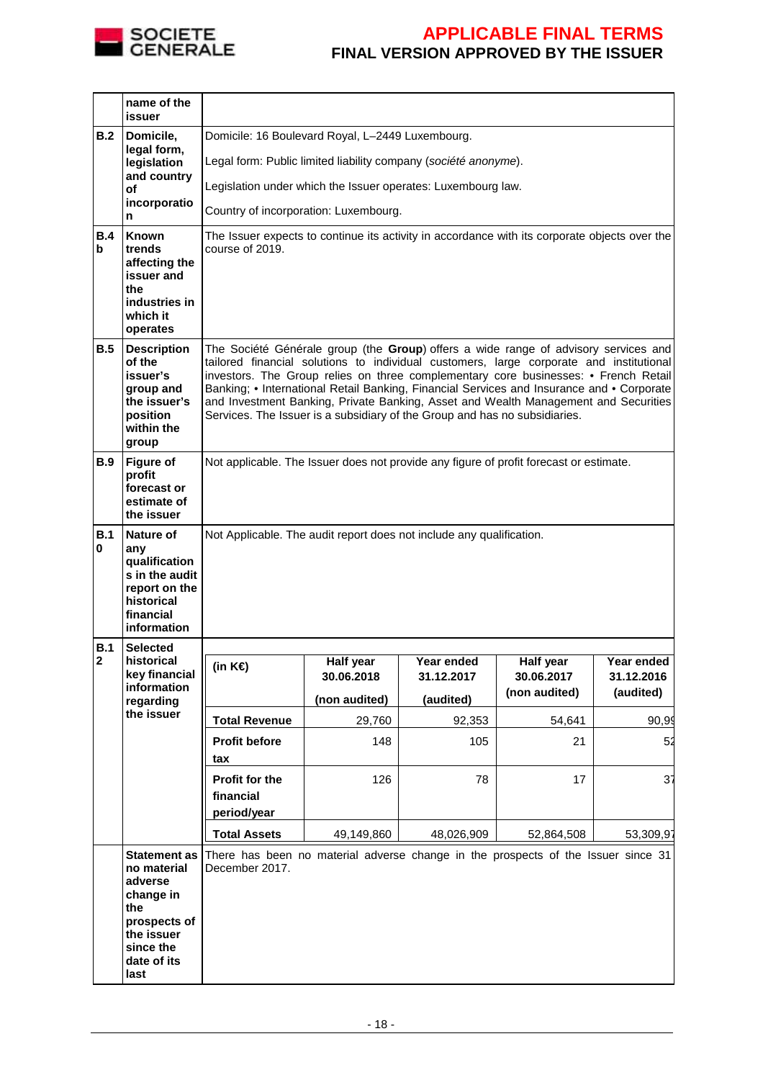

|          | name of the<br>issuer                                                                                          |                                                                                                                                                                                                                                                                                                                                                                                                                                                                                                                                         |                                                                                               |                          |                         |                          |  |  |  |  |
|----------|----------------------------------------------------------------------------------------------------------------|-----------------------------------------------------------------------------------------------------------------------------------------------------------------------------------------------------------------------------------------------------------------------------------------------------------------------------------------------------------------------------------------------------------------------------------------------------------------------------------------------------------------------------------------|-----------------------------------------------------------------------------------------------|--------------------------|-------------------------|--------------------------|--|--|--|--|
| B.2      | Domicile,                                                                                                      | Domicile: 16 Boulevard Royal, L-2449 Luxembourg.                                                                                                                                                                                                                                                                                                                                                                                                                                                                                        |                                                                                               |                          |                         |                          |  |  |  |  |
|          | legal form,<br>legislation                                                                                     | Legal form: Public limited liability company (société anonyme).                                                                                                                                                                                                                                                                                                                                                                                                                                                                         |                                                                                               |                          |                         |                          |  |  |  |  |
|          | and country<br>οf                                                                                              | Legislation under which the Issuer operates: Luxembourg law.                                                                                                                                                                                                                                                                                                                                                                                                                                                                            |                                                                                               |                          |                         |                          |  |  |  |  |
|          | incorporatio<br>n                                                                                              | Country of incorporation: Luxembourg.                                                                                                                                                                                                                                                                                                                                                                                                                                                                                                   |                                                                                               |                          |                         |                          |  |  |  |  |
| B.4<br>b | <b>Known</b><br>trends<br>affecting the<br>issuer and<br>the<br>industries in<br>which it<br>operates          | course of 2019.                                                                                                                                                                                                                                                                                                                                                                                                                                                                                                                         | The Issuer expects to continue its activity in accordance with its corporate objects over the |                          |                         |                          |  |  |  |  |
| B.5      | <b>Description</b><br>of the<br>issuer's<br>group and<br>the issuer's<br>position<br>within the<br>group       | The Société Générale group (the Group) offers a wide range of advisory services and<br>tailored financial solutions to individual customers, large corporate and institutional<br>investors. The Group relies on three complementary core businesses: • French Retail<br>Banking; • International Retail Banking, Financial Services and Insurance and • Corporate<br>and Investment Banking, Private Banking, Asset and Wealth Management and Securities<br>Services. The Issuer is a subsidiary of the Group and has no subsidiaries. |                                                                                               |                          |                         |                          |  |  |  |  |
| B.9      | <b>Figure of</b><br>profit<br>forecast or<br>estimate of<br>the issuer                                         | Not applicable. The Issuer does not provide any figure of profit forecast or estimate.                                                                                                                                                                                                                                                                                                                                                                                                                                                  |                                                                                               |                          |                         |                          |  |  |  |  |
| B.1<br>0 | Nature of<br>any<br>qualification<br>s in the audit<br>report on the<br>historical<br>financial<br>information | Not Applicable. The audit report does not include any qualification.                                                                                                                                                                                                                                                                                                                                                                                                                                                                    |                                                                                               |                          |                         |                          |  |  |  |  |
| B.1      | <b>Selected</b>                                                                                                |                                                                                                                                                                                                                                                                                                                                                                                                                                                                                                                                         |                                                                                               |                          |                         |                          |  |  |  |  |
| 2        | historical<br>key financial                                                                                    | (in $K \in \mathcal{E}$ )                                                                                                                                                                                                                                                                                                                                                                                                                                                                                                               | Half year<br>30.06.2018                                                                       | Year ended<br>31.12.2017 | Half year<br>30.06.2017 | Year ended<br>31.12.2016 |  |  |  |  |
|          | information<br>regarding                                                                                       |                                                                                                                                                                                                                                                                                                                                                                                                                                                                                                                                         | (non audited)                                                                                 | (audited)                | (non audited)           | (audited)                |  |  |  |  |
|          | the issuer                                                                                                     | <b>Total Revenue</b>                                                                                                                                                                                                                                                                                                                                                                                                                                                                                                                    | 29,760                                                                                        | 92,353                   | 54,641                  | 90,99                    |  |  |  |  |
|          |                                                                                                                | <b>Profit before</b>                                                                                                                                                                                                                                                                                                                                                                                                                                                                                                                    | 148                                                                                           | 105                      | 21                      | 52                       |  |  |  |  |
|          |                                                                                                                | tax<br>Profit for the<br>financial<br>period/year                                                                                                                                                                                                                                                                                                                                                                                                                                                                                       | 126                                                                                           | 78                       | 17                      | 37                       |  |  |  |  |
|          |                                                                                                                | <b>Total Assets</b>                                                                                                                                                                                                                                                                                                                                                                                                                                                                                                                     | 49,149,860                                                                                    | 48,026,909               | 52,864,508              | 53,309,97                |  |  |  |  |
|          | <b>Statement as</b><br>no material<br>adverse<br>change in<br>the<br>prospects of<br>the issuer                | There has been no material adverse change in the prospects of the Issuer since 31<br>December 2017.                                                                                                                                                                                                                                                                                                                                                                                                                                     |                                                                                               |                          |                         |                          |  |  |  |  |
|          | since the<br>date of its                                                                                       |                                                                                                                                                                                                                                                                                                                                                                                                                                                                                                                                         |                                                                                               |                          |                         |                          |  |  |  |  |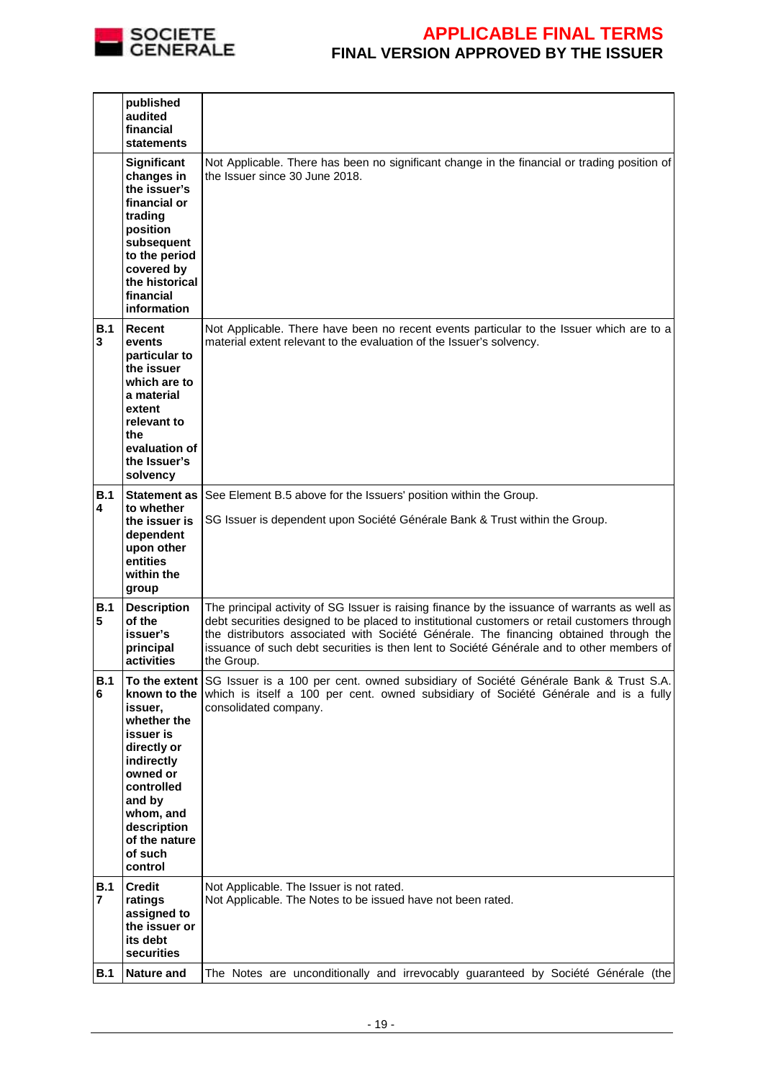

|            | published<br>audited<br>financial<br><b>statements</b>                                                                                                                                  |                                                                                                                                                                                                                                                                                                                                                                                                   |
|------------|-----------------------------------------------------------------------------------------------------------------------------------------------------------------------------------------|---------------------------------------------------------------------------------------------------------------------------------------------------------------------------------------------------------------------------------------------------------------------------------------------------------------------------------------------------------------------------------------------------|
|            | <b>Significant</b><br>changes in<br>the issuer's<br>financial or<br>trading<br>position<br>subsequent<br>to the period<br>covered by<br>the historical<br>financial<br>information      | Not Applicable. There has been no significant change in the financial or trading position of<br>the Issuer since 30 June 2018.                                                                                                                                                                                                                                                                    |
| B.1<br>3   | <b>Recent</b><br>events<br>particular to<br>the issuer<br>which are to<br>a material<br>extent<br>relevant to<br>the<br>evaluation of<br>the Issuer's<br>solvency                       | Not Applicable. There have been no recent events particular to the Issuer which are to a<br>material extent relevant to the evaluation of the Issuer's solvency.                                                                                                                                                                                                                                  |
| B.1<br>4   | <b>Statement as</b><br>to whether<br>the issuer is<br>dependent<br>upon other<br>entities<br>within the<br>group                                                                        | See Element B.5 above for the Issuers' position within the Group.<br>SG Issuer is dependent upon Société Générale Bank & Trust within the Group.                                                                                                                                                                                                                                                  |
| B.1<br>5   | <b>Description</b><br>of the<br>issuer's<br>principal<br>activities                                                                                                                     | The principal activity of SG Issuer is raising finance by the issuance of warrants as well as<br>debt securities designed to be placed to institutional customers or retail customers through<br>the distributors associated with Société Générale. The financing obtained through the<br>issuance of such debt securities is then lent to Société Générale and to other members of<br>the Group. |
| B.1<br>6   | known to the<br>issuer,<br>whether the<br>issuer is<br>directly or<br>indirectly<br>owned or<br>controlled<br>and by<br>whom, and<br>description<br>of the nature<br>of such<br>control | To the extent SG Issuer is a 100 per cent. owned subsidiary of Société Générale Bank & Trust S.A.<br>which is itself a 100 per cent. owned subsidiary of Société Générale and is a fully<br>consolidated company.                                                                                                                                                                                 |
| B.1<br>7   | Credit<br>ratings<br>assigned to<br>the issuer or<br>its debt<br>securities                                                                                                             | Not Applicable. The Issuer is not rated.<br>Not Applicable. The Notes to be issued have not been rated.                                                                                                                                                                                                                                                                                           |
| <b>B.1</b> | <b>Nature and</b>                                                                                                                                                                       | The Notes are unconditionally and irrevocably guaranteed by Société Générale (the                                                                                                                                                                                                                                                                                                                 |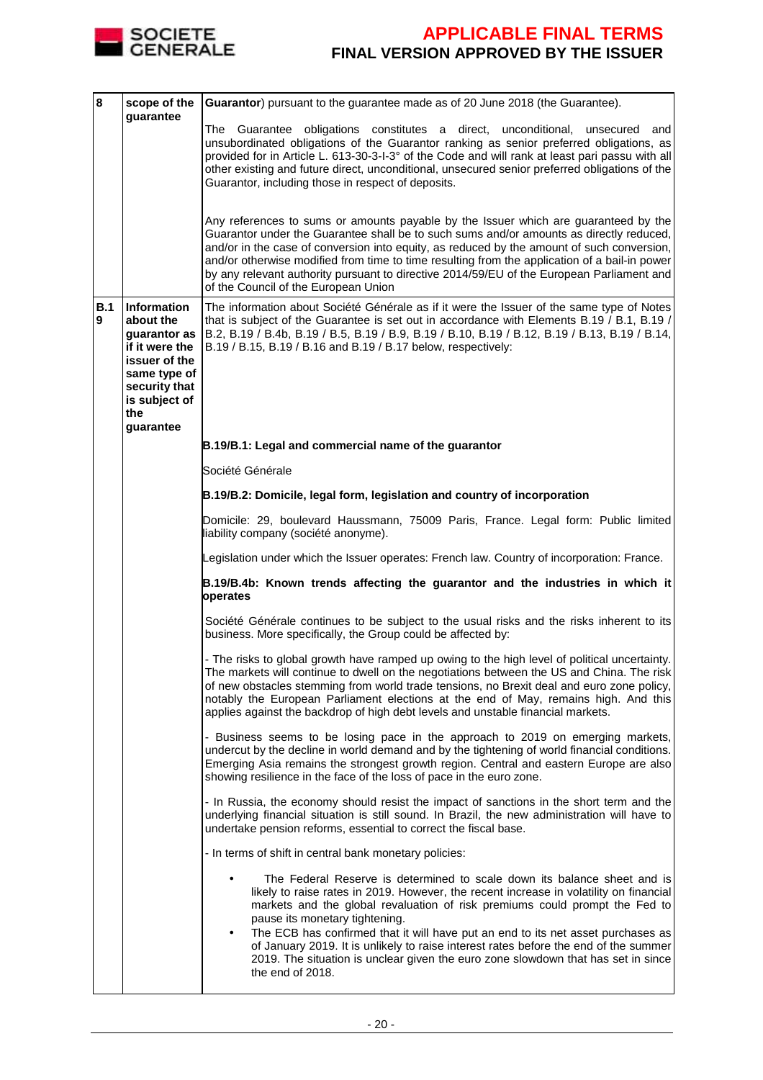

| 8        | scope of the<br>guarantee                                                                                                                                | Guarantor) pursuant to the guarantee made as of 20 June 2018 (the Guarantee).                                                                                                                                                                                                                                                                                                                                                                                                                                                                                                 |
|----------|----------------------------------------------------------------------------------------------------------------------------------------------------------|-------------------------------------------------------------------------------------------------------------------------------------------------------------------------------------------------------------------------------------------------------------------------------------------------------------------------------------------------------------------------------------------------------------------------------------------------------------------------------------------------------------------------------------------------------------------------------|
|          |                                                                                                                                                          | and<br>The<br>Guarantee obligations constitutes a direct, unconditional,<br>unsecured<br>unsubordinated obligations of the Guarantor ranking as senior preferred obligations, as<br>provided for in Article L. 613-30-3-1-3° of the Code and will rank at least pari passu with all<br>other existing and future direct, unconditional, unsecured senior preferred obligations of the<br>Guarantor, including those in respect of deposits.                                                                                                                                   |
|          |                                                                                                                                                          | Any references to sums or amounts payable by the Issuer which are guaranteed by the<br>Guarantor under the Guarantee shall be to such sums and/or amounts as directly reduced,<br>and/or in the case of conversion into equity, as reduced by the amount of such conversion,<br>and/or otherwise modified from time to time resulting from the application of a bail-in power<br>by any relevant authority pursuant to directive 2014/59/EU of the European Parliament and<br>of the Council of the European Union                                                            |
| B.1<br>9 | <b>Information</b><br>about the<br>quarantor as<br>if it were the<br>issuer of the<br>same type of<br>security that<br>is subject of<br>the<br>guarantee | The information about Société Générale as if it were the Issuer of the same type of Notes<br>that is subject of the Guarantee is set out in accordance with Elements B.19 / B.1, B.19 /<br>B.2, B.19 / B.4b, B.19 / B.5, B.19 / B.9, B.19 / B.10, B.19 / B.12, B.19 / B.13, B.19 / B.14,<br>B.19 / B.15, B.19 / B.16 and B.19 / B.17 below, respectively:                                                                                                                                                                                                                     |
|          |                                                                                                                                                          | B.19/B.1: Legal and commercial name of the guarantor                                                                                                                                                                                                                                                                                                                                                                                                                                                                                                                          |
|          |                                                                                                                                                          | Société Générale                                                                                                                                                                                                                                                                                                                                                                                                                                                                                                                                                              |
|          |                                                                                                                                                          | B.19/B.2: Domicile, legal form, legislation and country of incorporation                                                                                                                                                                                                                                                                                                                                                                                                                                                                                                      |
|          |                                                                                                                                                          | Domicile: 29, boulevard Haussmann, 75009 Paris, France. Legal form: Public limited<br>liability company (société anonyme).                                                                                                                                                                                                                                                                                                                                                                                                                                                    |
|          |                                                                                                                                                          | Legislation under which the Issuer operates: French law. Country of incorporation: France.                                                                                                                                                                                                                                                                                                                                                                                                                                                                                    |
|          |                                                                                                                                                          | B.19/B.4b: Known trends affecting the guarantor and the industries in which it<br>operates                                                                                                                                                                                                                                                                                                                                                                                                                                                                                    |
|          |                                                                                                                                                          | Société Générale continues to be subject to the usual risks and the risks inherent to its<br>business. More specifically, the Group could be affected by:                                                                                                                                                                                                                                                                                                                                                                                                                     |
|          |                                                                                                                                                          | - The risks to global growth have ramped up owing to the high level of political uncertainty.<br>The markets will continue to dwell on the negotiations between the US and China. The risk<br>of new obstacles stemming from world trade tensions, no Brexit deal and euro zone policy,<br>notably the European Parliament elections at the end of May, remains high. And this<br>applies against the backdrop of high debt levels and unstable financial markets.                                                                                                            |
|          |                                                                                                                                                          | - Business seems to be losing pace in the approach to 2019 on emerging markets,<br>undercut by the decline in world demand and by the tightening of world financial conditions.<br>Emerging Asia remains the strongest growth region. Central and eastern Europe are also<br>showing resilience in the face of the loss of pace in the euro zone.                                                                                                                                                                                                                             |
|          |                                                                                                                                                          | - In Russia, the economy should resist the impact of sanctions in the short term and the<br>underlying financial situation is still sound. In Brazil, the new administration will have to<br>undertake pension reforms, essential to correct the fiscal base.                                                                                                                                                                                                                                                                                                                 |
|          |                                                                                                                                                          | - In terms of shift in central bank monetary policies:                                                                                                                                                                                                                                                                                                                                                                                                                                                                                                                        |
|          |                                                                                                                                                          | The Federal Reserve is determined to scale down its balance sheet and is<br>likely to raise rates in 2019. However, the recent increase in volatility on financial<br>markets and the global revaluation of risk premiums could prompt the Fed to<br>pause its monetary tightening.<br>The ECB has confirmed that it will have put an end to its net asset purchases as<br>٠<br>of January 2019. It is unlikely to raise interest rates before the end of the summer<br>2019. The situation is unclear given the euro zone slowdown that has set in since<br>the end of 2018. |
|          |                                                                                                                                                          |                                                                                                                                                                                                                                                                                                                                                                                                                                                                                                                                                                               |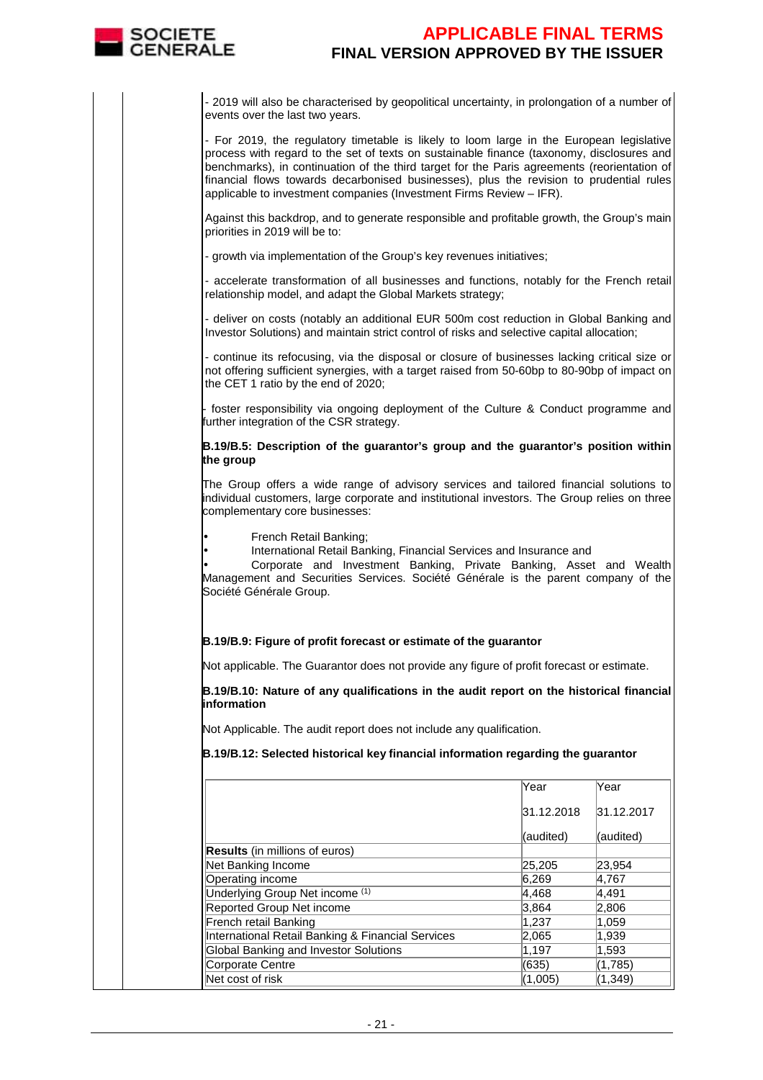

- 2019 will also be characterised by geopolitical uncertainty, in prolongation of a number of events over the last two years.

- For 2019, the regulatory timetable is likely to loom large in the European legislative process with regard to the set of texts on sustainable finance (taxonomy, disclosures and benchmarks), in continuation of the third target for the Paris agreements (reorientation of financial flows towards decarbonised businesses), plus the revision to prudential rules applicable to investment companies (Investment Firms Review – IFR).

Against this backdrop, and to generate responsible and profitable growth, the Group's main priorities in 2019 will be to:

- growth via implementation of the Group's key revenues initiatives;

- accelerate transformation of all businesses and functions, notably for the French retail relationship model, and adapt the Global Markets strategy;

- deliver on costs (notably an additional EUR 500m cost reduction in Global Banking and Investor Solutions) and maintain strict control of risks and selective capital allocation;

- continue its refocusing, via the disposal or closure of businesses lacking critical size or not offering sufficient synergies, with a target raised from 50-60bp to 80-90bp of impact on the CET 1 ratio by the end of 2020;

foster responsibility via ongoing deployment of the Culture & Conduct programme and further integration of the CSR strategy.

#### **B.19/B.5: Description of the guarantor's group and the guarantor's position within the group**

The Group offers a wide range of advisory services and tailored financial solutions to individual customers, large corporate and institutional investors. The Group relies on three complementary core businesses:

• French Retail Banking;

• International Retail Banking, Financial Services and Insurance and

• Corporate and Investment Banking, Private Banking, Asset and Wealth Management and Securities Services. Société Générale is the parent company of the Société Générale Group.

#### **B.19/B.9: Figure of profit forecast or estimate of the guarantor**

Not applicable. The Guarantor does not provide any figure of profit forecast or estimate.

**B.19/B.10: Nature of any qualifications in the audit report on the historical financial information**

Not Applicable. The audit report does not include any qualification.

**B.19/B.12: Selected historical key financial information regarding the guarantor**

|                                                   | Year       | Year       |
|---------------------------------------------------|------------|------------|
|                                                   | 31.12.2018 | 31.12.2017 |
|                                                   | (audited)  | (audited)  |
| <b>Results</b> (in millions of euros)             |            |            |
| Net Banking Income                                | 25,205     | 23.954     |
| Operating income                                  | 6,269      | 4,767      |
| Underlying Group Net income (1)                   | 4,468      | 4,491      |
| Reported Group Net income                         | 3,864      | 2,806      |
| French retail Banking                             | 1.237      | 1,059      |
| International Retail Banking & Financial Services | 2,065      | 1,939      |
| Global Banking and Investor Solutions             | 1,197      | 1,593      |
| Corporate Centre                                  | (635)      | (1,785)    |
| Net cost of risk                                  | (1,005)    | (1,349)    |
|                                                   |            |            |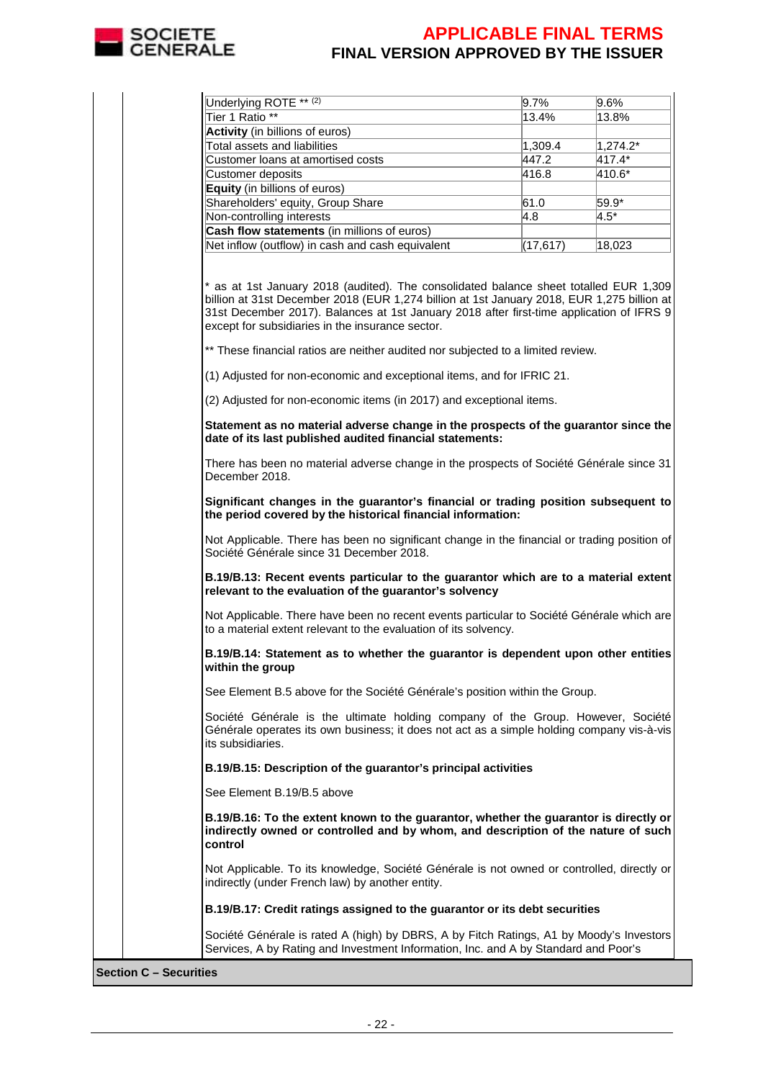

| Underlying ROTE <sup>** (2)</sup>                                                                                                                                                                                                                                                                                                                                                                                                                                                                 | 9.7%      | 9.6%        |
|---------------------------------------------------------------------------------------------------------------------------------------------------------------------------------------------------------------------------------------------------------------------------------------------------------------------------------------------------------------------------------------------------------------------------------------------------------------------------------------------------|-----------|-------------|
| Tier 1 Ratio **                                                                                                                                                                                                                                                                                                                                                                                                                                                                                   | 13.4%     | 13.8%       |
| Activity (in billions of euros)                                                                                                                                                                                                                                                                                                                                                                                                                                                                   |           |             |
| Total assets and liabilities                                                                                                                                                                                                                                                                                                                                                                                                                                                                      | 1,309.4   | $1,274.2^*$ |
| Customer loans at amortised costs                                                                                                                                                                                                                                                                                                                                                                                                                                                                 | 447.2     | 417.4*      |
| Customer deposits                                                                                                                                                                                                                                                                                                                                                                                                                                                                                 | 416.8     | 410.6*      |
| Equity (in billions of euros)                                                                                                                                                                                                                                                                                                                                                                                                                                                                     |           |             |
| Shareholders' equity, Group Share                                                                                                                                                                                                                                                                                                                                                                                                                                                                 | 61.0      | 59.9*       |
| Non-controlling interests                                                                                                                                                                                                                                                                                                                                                                                                                                                                         | 4.8       | $4.5^*$     |
| Cash flow statements (in millions of euros)                                                                                                                                                                                                                                                                                                                                                                                                                                                       |           |             |
| Net inflow (outflow) in cash and cash equivalent                                                                                                                                                                                                                                                                                                                                                                                                                                                  | (17, 617) | 18,023      |
| * as at 1st January 2018 (audited). The consolidated balance sheet totalled EUR 1,309<br>billion at 31st December 2018 (EUR 1,274 billion at 1st January 2018, EUR 1,275 billion at<br>31st December 2017). Balances at 1st January 2018 after first-time application of IFRS 9<br>except for subsidiaries in the insurance sector.<br>** These financial ratios are neither audited nor subjected to a limited review.<br>(1) Adjusted for non-economic and exceptional items, and for IFRIC 21. |           |             |
| (2) Adjusted for non-economic items (in 2017) and exceptional items.                                                                                                                                                                                                                                                                                                                                                                                                                              |           |             |
| Statement as no material adverse change in the prospects of the guarantor since the<br>date of its last published audited financial statements:                                                                                                                                                                                                                                                                                                                                                   |           |             |
| There has been no material adverse change in the prospects of Société Générale since 31<br>December 2018.                                                                                                                                                                                                                                                                                                                                                                                         |           |             |
| Significant changes in the guarantor's financial or trading position subsequent to<br>the period covered by the historical financial information:                                                                                                                                                                                                                                                                                                                                                 |           |             |
| Not Applicable. There has been no significant change in the financial or trading position of<br>Société Générale since 31 December 2018.                                                                                                                                                                                                                                                                                                                                                          |           |             |
| B.19/B.13: Recent events particular to the guarantor which are to a material extent<br>relevant to the evaluation of the guarantor's solvency                                                                                                                                                                                                                                                                                                                                                     |           |             |
| Not Applicable. There have been no recent events particular to Société Générale which are<br>to a material extent relevant to the evaluation of its solvency.                                                                                                                                                                                                                                                                                                                                     |           |             |
| B.19/B.14: Statement as to whether the guarantor is dependent upon other entities<br>within the group                                                                                                                                                                                                                                                                                                                                                                                             |           |             |
| See Element B.5 above for the Société Générale's position within the Group.                                                                                                                                                                                                                                                                                                                                                                                                                       |           |             |
| Société Générale is the ultimate holding company of the Group. However, Société<br>Générale operates its own business; it does not act as a simple holding company vis-à-vis<br>its subsidiaries.                                                                                                                                                                                                                                                                                                 |           |             |
| B.19/B.15: Description of the guarantor's principal activities                                                                                                                                                                                                                                                                                                                                                                                                                                    |           |             |
| See Element B.19/B.5 above                                                                                                                                                                                                                                                                                                                                                                                                                                                                        |           |             |
| B.19/B.16: To the extent known to the guarantor, whether the guarantor is directly or<br>indirectly owned or controlled and by whom, and description of the nature of such<br>control                                                                                                                                                                                                                                                                                                             |           |             |
| Not Applicable. To its knowledge, Société Générale is not owned or controlled, directly or<br>indirectly (under French law) by another entity.                                                                                                                                                                                                                                                                                                                                                    |           |             |
| B.19/B.17: Credit ratings assigned to the guarantor or its debt securities                                                                                                                                                                                                                                                                                                                                                                                                                        |           |             |
| Société Générale is rated A (high) by DBRS, A by Fitch Ratings, A1 by Moody's Investors<br>Services, A by Rating and Investment Information, Inc. and A by Standard and Poor's                                                                                                                                                                                                                                                                                                                    |           |             |

**Section C – Securities**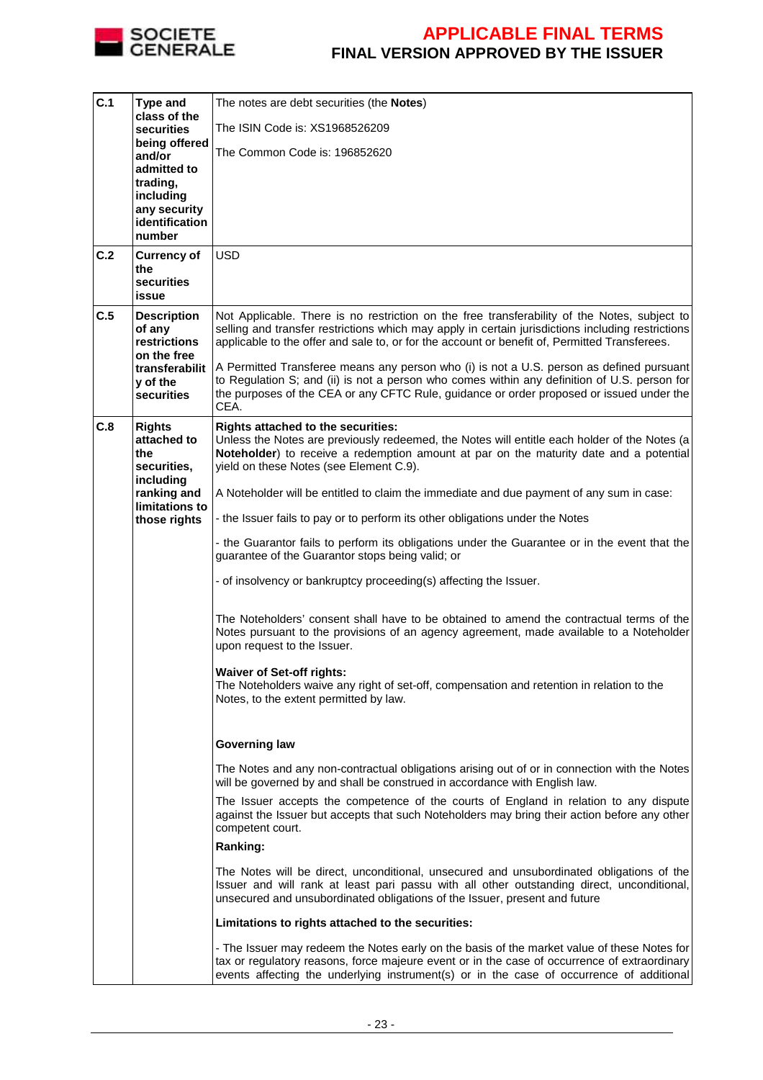

| C.1 | <b>Type and</b><br>class of the<br>securities<br>being offered<br>and/or | The notes are debt securities (the <b>Notes</b> )                                                                                                                                                                                                                                            |
|-----|--------------------------------------------------------------------------|----------------------------------------------------------------------------------------------------------------------------------------------------------------------------------------------------------------------------------------------------------------------------------------------|
|     |                                                                          | The ISIN Code is: XS1968526209                                                                                                                                                                                                                                                               |
|     |                                                                          | The Common Code is: 196852620                                                                                                                                                                                                                                                                |
|     | admitted to                                                              |                                                                                                                                                                                                                                                                                              |
|     | trading,<br>including                                                    |                                                                                                                                                                                                                                                                                              |
|     | any security<br>identification                                           |                                                                                                                                                                                                                                                                                              |
|     | number                                                                   |                                                                                                                                                                                                                                                                                              |
| C.2 | <b>Currency of</b><br>the                                                | <b>USD</b>                                                                                                                                                                                                                                                                                   |
|     | securities                                                               |                                                                                                                                                                                                                                                                                              |
| C.5 | issue<br><b>Description</b>                                              | Not Applicable. There is no restriction on the free transferability of the Notes, subject to                                                                                                                                                                                                 |
|     | of any<br>restrictions                                                   | selling and transfer restrictions which may apply in certain jurisdictions including restrictions<br>applicable to the offer and sale to, or for the account or benefit of, Permitted Transferees.                                                                                           |
|     | on the free<br>transferabilit<br>y of the<br>securities                  | A Permitted Transferee means any person who (i) is not a U.S. person as defined pursuant<br>to Regulation S; and (ii) is not a person who comes within any definition of U.S. person for<br>the purposes of the CEA or any CFTC Rule, guidance or order proposed or issued under the<br>CEA. |
| C.8 | <b>Rights</b>                                                            | <b>Rights attached to the securities:</b>                                                                                                                                                                                                                                                    |
|     | attached to                                                              | Unless the Notes are previously redeemed, the Notes will entitle each holder of the Notes (a                                                                                                                                                                                                 |
|     | the<br>securities,                                                       | Noteholder) to receive a redemption amount at par on the maturity date and a potential<br>yield on these Notes (see Element C.9).                                                                                                                                                            |
|     | including<br>ranking and                                                 | A Noteholder will be entitled to claim the immediate and due payment of any sum in case:                                                                                                                                                                                                     |
|     | limitations to<br>those rights                                           | - the Issuer fails to pay or to perform its other obligations under the Notes                                                                                                                                                                                                                |
|     |                                                                          | - the Guarantor fails to perform its obligations under the Guarantee or in the event that the                                                                                                                                                                                                |
|     |                                                                          | guarantee of the Guarantor stops being valid; or                                                                                                                                                                                                                                             |
|     |                                                                          | - of insolvency or bankruptcy proceeding(s) affecting the Issuer.                                                                                                                                                                                                                            |
|     |                                                                          | The Noteholders' consent shall have to be obtained to amend the contractual terms of the<br>Notes pursuant to the provisions of an agency agreement, made available to a Noteholder<br>upon request to the Issuer.                                                                           |
|     |                                                                          | <b>Waiver of Set-off rights:</b>                                                                                                                                                                                                                                                             |
|     |                                                                          | The Noteholders waive any right of set-off, compensation and retention in relation to the<br>Notes, to the extent permitted by law.                                                                                                                                                          |
|     |                                                                          | <b>Governing law</b>                                                                                                                                                                                                                                                                         |
|     |                                                                          | The Notes and any non-contractual obligations arising out of or in connection with the Notes<br>will be governed by and shall be construed in accordance with English law.                                                                                                                   |
|     |                                                                          | The Issuer accepts the competence of the courts of England in relation to any dispute<br>against the Issuer but accepts that such Noteholders may bring their action before any other<br>competent court.                                                                                    |
|     |                                                                          | Ranking:                                                                                                                                                                                                                                                                                     |
|     |                                                                          | The Notes will be direct, unconditional, unsecured and unsubordinated obligations of the<br>Issuer and will rank at least pari passu with all other outstanding direct, unconditional,<br>unsecured and unsubordinated obligations of the Issuer, present and future                         |
|     |                                                                          | Limitations to rights attached to the securities:                                                                                                                                                                                                                                            |
|     |                                                                          | - The Issuer may redeem the Notes early on the basis of the market value of these Notes for<br>tax or regulatory reasons, force majeure event or in the case of occurrence of extraordinary<br>events affecting the underlying instrument(s) or in the case of occurrence of additional      |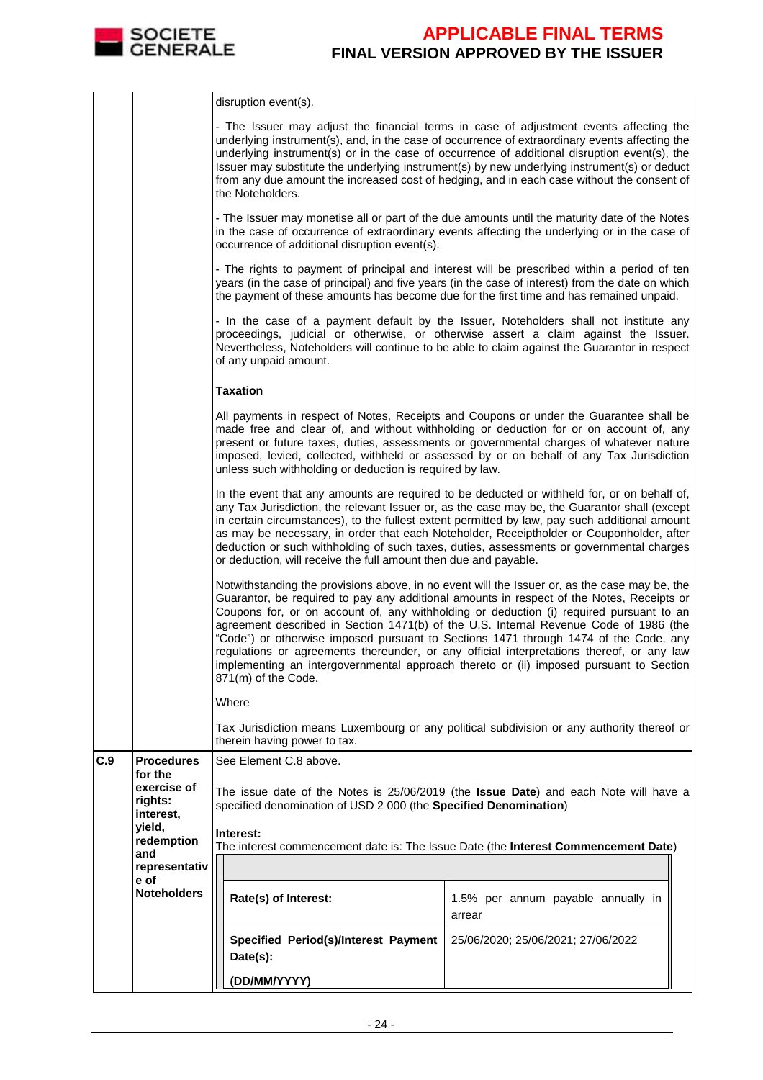

|     |                                     | disruption event(s).                                                                                                                                                                                                                                                                                                                                                                                                                                                                                                                                      |                                                                                                                                                                                                                                                                                                                                                                                                                                                                                                                                                                                                                                                               |  |  |  |
|-----|-------------------------------------|-----------------------------------------------------------------------------------------------------------------------------------------------------------------------------------------------------------------------------------------------------------------------------------------------------------------------------------------------------------------------------------------------------------------------------------------------------------------------------------------------------------------------------------------------------------|---------------------------------------------------------------------------------------------------------------------------------------------------------------------------------------------------------------------------------------------------------------------------------------------------------------------------------------------------------------------------------------------------------------------------------------------------------------------------------------------------------------------------------------------------------------------------------------------------------------------------------------------------------------|--|--|--|
|     |                                     | the Noteholders.                                                                                                                                                                                                                                                                                                                                                                                                                                                                                                                                          | - The Issuer may adjust the financial terms in case of adjustment events affecting the<br>underlying instrument(s), and, in the case of occurrence of extraordinary events affecting the<br>underlying instrument(s) or in the case of occurrence of additional disruption event(s), the<br>Issuer may substitute the underlying instrument(s) by new underlying instrument(s) or deduct<br>from any due amount the increased cost of hedging, and in each case without the consent of                                                                                                                                                                        |  |  |  |
|     |                                     | occurrence of additional disruption event(s).                                                                                                                                                                                                                                                                                                                                                                                                                                                                                                             | - The Issuer may monetise all or part of the due amounts until the maturity date of the Notes<br>in the case of occurrence of extraordinary events affecting the underlying or in the case of                                                                                                                                                                                                                                                                                                                                                                                                                                                                 |  |  |  |
|     |                                     |                                                                                                                                                                                                                                                                                                                                                                                                                                                                                                                                                           | - The rights to payment of principal and interest will be prescribed within a period of ten<br>years (in the case of principal) and five years (in the case of interest) from the date on which<br>the payment of these amounts has become due for the first time and has remained unpaid.                                                                                                                                                                                                                                                                                                                                                                    |  |  |  |
|     |                                     | of any unpaid amount.                                                                                                                                                                                                                                                                                                                                                                                                                                                                                                                                     | - In the case of a payment default by the Issuer, Noteholders shall not institute any<br>proceedings, judicial or otherwise, or otherwise assert a claim against the Issuer.<br>Nevertheless, Noteholders will continue to be able to claim against the Guarantor in respect                                                                                                                                                                                                                                                                                                                                                                                  |  |  |  |
|     |                                     | <b>Taxation</b>                                                                                                                                                                                                                                                                                                                                                                                                                                                                                                                                           |                                                                                                                                                                                                                                                                                                                                                                                                                                                                                                                                                                                                                                                               |  |  |  |
|     |                                     | unless such withholding or deduction is required by law.                                                                                                                                                                                                                                                                                                                                                                                                                                                                                                  | All payments in respect of Notes, Receipts and Coupons or under the Guarantee shall be<br>made free and clear of, and without withholding or deduction for or on account of, any<br>present or future taxes, duties, assessments or governmental charges of whatever nature<br>imposed, levied, collected, withheld or assessed by or on behalf of any Tax Jurisdiction                                                                                                                                                                                                                                                                                       |  |  |  |
|     |                                     | In the event that any amounts are required to be deducted or withheld for, or on behalf of,<br>any Tax Jurisdiction, the relevant Issuer or, as the case may be, the Guarantor shall (except<br>in certain circumstances), to the fullest extent permitted by law, pay such additional amount<br>as may be necessary, in order that each Noteholder, Receiptholder or Couponholder, after<br>deduction or such withholding of such taxes, duties, assessments or governmental charges<br>or deduction, will receive the full amount then due and payable. |                                                                                                                                                                                                                                                                                                                                                                                                                                                                                                                                                                                                                                                               |  |  |  |
|     |                                     | 871(m) of the Code.                                                                                                                                                                                                                                                                                                                                                                                                                                                                                                                                       | Notwithstanding the provisions above, in no event will the Issuer or, as the case may be, the<br>Guarantor, be required to pay any additional amounts in respect of the Notes, Receipts or<br>Coupons for, or on account of, any withholding or deduction (i) required pursuant to an<br>agreement described in Section 1471(b) of the U.S. Internal Revenue Code of 1986 (the<br>"Code") or otherwise imposed pursuant to Sections 1471 through 1474 of the Code, any<br>regulations or agreements thereunder, or any official interpretations thereof, or any law<br>implementing an intergovernmental approach thereto or (ii) imposed pursuant to Section |  |  |  |
|     |                                     | Where                                                                                                                                                                                                                                                                                                                                                                                                                                                                                                                                                     |                                                                                                                                                                                                                                                                                                                                                                                                                                                                                                                                                                                                                                                               |  |  |  |
|     |                                     | therein having power to tax.                                                                                                                                                                                                                                                                                                                                                                                                                                                                                                                              | Tax Jurisdiction means Luxembourg or any political subdivision or any authority thereof or                                                                                                                                                                                                                                                                                                                                                                                                                                                                                                                                                                    |  |  |  |
| C.9 | <b>Procedures</b><br>for the        | See Element C.8 above.                                                                                                                                                                                                                                                                                                                                                                                                                                                                                                                                    |                                                                                                                                                                                                                                                                                                                                                                                                                                                                                                                                                                                                                                                               |  |  |  |
|     | exercise of<br>rights:<br>interest, | specified denomination of USD 2 000 (the Specified Denomination)                                                                                                                                                                                                                                                                                                                                                                                                                                                                                          | The issue date of the Notes is 25/06/2019 (the Issue Date) and each Note will have a                                                                                                                                                                                                                                                                                                                                                                                                                                                                                                                                                                          |  |  |  |
|     | yield,<br>redemption                | Interest:                                                                                                                                                                                                                                                                                                                                                                                                                                                                                                                                                 |                                                                                                                                                                                                                                                                                                                                                                                                                                                                                                                                                                                                                                                               |  |  |  |
|     | and<br>representativ                |                                                                                                                                                                                                                                                                                                                                                                                                                                                                                                                                                           | The interest commencement date is: The Issue Date (the Interest Commencement Date)                                                                                                                                                                                                                                                                                                                                                                                                                                                                                                                                                                            |  |  |  |
|     | e of<br><b>Noteholders</b>          | Rate(s) of Interest:                                                                                                                                                                                                                                                                                                                                                                                                                                                                                                                                      | 1.5% per annum payable annually in                                                                                                                                                                                                                                                                                                                                                                                                                                                                                                                                                                                                                            |  |  |  |
|     |                                     | Specified Period(s)/Interest Payment<br>Date(s):                                                                                                                                                                                                                                                                                                                                                                                                                                                                                                          | arrear<br>25/06/2020; 25/06/2021; 27/06/2022                                                                                                                                                                                                                                                                                                                                                                                                                                                                                                                                                                                                                  |  |  |  |
|     |                                     | (DD/MM/YYYY)                                                                                                                                                                                                                                                                                                                                                                                                                                                                                                                                              |                                                                                                                                                                                                                                                                                                                                                                                                                                                                                                                                                                                                                                                               |  |  |  |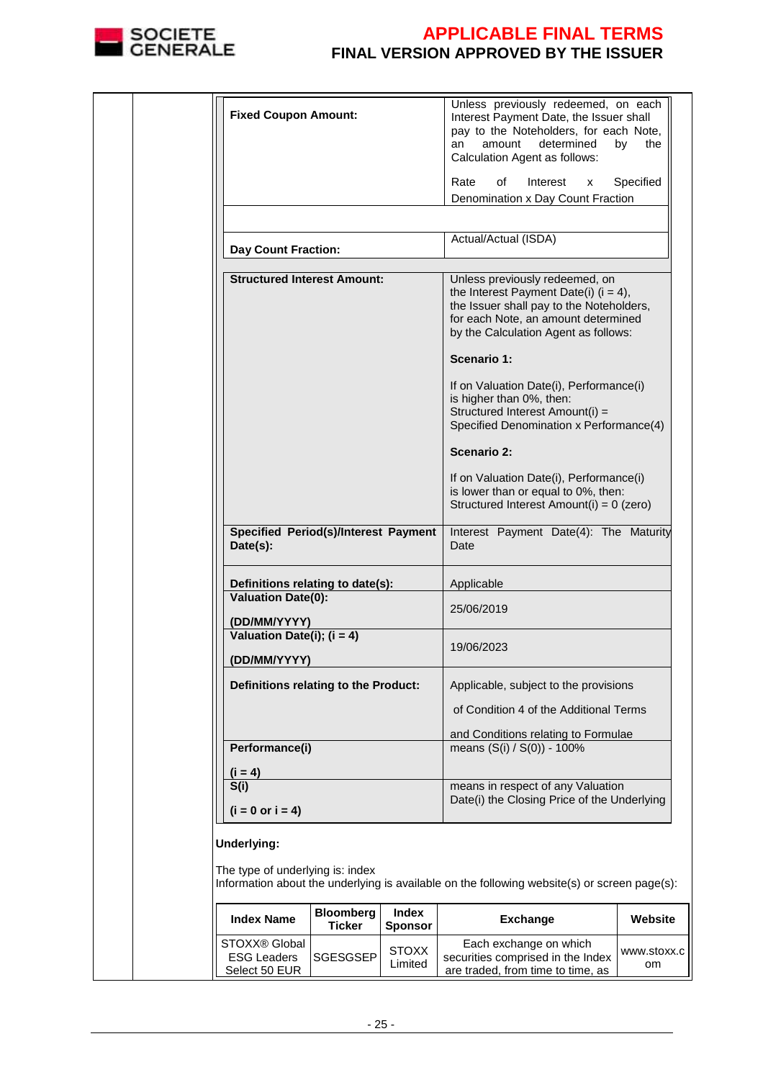

|  | <b>Fixed Coupon Amount:</b>                             |                                   |                         | Unless previously redeemed, on each<br>Interest Payment Date, the Issuer shall<br>pay to the Noteholders, for each Note,<br>determined<br>amount<br>an<br>Calculation Agent as follows:               | by<br>the   |
|--|---------------------------------------------------------|-----------------------------------|-------------------------|-------------------------------------------------------------------------------------------------------------------------------------------------------------------------------------------------------|-------------|
|  |                                                         |                                   |                         | Rate<br>of<br>Interest<br>x                                                                                                                                                                           | Specified   |
|  |                                                         |                                   |                         | Denomination x Day Count Fraction                                                                                                                                                                     |             |
|  |                                                         |                                   |                         |                                                                                                                                                                                                       |             |
|  | <b>Day Count Fraction:</b>                              |                                   |                         | Actual/Actual (ISDA)                                                                                                                                                                                  |             |
|  | <b>Structured Interest Amount:</b>                      |                                   |                         | Unless previously redeemed, on<br>the Interest Payment Date(i) $(i = 4)$ ,<br>the Issuer shall pay to the Noteholders,<br>for each Note, an amount determined<br>by the Calculation Agent as follows: |             |
|  |                                                         |                                   |                         | Scenario 1:                                                                                                                                                                                           |             |
|  |                                                         |                                   |                         | If on Valuation Date(i), Performance(i)<br>is higher than 0%, then:<br>Structured Interest Amount(i) =<br>Specified Denomination x Performance(4)                                                     |             |
|  |                                                         |                                   |                         | Scenario 2:                                                                                                                                                                                           |             |
|  |                                                         |                                   |                         | If on Valuation Date(i), Performance(i)<br>is lower than or equal to 0%, then:<br>Structured Interest Amount(i) = 0 (zero)                                                                            |             |
|  | <b>Specified Period(s)/Interest Payment</b><br>Date(s): |                                   |                         | Interest Payment Date(4): The Maturity<br>Date                                                                                                                                                        |             |
|  | Definitions relating to date(s):                        |                                   |                         | Applicable                                                                                                                                                                                            |             |
|  | <b>Valuation Date(0):</b>                               |                                   |                         |                                                                                                                                                                                                       |             |
|  | (DD/MM/YYYY)                                            |                                   |                         | 25/06/2019                                                                                                                                                                                            |             |
|  | Valuation Date(i); $(i = 4)$                            |                                   |                         |                                                                                                                                                                                                       |             |
|  | (DD/MM/YYYY)                                            |                                   |                         | 19/06/2023                                                                                                                                                                                            |             |
|  | Definitions relating to the Product:                    |                                   |                         | Applicable, subject to the provisions                                                                                                                                                                 |             |
|  |                                                         |                                   |                         | of Condition 4 of the Additional Terms                                                                                                                                                                |             |
|  |                                                         |                                   |                         | and Conditions relating to Formulae                                                                                                                                                                   |             |
|  | Performance(i)                                          |                                   |                         | means (S(i) / S(0)) - 100%                                                                                                                                                                            |             |
|  | $(i = 4)$                                               |                                   |                         |                                                                                                                                                                                                       |             |
|  | S(i)                                                    |                                   |                         | means in respect of any Valuation                                                                                                                                                                     |             |
|  | $(i = 0 or i = 4)$                                      |                                   |                         | Date(i) the Closing Price of the Underlying                                                                                                                                                           |             |
|  |                                                         |                                   |                         |                                                                                                                                                                                                       |             |
|  | Underlying:                                             |                                   |                         |                                                                                                                                                                                                       |             |
|  | The type of underlying is: index                        |                                   |                         |                                                                                                                                                                                                       |             |
|  |                                                         |                                   |                         | Information about the underlying is available on the following website(s) or screen page(s):                                                                                                          |             |
|  | <b>Index Name</b>                                       | <b>Bloomberg</b><br><b>Ticker</b> | Index<br><b>Sponsor</b> | <b>Exchange</b>                                                                                                                                                                                       | Website     |
|  | STOXX® Global                                           |                                   | <b>STOXX</b>            | Each exchange on which                                                                                                                                                                                | www.stoxx.c |
|  | <b>ESG Leaders</b><br>Select 50 EUR                     | SGESGSEP                          | Limited                 | securities comprised in the Index<br>are traded, from time to time, as                                                                                                                                | om          |
|  |                                                         |                                   |                         |                                                                                                                                                                                                       |             |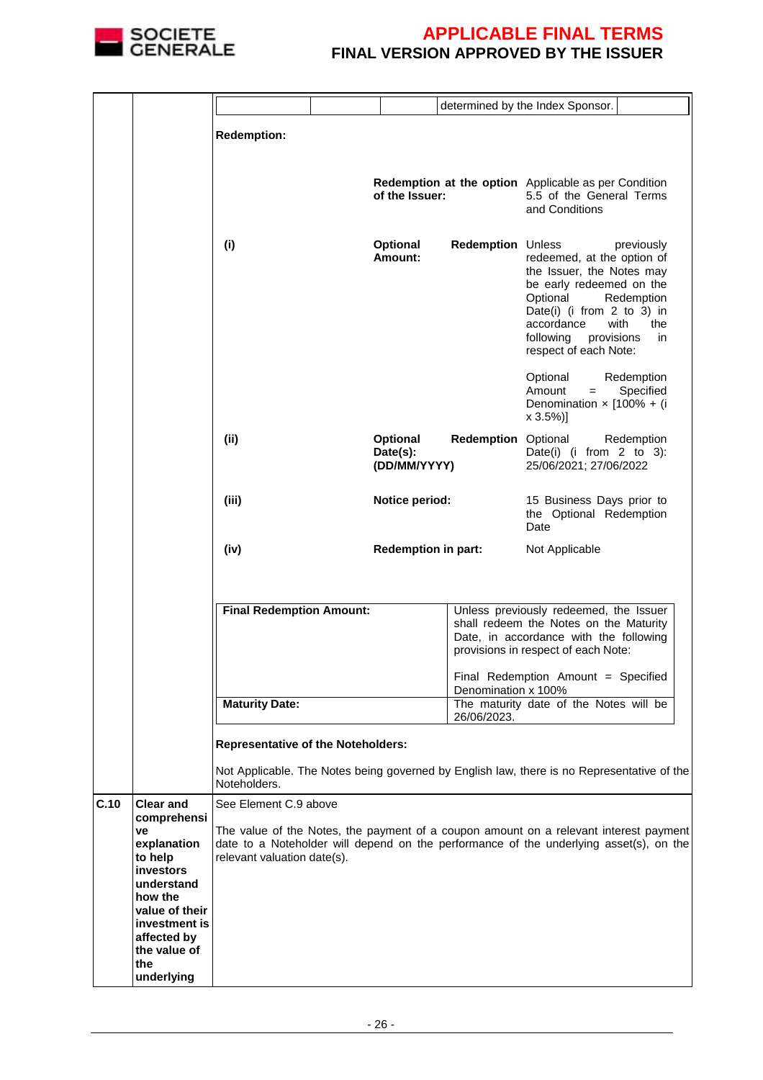

|      |                                                                                                |                                           |  |                                      |                            | determined by the Index Sponsor.                                                                                                                                                                                                                  |
|------|------------------------------------------------------------------------------------------------|-------------------------------------------|--|--------------------------------------|----------------------------|---------------------------------------------------------------------------------------------------------------------------------------------------------------------------------------------------------------------------------------------------|
|      |                                                                                                |                                           |  |                                      |                            |                                                                                                                                                                                                                                                   |
|      |                                                                                                | <b>Redemption:</b>                        |  |                                      |                            |                                                                                                                                                                                                                                                   |
|      |                                                                                                |                                           |  | of the Issuer:                       |                            | Redemption at the option Applicable as per Condition<br>5.5 of the General Terms<br>and Conditions                                                                                                                                                |
|      |                                                                                                | (i)                                       |  | Optional<br>Amount:                  | <b>Redemption Unless</b>   | previously<br>redeemed, at the option of<br>the Issuer, the Notes may<br>be early redeemed on the<br>Optional<br>Redemption<br>Date(i) (i from 2 to 3) in<br>accordance<br>with<br>the<br>following<br>provisions<br>in.<br>respect of each Note: |
|      |                                                                                                |                                           |  |                                      |                            | Optional<br>Redemption<br>Amount<br>Specified<br>$=$<br>Denomination $\times$ [100% + (i<br>$x 3.5\%)$                                                                                                                                            |
|      |                                                                                                | (ii)                                      |  | Optional<br>Date(s):<br>(DD/MM/YYYY) | <b>Redemption Optional</b> | Redemption<br>Date(i) (i from $2$ to $3$ ):<br>25/06/2021; 27/06/2022                                                                                                                                                                             |
|      |                                                                                                | (iii)                                     |  | Notice period:                       |                            | 15 Business Days prior to<br>the Optional Redemption<br>Date                                                                                                                                                                                      |
|      |                                                                                                | (iv)                                      |  | <b>Redemption in part:</b>           |                            | Not Applicable                                                                                                                                                                                                                                    |
|      |                                                                                                |                                           |  |                                      |                            |                                                                                                                                                                                                                                                   |
|      |                                                                                                |                                           |  |                                      |                            |                                                                                                                                                                                                                                                   |
|      |                                                                                                | <b>Final Redemption Amount:</b>           |  |                                      |                            | Unless previously redeemed, the Issuer<br>shall redeem the Notes on the Maturity<br>Date, in accordance with the following<br>provisions in respect of each Note:                                                                                 |
|      |                                                                                                |                                           |  |                                      |                            | Final Redemption Amount = Specified                                                                                                                                                                                                               |
|      |                                                                                                | <b>Maturity Date:</b>                     |  |                                      | Denomination x 100%        | The maturity date of the Notes will be                                                                                                                                                                                                            |
|      |                                                                                                |                                           |  |                                      | 26/06/2023.                |                                                                                                                                                                                                                                                   |
|      |                                                                                                | <b>Representative of the Noteholders:</b> |  |                                      |                            |                                                                                                                                                                                                                                                   |
|      |                                                                                                | Noteholders.                              |  |                                      |                            | Not Applicable. The Notes being governed by English law, there is no Representative of the                                                                                                                                                        |
| C.10 | <b>Clear and</b><br>comprehensi                                                                | See Element C.9 above                     |  |                                      |                            |                                                                                                                                                                                                                                                   |
|      | ve<br>explanation<br>to help<br>investors<br>understand                                        | relevant valuation date(s).               |  |                                      |                            | The value of the Notes, the payment of a coupon amount on a relevant interest payment<br>date to a Noteholder will depend on the performance of the underlying asset(s), on the                                                                   |
|      | how the<br>value of their<br>investment is<br>affected by<br>the value of<br>the<br>underlying |                                           |  |                                      |                            |                                                                                                                                                                                                                                                   |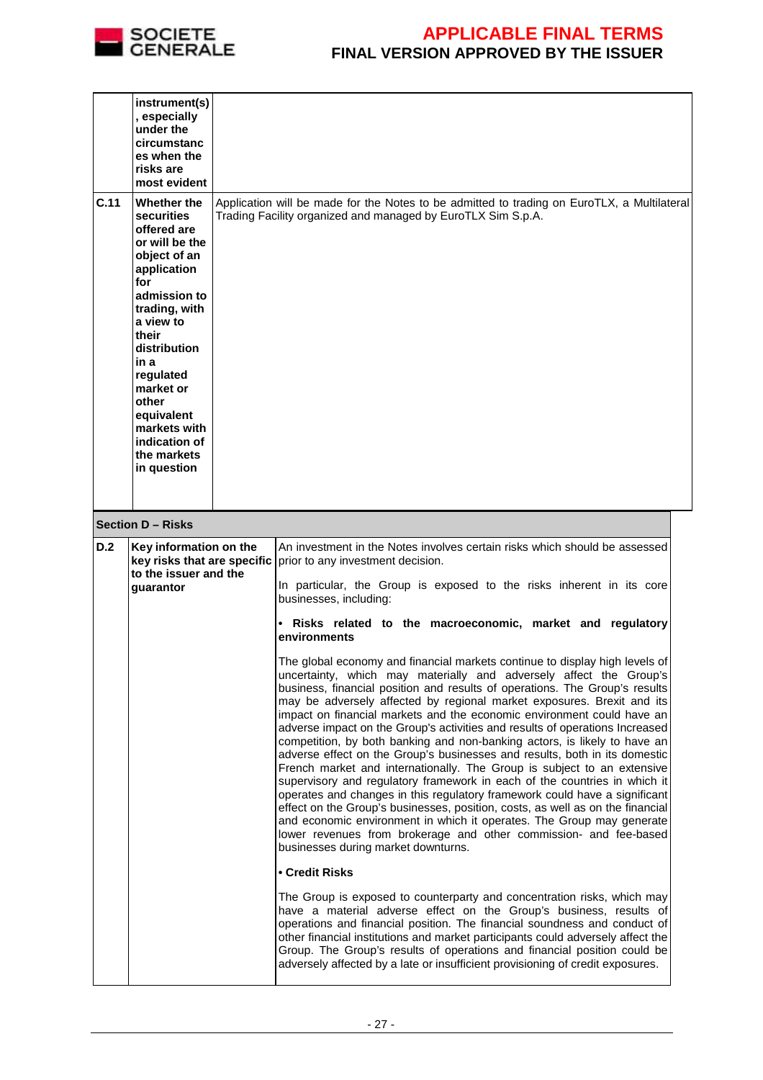

|      | instrument(s)<br>, especially<br>under the<br>circumstanc<br>es when the<br>risks are<br>most evident                                                                                                                                                                                           |                                                                                                                                                                                                                                                                                                                                                                                                                                                                                                                                                                                                                                                                                                                                                                                                                                                                                                                                                                                                                                                                                                                                                                                                                                                                                                                                                                                                                                                                                                                                                                                                                                                                                                                                                                                                                                                                                                                                                               |  |
|------|-------------------------------------------------------------------------------------------------------------------------------------------------------------------------------------------------------------------------------------------------------------------------------------------------|---------------------------------------------------------------------------------------------------------------------------------------------------------------------------------------------------------------------------------------------------------------------------------------------------------------------------------------------------------------------------------------------------------------------------------------------------------------------------------------------------------------------------------------------------------------------------------------------------------------------------------------------------------------------------------------------------------------------------------------------------------------------------------------------------------------------------------------------------------------------------------------------------------------------------------------------------------------------------------------------------------------------------------------------------------------------------------------------------------------------------------------------------------------------------------------------------------------------------------------------------------------------------------------------------------------------------------------------------------------------------------------------------------------------------------------------------------------------------------------------------------------------------------------------------------------------------------------------------------------------------------------------------------------------------------------------------------------------------------------------------------------------------------------------------------------------------------------------------------------------------------------------------------------------------------------------------------------|--|
| C.11 | Whether the<br>securities<br>offered are<br>or will be the<br>object of an<br>application<br>for<br>admission to<br>trading, with<br>a view to<br>their<br>distribution<br>in a<br>regulated<br>market or<br>other<br>equivalent<br>markets with<br>indication of<br>the markets<br>in question | Application will be made for the Notes to be admitted to trading on EuroTLX, a Multilateral<br>Trading Facility organized and managed by EuroTLX Sim S.p.A.                                                                                                                                                                                                                                                                                                                                                                                                                                                                                                                                                                                                                                                                                                                                                                                                                                                                                                                                                                                                                                                                                                                                                                                                                                                                                                                                                                                                                                                                                                                                                                                                                                                                                                                                                                                                   |  |
|      | <b>Section D - Risks</b>                                                                                                                                                                                                                                                                        |                                                                                                                                                                                                                                                                                                                                                                                                                                                                                                                                                                                                                                                                                                                                                                                                                                                                                                                                                                                                                                                                                                                                                                                                                                                                                                                                                                                                                                                                                                                                                                                                                                                                                                                                                                                                                                                                                                                                                               |  |
| D.2  | Key information on the<br>key risks that are specific<br>to the issuer and the<br>guarantor                                                                                                                                                                                                     | An investment in the Notes involves certain risks which should be assessed<br>prior to any investment decision.<br>In particular, the Group is exposed to the risks inherent in its core<br>businesses, including:<br>Risks related to the macroeconomic, market and regulatory<br>$\bullet$<br>environments<br>The global economy and financial markets continue to display high levels of<br>uncertainty, which may materially and adversely affect the Group's<br>business, financial position and results of operations. The Group's results<br>may be adversely affected by regional market exposures. Brexit and its<br>impact on financial markets and the economic environment could have an<br>adverse impact on the Group's activities and results of operations Increased<br>competition, by both banking and non-banking actors, is likely to have an<br>adverse effect on the Group's businesses and results, both in its domestic<br>French market and internationally. The Group is subject to an extensive<br>supervisory and regulatory framework in each of the countries in which it<br>operates and changes in this regulatory framework could have a significant<br>effect on the Group's businesses, position, costs, as well as on the financial<br>and economic environment in which it operates. The Group may generate<br>lower revenues from brokerage and other commission- and fee-based<br>businesses during market downturns.<br>• Credit Risks<br>The Group is exposed to counterparty and concentration risks, which may<br>have a material adverse effect on the Group's business, results of<br>operations and financial position. The financial soundness and conduct of<br>other financial institutions and market participants could adversely affect the<br>Group. The Group's results of operations and financial position could be<br>adversely affected by a late or insufficient provisioning of credit exposures. |  |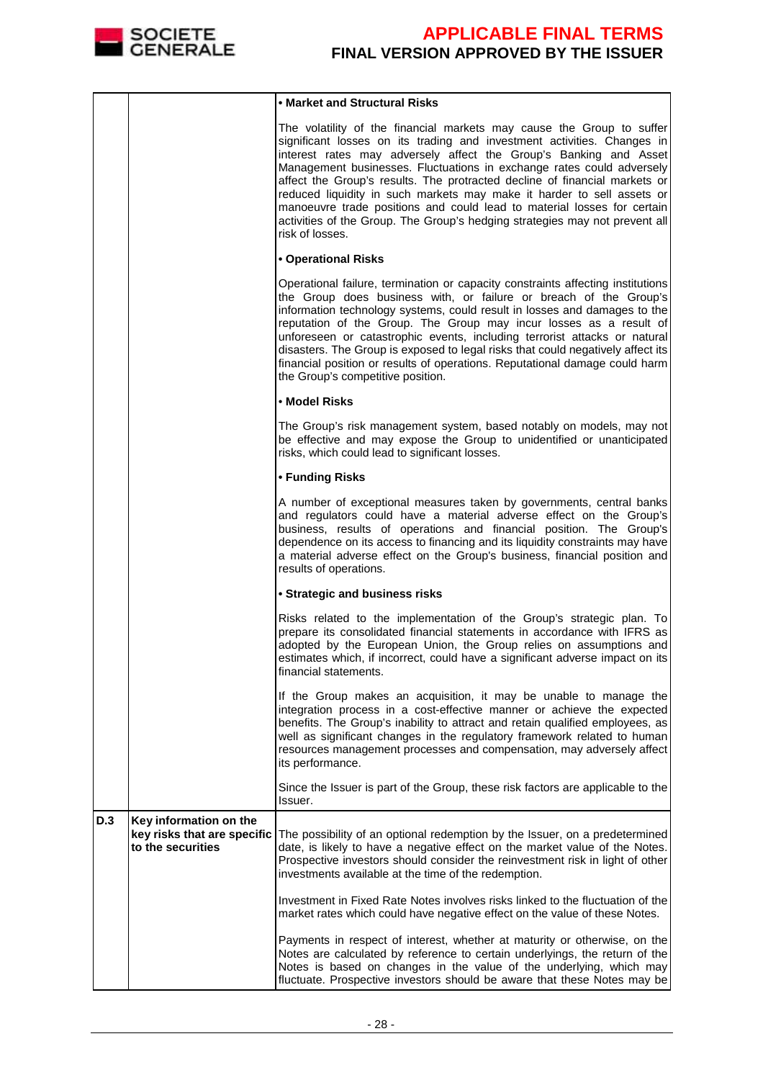

|     |                                                                            | • Market and Structural Risks                                                                                                                                                                                                                                                                                                                                                                                                                                                                                                                                                                                                       |
|-----|----------------------------------------------------------------------------|-------------------------------------------------------------------------------------------------------------------------------------------------------------------------------------------------------------------------------------------------------------------------------------------------------------------------------------------------------------------------------------------------------------------------------------------------------------------------------------------------------------------------------------------------------------------------------------------------------------------------------------|
|     |                                                                            | The volatility of the financial markets may cause the Group to suffer<br>significant losses on its trading and investment activities. Changes in<br>interest rates may adversely affect the Group's Banking and Asset<br>Management businesses. Fluctuations in exchange rates could adversely<br>affect the Group's results. The protracted decline of financial markets or<br>reduced liquidity in such markets may make it harder to sell assets or<br>manoeuvre trade positions and could lead to material losses for certain<br>activities of the Group. The Group's hedging strategies may not prevent all<br>risk of losses. |
|     |                                                                            | <b>• Operational Risks</b>                                                                                                                                                                                                                                                                                                                                                                                                                                                                                                                                                                                                          |
|     |                                                                            | Operational failure, termination or capacity constraints affecting institutions<br>the Group does business with, or failure or breach of the Group's<br>information technology systems, could result in losses and damages to the<br>reputation of the Group. The Group may incur losses as a result of<br>unforeseen or catastrophic events, including terrorist attacks or natural<br>disasters. The Group is exposed to legal risks that could negatively affect its<br>financial position or results of operations. Reputational damage could harm<br>the Group's competitive position.                                         |
|     |                                                                            | • Model Risks                                                                                                                                                                                                                                                                                                                                                                                                                                                                                                                                                                                                                       |
|     |                                                                            | The Group's risk management system, based notably on models, may not<br>be effective and may expose the Group to unidentified or unanticipated<br>risks, which could lead to significant losses.                                                                                                                                                                                                                                                                                                                                                                                                                                    |
|     |                                                                            | • Funding Risks                                                                                                                                                                                                                                                                                                                                                                                                                                                                                                                                                                                                                     |
|     |                                                                            | A number of exceptional measures taken by governments, central banks<br>and regulators could have a material adverse effect on the Group's<br>business, results of operations and financial position. The Group's<br>dependence on its access to financing and its liquidity constraints may have<br>a material adverse effect on the Group's business, financial position and<br>results of operations.                                                                                                                                                                                                                            |
|     |                                                                            | • Strategic and business risks                                                                                                                                                                                                                                                                                                                                                                                                                                                                                                                                                                                                      |
|     |                                                                            | Risks related to the implementation of the Group's strategic plan. To<br>prepare its consolidated financial statements in accordance with IFRS as<br>adopted by the European Union, the Group relies on assumptions and<br>estimates which, if incorrect, could have a significant adverse impact on its<br>financial statements.                                                                                                                                                                                                                                                                                                   |
|     |                                                                            | If the Group makes an acquisition, it may be unable to manage the<br>integration process in a cost-effective manner or achieve the expected<br>benefits. The Group's inability to attract and retain qualified employees, as<br>well as significant changes in the regulatory framework related to human<br>resources management processes and compensation, may adversely affect<br>its performance.                                                                                                                                                                                                                               |
|     |                                                                            | Since the Issuer is part of the Group, these risk factors are applicable to the<br>Issuer.                                                                                                                                                                                                                                                                                                                                                                                                                                                                                                                                          |
| D.3 | Key information on the<br>key risks that are specific<br>to the securities | The possibility of an optional redemption by the Issuer, on a predetermined<br>date, is likely to have a negative effect on the market value of the Notes.<br>Prospective investors should consider the reinvestment risk in light of other<br>investments available at the time of the redemption.                                                                                                                                                                                                                                                                                                                                 |
|     |                                                                            | Investment in Fixed Rate Notes involves risks linked to the fluctuation of the<br>market rates which could have negative effect on the value of these Notes.                                                                                                                                                                                                                                                                                                                                                                                                                                                                        |
|     |                                                                            | Payments in respect of interest, whether at maturity or otherwise, on the<br>Notes are calculated by reference to certain underlyings, the return of the<br>Notes is based on changes in the value of the underlying, which may<br>fluctuate. Prospective investors should be aware that these Notes may be                                                                                                                                                                                                                                                                                                                         |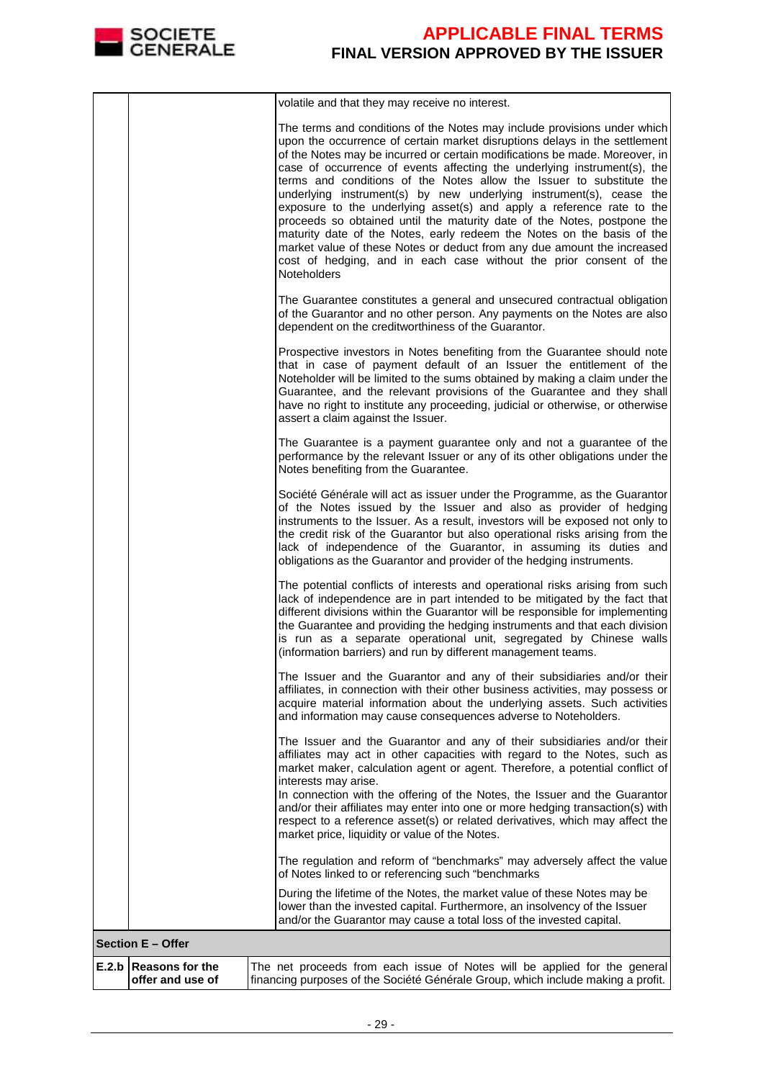

|                                             | volatile and that they may receive no interest.                                                                                                                                                                                                                                                                                                                                                                                                                                                                                                                                                                                                                                                                                                                                                                                                                       |
|---------------------------------------------|-----------------------------------------------------------------------------------------------------------------------------------------------------------------------------------------------------------------------------------------------------------------------------------------------------------------------------------------------------------------------------------------------------------------------------------------------------------------------------------------------------------------------------------------------------------------------------------------------------------------------------------------------------------------------------------------------------------------------------------------------------------------------------------------------------------------------------------------------------------------------|
|                                             | The terms and conditions of the Notes may include provisions under which<br>upon the occurrence of certain market disruptions delays in the settlement<br>of the Notes may be incurred or certain modifications be made. Moreover, in<br>case of occurrence of events affecting the underlying instrument(s), the<br>terms and conditions of the Notes allow the Issuer to substitute the<br>underlying instrument(s) by new underlying instrument(s), cease the<br>exposure to the underlying asset(s) and apply a reference rate to the<br>proceeds so obtained until the maturity date of the Notes, postpone the<br>maturity date of the Notes, early redeem the Notes on the basis of the<br>market value of these Notes or deduct from any due amount the increased<br>cost of hedging, and in each case without the prior consent of the<br><b>Noteholders</b> |
|                                             | The Guarantee constitutes a general and unsecured contractual obligation<br>of the Guarantor and no other person. Any payments on the Notes are also<br>dependent on the creditworthiness of the Guarantor.                                                                                                                                                                                                                                                                                                                                                                                                                                                                                                                                                                                                                                                           |
|                                             | Prospective investors in Notes benefiting from the Guarantee should note<br>that in case of payment default of an Issuer the entitlement of the<br>Noteholder will be limited to the sums obtained by making a claim under the<br>Guarantee, and the relevant provisions of the Guarantee and they shall<br>have no right to institute any proceeding, judicial or otherwise, or otherwise<br>assert a claim against the Issuer.                                                                                                                                                                                                                                                                                                                                                                                                                                      |
|                                             | The Guarantee is a payment guarantee only and not a guarantee of the<br>performance by the relevant Issuer or any of its other obligations under the<br>Notes benefiting from the Guarantee.                                                                                                                                                                                                                                                                                                                                                                                                                                                                                                                                                                                                                                                                          |
|                                             | Société Générale will act as issuer under the Programme, as the Guarantor<br>of the Notes issued by the Issuer and also as provider of hedging<br>instruments to the Issuer. As a result, investors will be exposed not only to<br>the credit risk of the Guarantor but also operational risks arising from the<br>lack of independence of the Guarantor, in assuming its duties and<br>obligations as the Guarantor and provider of the hedging instruments.                                                                                                                                                                                                                                                                                                                                                                                                         |
|                                             | The potential conflicts of interests and operational risks arising from such<br>lack of independence are in part intended to be mitigated by the fact that<br>different divisions within the Guarantor will be responsible for implementing<br>the Guarantee and providing the hedging instruments and that each division<br>is run as a separate operational unit, segregated by Chinese walls<br>(information barriers) and run by different management teams.                                                                                                                                                                                                                                                                                                                                                                                                      |
|                                             | The Issuer and the Guarantor and any of their subsidiaries and/or their<br>affiliates, in connection with their other business activities, may possess or<br>acquire material information about the underlying assets. Such activities<br>and information may cause consequences adverse to Noteholders.                                                                                                                                                                                                                                                                                                                                                                                                                                                                                                                                                              |
|                                             | The Issuer and the Guarantor and any of their subsidiaries and/or their<br>affiliates may act in other capacities with regard to the Notes, such as<br>market maker, calculation agent or agent. Therefore, a potential conflict of<br>interests may arise.<br>In connection with the offering of the Notes, the Issuer and the Guarantor<br>and/or their affiliates may enter into one or more hedging transaction(s) with<br>respect to a reference asset(s) or related derivatives, which may affect the                                                                                                                                                                                                                                                                                                                                                           |
|                                             | market price, liquidity or value of the Notes.<br>The regulation and reform of "benchmarks" may adversely affect the value                                                                                                                                                                                                                                                                                                                                                                                                                                                                                                                                                                                                                                                                                                                                            |
|                                             | of Notes linked to or referencing such "benchmarks<br>During the lifetime of the Notes, the market value of these Notes may be<br>lower than the invested capital. Furthermore, an insolvency of the Issuer<br>and/or the Guarantor may cause a total loss of the invested capital.                                                                                                                                                                                                                                                                                                                                                                                                                                                                                                                                                                                   |
| <b>Section E - Offer</b>                    |                                                                                                                                                                                                                                                                                                                                                                                                                                                                                                                                                                                                                                                                                                                                                                                                                                                                       |
| E.2.b   Reasons for the<br>offer and use of | The net proceeds from each issue of Notes will be applied for the general<br>financing purposes of the Société Générale Group, which include making a profit.                                                                                                                                                                                                                                                                                                                                                                                                                                                                                                                                                                                                                                                                                                         |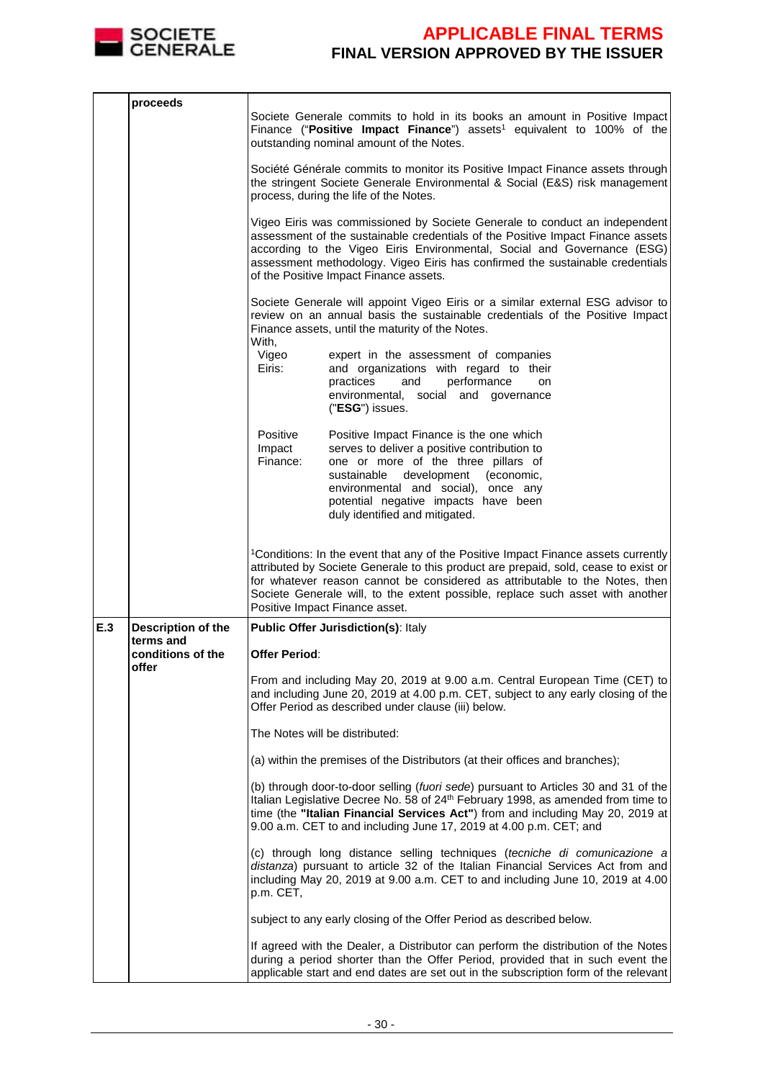

|     | proceeds                        | Societe Generale commits to hold in its books an amount in Positive Impact<br>Finance ("Positive Impact Finance") assets <sup>1</sup> equivalent to 100% of the<br>outstanding nominal amount of the Notes.                                                                                                                                                                              |  |  |  |
|-----|---------------------------------|------------------------------------------------------------------------------------------------------------------------------------------------------------------------------------------------------------------------------------------------------------------------------------------------------------------------------------------------------------------------------------------|--|--|--|
|     |                                 | Société Générale commits to monitor its Positive Impact Finance assets through<br>the stringent Societe Generale Environmental & Social (E&S) risk management<br>process, during the life of the Notes.                                                                                                                                                                                  |  |  |  |
|     |                                 | Vigeo Eiris was commissioned by Societe Generale to conduct an independent<br>assessment of the sustainable credentials of the Positive Impact Finance assets<br>according to the Vigeo Eiris Environmental, Social and Governance (ESG)<br>assessment methodology. Vigeo Eiris has confirmed the sustainable credentials<br>of the Positive Impact Finance assets.                      |  |  |  |
|     |                                 | Societe Generale will appoint Vigeo Eiris or a similar external ESG advisor to<br>review on an annual basis the sustainable credentials of the Positive Impact<br>Finance assets, until the maturity of the Notes.<br>With.                                                                                                                                                              |  |  |  |
|     |                                 | Vigeo<br>expert in the assessment of companies<br>Eiris:<br>and organizations with regard to their<br>performance<br>practices<br>and<br>on<br>environmental, social and governance<br>("ESG") issues.                                                                                                                                                                                   |  |  |  |
|     |                                 | Positive<br>Positive Impact Finance is the one which<br>serves to deliver a positive contribution to<br>Impact<br>Finance:<br>one or more of the three pillars of<br>sustainable<br>development (economic,<br>environmental and social), once any<br>potential negative impacts have been<br>duly identified and mitigated.                                                              |  |  |  |
|     |                                 | <sup>1</sup> Conditions: In the event that any of the Positive Impact Finance assets currently<br>attributed by Societe Generale to this product are prepaid, sold, cease to exist or<br>for whatever reason cannot be considered as attributable to the Notes, then<br>Societe Generale will, to the extent possible, replace such asset with another<br>Positive Impact Finance asset. |  |  |  |
| E.3 | Description of the<br>terms and | <b>Public Offer Jurisdiction(s): Italy</b>                                                                                                                                                                                                                                                                                                                                               |  |  |  |
|     | conditions of the<br>offer      | <b>Offer Period:</b>                                                                                                                                                                                                                                                                                                                                                                     |  |  |  |
|     |                                 | From and including May 20, 2019 at 9.00 a.m. Central European Time (CET) to<br>and including June 20, 2019 at 4.00 p.m. CET, subject to any early closing of the<br>Offer Period as described under clause (iii) below.                                                                                                                                                                  |  |  |  |
|     |                                 | The Notes will be distributed:                                                                                                                                                                                                                                                                                                                                                           |  |  |  |
|     |                                 | (a) within the premises of the Distributors (at their offices and branches);                                                                                                                                                                                                                                                                                                             |  |  |  |
|     |                                 | (b) through door-to-door selling (fuori sede) pursuant to Articles 30 and 31 of the<br>Italian Legislative Decree No. 58 of 24 <sup>th</sup> February 1998, as amended from time to<br>time (the "Italian Financial Services Act") from and including May 20, 2019 at<br>9.00 a.m. CET to and including June 17, 2019 at 4.00 p.m. CET; and                                              |  |  |  |
|     |                                 | (c) through long distance selling techniques (tecniche di comunicazione a<br>distanza) pursuant to article 32 of the Italian Financial Services Act from and<br>including May 20, 2019 at 9.00 a.m. CET to and including June 10, 2019 at 4.00<br>p.m. CET,                                                                                                                              |  |  |  |
|     |                                 | subject to any early closing of the Offer Period as described below.                                                                                                                                                                                                                                                                                                                     |  |  |  |
|     |                                 | If agreed with the Dealer, a Distributor can perform the distribution of the Notes<br>during a period shorter than the Offer Period, provided that in such event the<br>applicable start and end dates are set out in the subscription form of the relevant                                                                                                                              |  |  |  |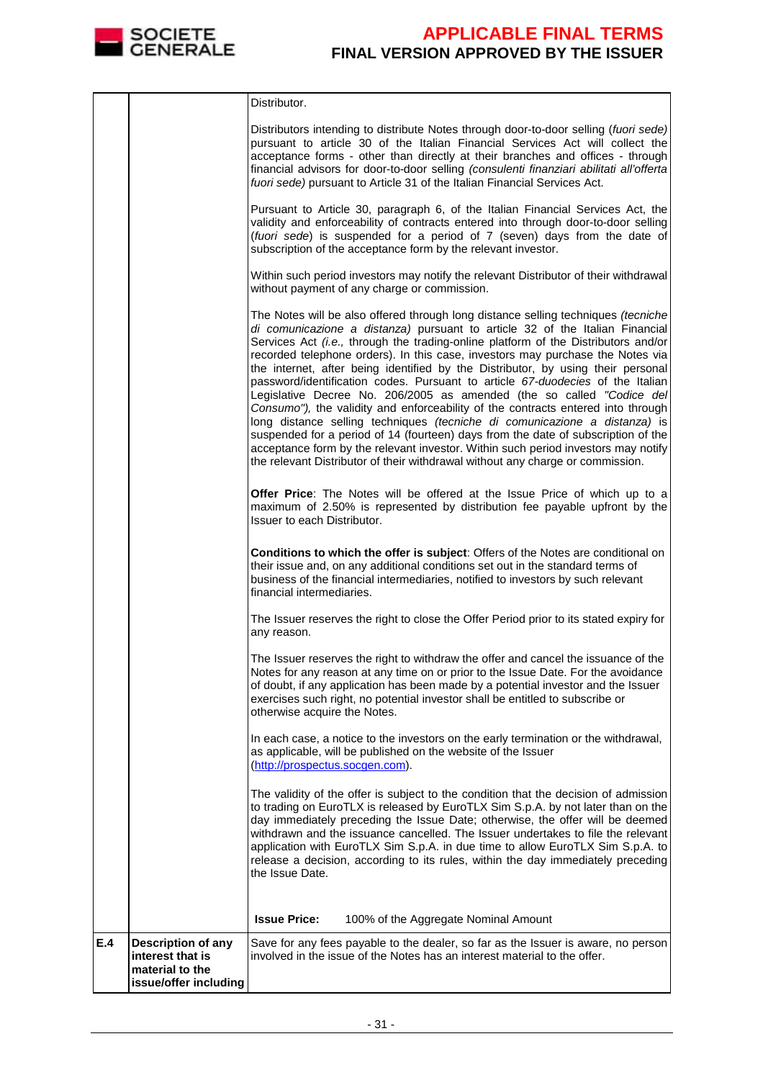

|     |                                                                                           | Distributor.                                                                                                                                                                                                                                                                                                                                                                                                                                                                                                                                                                                                                                                                                                                                                                                                                                                                                                                                                                                                           |
|-----|-------------------------------------------------------------------------------------------|------------------------------------------------------------------------------------------------------------------------------------------------------------------------------------------------------------------------------------------------------------------------------------------------------------------------------------------------------------------------------------------------------------------------------------------------------------------------------------------------------------------------------------------------------------------------------------------------------------------------------------------------------------------------------------------------------------------------------------------------------------------------------------------------------------------------------------------------------------------------------------------------------------------------------------------------------------------------------------------------------------------------|
|     |                                                                                           | Distributors intending to distribute Notes through door-to-door selling (fuori sede)<br>pursuant to article 30 of the Italian Financial Services Act will collect the<br>acceptance forms - other than directly at their branches and offices - through<br>financial advisors for door-to-door selling (consulenti finanziari abilitati all'offerta<br>fuori sede) pursuant to Article 31 of the Italian Financial Services Act.                                                                                                                                                                                                                                                                                                                                                                                                                                                                                                                                                                                       |
|     |                                                                                           | Pursuant to Article 30, paragraph 6, of the Italian Financial Services Act, the<br>validity and enforceability of contracts entered into through door-to-door selling<br>(fuori sede) is suspended for a period of 7 (seven) days from the date of<br>subscription of the acceptance form by the relevant investor.                                                                                                                                                                                                                                                                                                                                                                                                                                                                                                                                                                                                                                                                                                    |
|     |                                                                                           | Within such period investors may notify the relevant Distributor of their withdrawal<br>without payment of any charge or commission.                                                                                                                                                                                                                                                                                                                                                                                                                                                                                                                                                                                                                                                                                                                                                                                                                                                                                   |
|     |                                                                                           | The Notes will be also offered through long distance selling techniques (tecniche<br>di comunicazione a distanza) pursuant to article 32 of the Italian Financial<br>Services Act (i.e., through the trading-online platform of the Distributors and/or<br>recorded telephone orders). In this case, investors may purchase the Notes via<br>the internet, after being identified by the Distributor, by using their personal<br>password/identification codes. Pursuant to article 67-duodecies of the Italian<br>Legislative Decree No. 206/2005 as amended (the so called "Codice del<br>Consumo"), the validity and enforceability of the contracts entered into through<br>long distance selling techniques (tecniche di comunicazione a distanza) is<br>suspended for a period of 14 (fourteen) days from the date of subscription of the<br>acceptance form by the relevant investor. Within such period investors may notify<br>the relevant Distributor of their withdrawal without any charge or commission. |
|     |                                                                                           | Offer Price: The Notes will be offered at the Issue Price of which up to a<br>maximum of 2.50% is represented by distribution fee payable upfront by the<br>Issuer to each Distributor.                                                                                                                                                                                                                                                                                                                                                                                                                                                                                                                                                                                                                                                                                                                                                                                                                                |
|     |                                                                                           | Conditions to which the offer is subject: Offers of the Notes are conditional on<br>their issue and, on any additional conditions set out in the standard terms of<br>business of the financial intermediaries, notified to investors by such relevant<br>financial intermediaries.                                                                                                                                                                                                                                                                                                                                                                                                                                                                                                                                                                                                                                                                                                                                    |
|     |                                                                                           | The Issuer reserves the right to close the Offer Period prior to its stated expiry for<br>any reason.                                                                                                                                                                                                                                                                                                                                                                                                                                                                                                                                                                                                                                                                                                                                                                                                                                                                                                                  |
|     |                                                                                           | The Issuer reserves the right to withdraw the offer and cancel the issuance of the<br>Notes for any reason at any time on or prior to the Issue Date. For the avoidance<br>of doubt, if any application has been made by a potential investor and the Issuer<br>exercises such right, no potential investor shall be entitled to subscribe or<br>otherwise acquire the Notes.                                                                                                                                                                                                                                                                                                                                                                                                                                                                                                                                                                                                                                          |
|     |                                                                                           | In each case, a notice to the investors on the early termination or the withdrawal,<br>as applicable, will be published on the website of the Issuer<br>(http://prospectus.socgen.com).                                                                                                                                                                                                                                                                                                                                                                                                                                                                                                                                                                                                                                                                                                                                                                                                                                |
|     |                                                                                           | The validity of the offer is subject to the condition that the decision of admission<br>to trading on EuroTLX is released by EuroTLX Sim S.p.A. by not later than on the<br>day immediately preceding the Issue Date; otherwise, the offer will be deemed<br>withdrawn and the issuance cancelled. The Issuer undertakes to file the relevant<br>application with EuroTLX Sim S.p.A. in due time to allow EuroTLX Sim S.p.A. to<br>release a decision, according to its rules, within the day immediately preceding<br>the Issue Date.                                                                                                                                                                                                                                                                                                                                                                                                                                                                                 |
|     |                                                                                           | <b>Issue Price:</b><br>100% of the Aggregate Nominal Amount                                                                                                                                                                                                                                                                                                                                                                                                                                                                                                                                                                                                                                                                                                                                                                                                                                                                                                                                                            |
| E.4 | <b>Description of any</b><br>interest that is<br>material to the<br>issue/offer including | Save for any fees payable to the dealer, so far as the Issuer is aware, no person<br>involved in the issue of the Notes has an interest material to the offer.                                                                                                                                                                                                                                                                                                                                                                                                                                                                                                                                                                                                                                                                                                                                                                                                                                                         |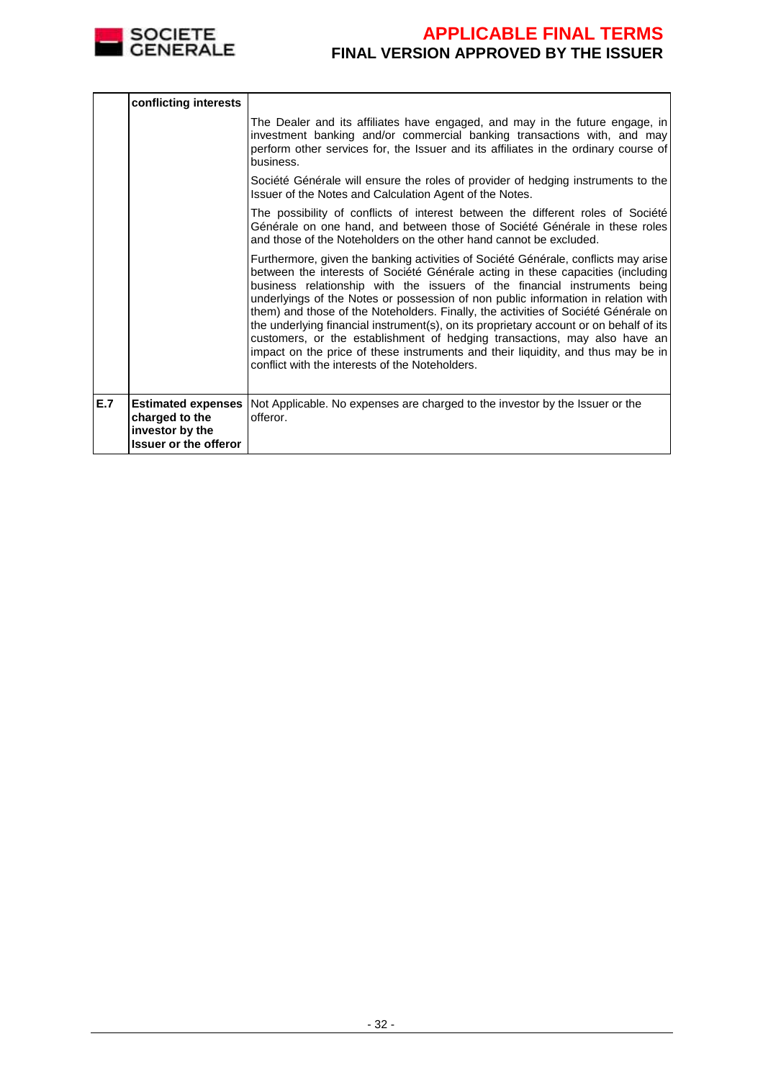

|     | conflicting interests                                             |                                                                                                                                                                                                                                                                                                                                                                                                                                                                                                                                                                                                                                                                                                                                              |
|-----|-------------------------------------------------------------------|----------------------------------------------------------------------------------------------------------------------------------------------------------------------------------------------------------------------------------------------------------------------------------------------------------------------------------------------------------------------------------------------------------------------------------------------------------------------------------------------------------------------------------------------------------------------------------------------------------------------------------------------------------------------------------------------------------------------------------------------|
|     |                                                                   | The Dealer and its affiliates have engaged, and may in the future engage, in<br>investment banking and/or commercial banking transactions with, and may<br>perform other services for, the Issuer and its affiliates in the ordinary course of<br>business.                                                                                                                                                                                                                                                                                                                                                                                                                                                                                  |
|     |                                                                   | Société Générale will ensure the roles of provider of hedging instruments to the<br>Issuer of the Notes and Calculation Agent of the Notes.                                                                                                                                                                                                                                                                                                                                                                                                                                                                                                                                                                                                  |
|     |                                                                   | The possibility of conflicts of interest between the different roles of Société<br>Générale on one hand, and between those of Société Générale in these roles<br>and those of the Noteholders on the other hand cannot be excluded.                                                                                                                                                                                                                                                                                                                                                                                                                                                                                                          |
|     |                                                                   | Furthermore, given the banking activities of Société Générale, conflicts may arise<br>between the interests of Société Générale acting in these capacities (including)<br>business relationship with the issuers of the financial instruments being<br>underlyings of the Notes or possession of non public information in relation with<br>them) and those of the Noteholders. Finally, the activities of Société Générale on<br>the underlying financial instrument(s), on its proprietary account or on behalf of its<br>customers, or the establishment of hedging transactions, may also have an<br>impact on the price of these instruments and their liquidity, and thus may be in<br>conflict with the interests of the Noteholders. |
| E.7 | charged to the<br>investor by the<br><b>Issuer or the offeror</b> | <b>Estimated expenses</b> Not Applicable. No expenses are charged to the investor by the Issuer or the<br>offeror.                                                                                                                                                                                                                                                                                                                                                                                                                                                                                                                                                                                                                           |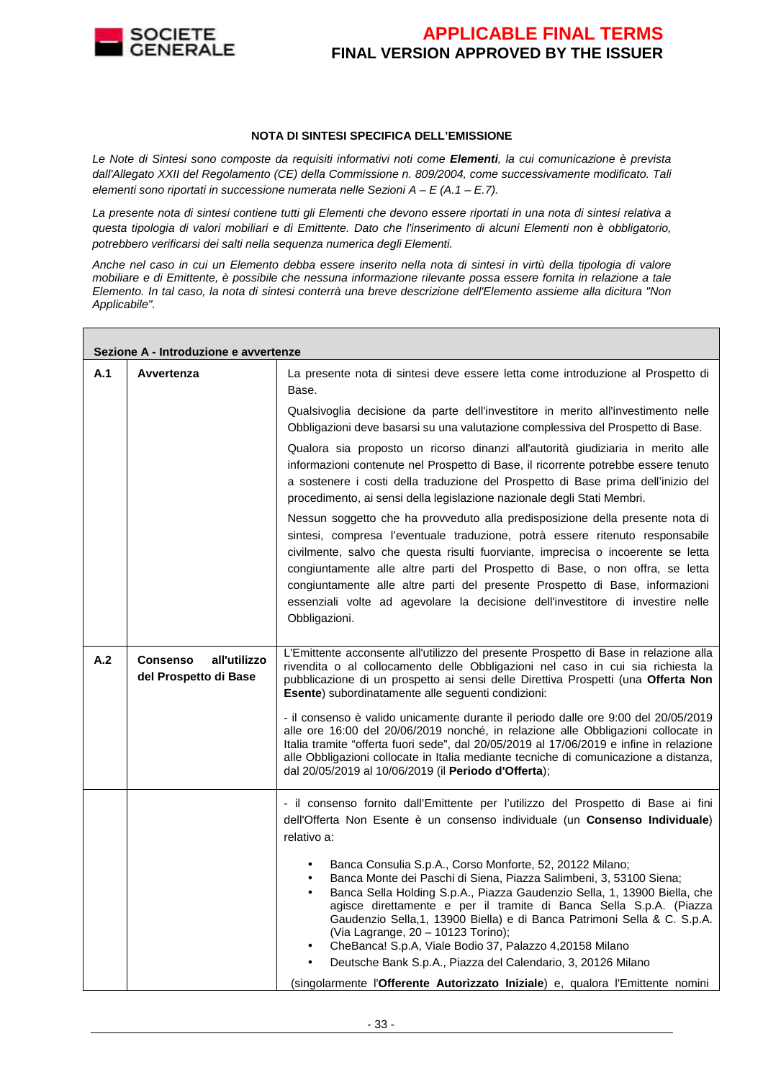

#### **NOTA DI SINTESI SPECIFICA DELL'EMISSIONE**

Le Note di Sintesi sono composte da requisiti informativi noti come **Elementi**, la cui comunicazione è prevista dall'Allegato XXII del Regolamento (CE) della Commissione n. 809/2004, come successivamente modificato. Tali elementi sono riportati in successione numerata nelle Sezioni  $A - E(A.1 - E.7)$ .

La presente nota di sintesi contiene tutti gli Elementi che devono essere riportati in una nota di sintesi relativa a questa tipologia di valori mobiliari e di Emittente. Dato che l'inserimento di alcuni Elementi non è obbligatorio, potrebbero verificarsi dei salti nella sequenza numerica degli Elementi.

Anche nel caso in cui un Elemento debba essere inserito nella nota di sintesi in virtù della tipologia di valore mobiliare e di Emittente, è possibile che nessuna informazione rilevante possa essere fornita in relazione a tale Elemento. In tal caso, la nota di sintesi conterrà una breve descrizione dell'Elemento assieme alla dicitura "Non Applicabile".

|     | Sezione A - Introduzione e avvertenze                    |                                                                                                                                                                                                                                                                                                                                                                                                                                                                                                                                                                                                                                                        |  |  |  |
|-----|----------------------------------------------------------|--------------------------------------------------------------------------------------------------------------------------------------------------------------------------------------------------------------------------------------------------------------------------------------------------------------------------------------------------------------------------------------------------------------------------------------------------------------------------------------------------------------------------------------------------------------------------------------------------------------------------------------------------------|--|--|--|
| A.1 | Avvertenza                                               | La presente nota di sintesi deve essere letta come introduzione al Prospetto di<br>Base.                                                                                                                                                                                                                                                                                                                                                                                                                                                                                                                                                               |  |  |  |
|     |                                                          | Qualsivoglia decisione da parte dell'investitore in merito all'investimento nelle<br>Obbligazioni deve basarsi su una valutazione complessiva del Prospetto di Base.                                                                                                                                                                                                                                                                                                                                                                                                                                                                                   |  |  |  |
|     |                                                          | Qualora sia proposto un ricorso dinanzi all'autorità giudiziaria in merito alle<br>informazioni contenute nel Prospetto di Base, il ricorrente potrebbe essere tenuto<br>a sostenere i costi della traduzione del Prospetto di Base prima dell'inizio del<br>procedimento, ai sensi della legislazione nazionale degli Stati Membri.                                                                                                                                                                                                                                                                                                                   |  |  |  |
|     |                                                          | Nessun soggetto che ha provveduto alla predisposizione della presente nota di<br>sintesi, compresa l'eventuale traduzione, potrà essere ritenuto responsabile<br>civilmente, salvo che questa risulti fuorviante, imprecisa o incoerente se letta<br>congiuntamente alle altre parti del Prospetto di Base, o non offra, se letta<br>congiuntamente alle altre parti del presente Prospetto di Base, informazioni<br>essenziali volte ad agevolare la decisione dell'investitore di investire nelle<br>Obbligazioni.                                                                                                                                   |  |  |  |
| A.2 | all'utilizzo<br><b>Consenso</b><br>del Prospetto di Base | L'Emittente acconsente all'utilizzo del presente Prospetto di Base in relazione alla<br>rivendita o al collocamento delle Obbligazioni nel caso in cui sia richiesta la<br>pubblicazione di un prospetto ai sensi delle Direttiva Prospetti (una Offerta Non<br>Esente) subordinatamente alle seguenti condizioni:                                                                                                                                                                                                                                                                                                                                     |  |  |  |
|     |                                                          | - il consenso è valido unicamente durante il periodo dalle ore 9:00 del 20/05/2019<br>alle ore 16:00 del 20/06/2019 nonché, in relazione alle Obbligazioni collocate in<br>Italia tramite "offerta fuori sede", dal 20/05/2019 al 17/06/2019 e infine in relazione<br>alle Obbligazioni collocate in Italia mediante tecniche di comunicazione a distanza,<br>dal 20/05/2019 al 10/06/2019 (il Periodo d'Offerta);                                                                                                                                                                                                                                     |  |  |  |
|     |                                                          | - il consenso fornito dall'Emittente per l'utilizzo del Prospetto di Base ai fini<br>dell'Offerta Non Esente è un consenso individuale (un <b>Consenso Individuale</b> )<br>relativo a:                                                                                                                                                                                                                                                                                                                                                                                                                                                                |  |  |  |
|     |                                                          | Banca Consulia S.p.A., Corso Monforte, 52, 20122 Milano;<br>$\bullet$<br>Banca Monte dei Paschi di Siena, Piazza Salimbeni, 3, 53100 Siena;<br>Banca Sella Holding S.p.A., Piazza Gaudenzio Sella, 1, 13900 Biella, che<br>$\bullet$<br>agisce direttamente e per il tramite di Banca Sella S.p.A. (Piazza<br>Gaudenzio Sella, 1, 13900 Biella) e di Banca Patrimoni Sella & C. S.p.A.<br>(Via Lagrange, 20 - 10123 Torino);<br>CheBanca! S.p.A, Viale Bodio 37, Palazzo 4,20158 Milano<br>Deutsche Bank S.p.A., Piazza del Calendario, 3, 20126 Milano<br>$\bullet$<br>(singolarmente l'Offerente Autorizzato Iniziale) e, qualora l'Emittente nomini |  |  |  |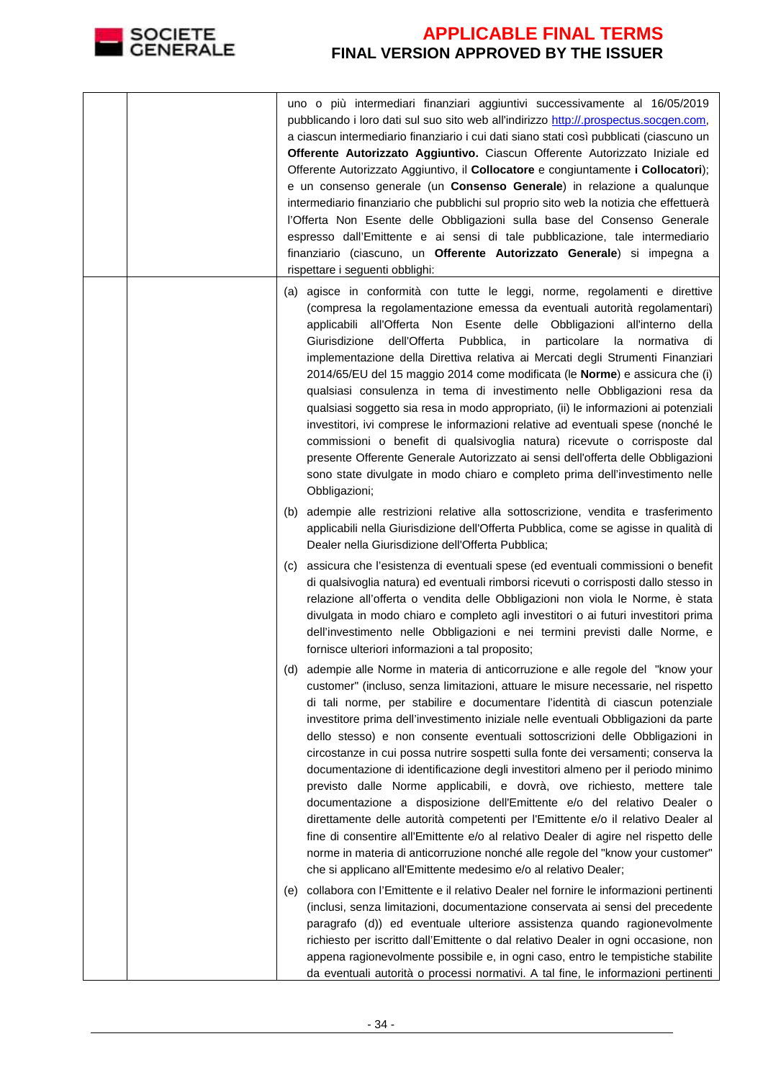

|     | uno o più intermediari finanziari aggiuntivi successivamente al 16/05/2019<br>pubblicando i loro dati sul suo sito web all'indirizzo http://.prospectus.socgen.com,<br>a ciascun intermediario finanziario i cui dati siano stati così pubblicati (ciascuno un<br>Offerente Autorizzato Aggiuntivo. Ciascun Offerente Autorizzato Iniziale ed<br>Offerente Autorizzato Aggiuntivo, il Collocatore e congiuntamente i Collocatori);<br>e un consenso generale (un Consenso Generale) in relazione a qualunque<br>intermediario finanziario che pubblichi sul proprio sito web la notizia che effettuerà<br>l'Offerta Non Esente delle Obbligazioni sulla base del Consenso Generale<br>espresso dall'Emittente e ai sensi di tale pubblicazione, tale intermediario<br>finanziario (ciascuno, un Offerente Autorizzato Generale) si impegna a<br>rispettare i seguenti obblighi:                                                                                                                                                                                                        |
|-----|----------------------------------------------------------------------------------------------------------------------------------------------------------------------------------------------------------------------------------------------------------------------------------------------------------------------------------------------------------------------------------------------------------------------------------------------------------------------------------------------------------------------------------------------------------------------------------------------------------------------------------------------------------------------------------------------------------------------------------------------------------------------------------------------------------------------------------------------------------------------------------------------------------------------------------------------------------------------------------------------------------------------------------------------------------------------------------------|
|     | (a) agisce in conformità con tutte le leggi, norme, regolamenti e direttive<br>(compresa la regolamentazione emessa da eventuali autorità regolamentari)<br>applicabili all'Offerta Non Esente delle Obbligazioni all'interno della<br>Giurisdizione<br>dell'Offerta<br>Pubblica,<br>in<br>particolare<br>- Ia<br>normativa di<br>implementazione della Direttiva relativa ai Mercati degli Strumenti Finanziari<br>2014/65/EU del 15 maggio 2014 come modificata (le Norme) e assicura che (i)<br>qualsiasi consulenza in tema di investimento nelle Obbligazioni resa da<br>qualsiasi soggetto sia resa in modo appropriato, (ii) le informazioni ai potenziali<br>investitori, ivi comprese le informazioni relative ad eventuali spese (nonché le<br>commissioni o benefit di qualsivoglia natura) ricevute o corrisposte dal<br>presente Offerente Generale Autorizzato ai sensi dell'offerta delle Obbligazioni<br>sono state divulgate in modo chiaro e completo prima dell'investimento nelle<br>Obbligazioni;                                                                 |
|     | (b) adempie alle restrizioni relative alla sottoscrizione, vendita e trasferimento<br>applicabili nella Giurisdizione dell'Offerta Pubblica, come se agisse in qualità di<br>Dealer nella Giurisdizione dell'Offerta Pubblica;                                                                                                                                                                                                                                                                                                                                                                                                                                                                                                                                                                                                                                                                                                                                                                                                                                                         |
| (C) | assicura che l'esistenza di eventuali spese (ed eventuali commissioni o benefit<br>di qualsivoglia natura) ed eventuali rimborsi ricevuti o corrisposti dallo stesso in<br>relazione all'offerta o vendita delle Obbligazioni non viola le Norme, è stata<br>divulgata in modo chiaro e completo agli investitori o ai futuri investitori prima<br>dell'investimento nelle Obbligazioni e nei termini previsti dalle Norme, e<br>fornisce ulteriori informazioni a tal proposito;                                                                                                                                                                                                                                                                                                                                                                                                                                                                                                                                                                                                      |
|     | (d) adempie alle Norme in materia di anticorruzione e alle regole del "know your<br>customer" (incluso, senza limitazioni, attuare le misure necessarie, nel rispetto<br>di tali norme, per stabilire e documentare l'identità di ciascun potenziale<br>investitore prima dell'investimento iniziale nelle eventuali Obbligazioni da parte<br>dello stesso) e non consente eventuali sottoscrizioni delle Obbligazioni in<br>circostanze in cui possa nutrire sospetti sulla fonte dei versamenti; conserva la<br>documentazione di identificazione degli investitori almeno per il periodo minimo<br>previsto dalle Norme applicabili, e dovrà, ove richiesto, mettere tale<br>documentazione a disposizione dell'Emittente e/o del relativo Dealer o<br>direttamente delle autorità competenti per l'Emittente e/o il relativo Dealer al<br>fine di consentire all'Emittente e/o al relativo Dealer di agire nel rispetto delle<br>norme in materia di anticorruzione nonché alle regole del "know your customer"<br>che si applicano all'Emittente medesimo e/o al relativo Dealer; |
| (e) | collabora con l'Emittente e il relativo Dealer nel fornire le informazioni pertinenti<br>(inclusi, senza limitazioni, documentazione conservata ai sensi del precedente<br>paragrafo (d)) ed eventuale ulteriore assistenza quando ragionevolmente<br>richiesto per iscritto dall'Emittente o dal relativo Dealer in ogni occasione, non<br>appena ragionevolmente possibile e, in ogni caso, entro le tempistiche stabilite<br>da eventuali autorità o processi normativi. A tal fine, le informazioni pertinenti                                                                                                                                                                                                                                                                                                                                                                                                                                                                                                                                                                     |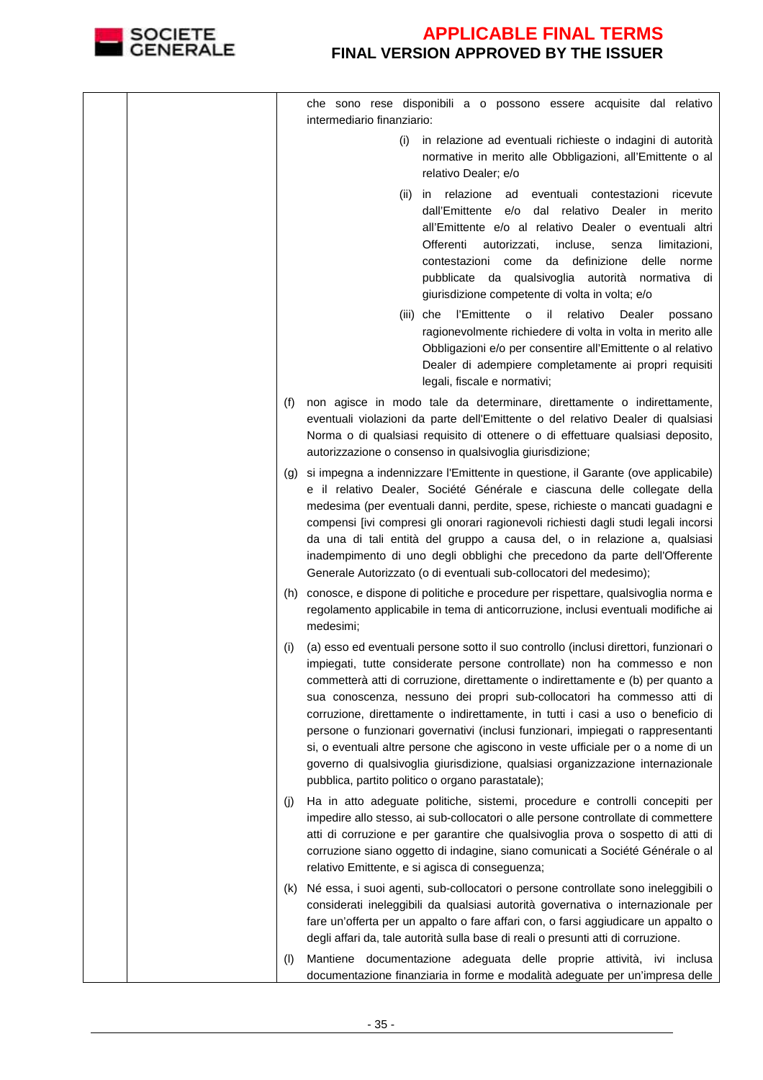

|     | che sono rese disponibili a o possono essere acquisite dal relativo<br>intermediario finanziario:                                                                                                                                                                                                                                                                                                                                                                                                                                                                                                                                                                                                                               |
|-----|---------------------------------------------------------------------------------------------------------------------------------------------------------------------------------------------------------------------------------------------------------------------------------------------------------------------------------------------------------------------------------------------------------------------------------------------------------------------------------------------------------------------------------------------------------------------------------------------------------------------------------------------------------------------------------------------------------------------------------|
|     | in relazione ad eventuali richieste o indagini di autorità<br>(i)<br>normative in merito alle Obbligazioni, all'Emittente o al<br>relativo Dealer; e/o                                                                                                                                                                                                                                                                                                                                                                                                                                                                                                                                                                          |
|     | in relazione ad<br>eventuali contestazioni ricevute<br>(ii)<br>dall'Emittente e/o dal relativo Dealer in merito<br>all'Emittente e/o al relativo Dealer o eventuali altri<br>Offerenti<br>autorizzati,<br>incluse,<br>senza<br>limitazioni,<br>delle<br>contestazioni come da definizione<br>norme<br>pubblicate da qualsivoglia autorità<br>normativa di<br>giurisdizione competente di volta in volta; e/o                                                                                                                                                                                                                                                                                                                    |
|     | l'Emittente o il<br>relativo<br>(iii) che<br>Dealer<br>possano<br>ragionevolmente richiedere di volta in volta in merito alle<br>Obbligazioni e/o per consentire all'Emittente o al relativo<br>Dealer di adempiere completamente ai propri requisiti<br>legali, fiscale e normativi;                                                                                                                                                                                                                                                                                                                                                                                                                                           |
| (f) | non agisce in modo tale da determinare, direttamente o indirettamente,<br>eventuali violazioni da parte dell'Emittente o del relativo Dealer di qualsiasi<br>Norma o di qualsiasi requisito di ottenere o di effettuare qualsiasi deposito,<br>autorizzazione o consenso in qualsivoglia giurisdizione;                                                                                                                                                                                                                                                                                                                                                                                                                         |
| (g) | si impegna a indennizzare l'Emittente in questione, il Garante (ove applicabile)<br>e il relativo Dealer, Société Générale e ciascuna delle collegate della<br>medesima (per eventuali danni, perdite, spese, richieste o mancati guadagni e<br>compensi [ivi compresi gli onorari ragionevoli richiesti dagli studi legali incorsi<br>da una di tali entità del gruppo a causa del, o in relazione a, qualsiasi<br>inadempimento di uno degli obblighi che precedono da parte dell'Offerente<br>Generale Autorizzato (o di eventuali sub-collocatori del medesimo);                                                                                                                                                            |
|     | (h) conosce, e dispone di politiche e procedure per rispettare, qualsivoglia norma e<br>regolamento applicabile in tema di anticorruzione, inclusi eventuali modifiche ai<br>medesimi;                                                                                                                                                                                                                                                                                                                                                                                                                                                                                                                                          |
| (i) | (a) esso ed eventuali persone sotto il suo controllo (inclusi direttori, funzionari o<br>impiegati, tutte considerate persone controllate) non ha commesso e non<br>commetterà atti di corruzione, direttamente o indirettamente e (b) per quanto a<br>sua conoscenza, nessuno dei propri sub-collocatori ha commesso atti di<br>corruzione, direttamente o indirettamente, in tutti i casi a uso o beneficio di<br>persone o funzionari governativi (inclusi funzionari, impiegati o rappresentanti<br>si, o eventuali altre persone che agiscono in veste ufficiale per o a nome di un<br>governo di qualsivoglia giurisdizione, qualsiasi organizzazione internazionale<br>pubblica, partito politico o organo parastatale); |
| (I) | Ha in atto adeguate politiche, sistemi, procedure e controlli concepiti per<br>impedire allo stesso, ai sub-collocatori o alle persone controllate di commettere<br>atti di corruzione e per garantire che qualsivoglia prova o sospetto di atti di<br>corruzione siano oggetto di indagine, siano comunicati a Société Générale o al<br>relativo Emittente, e si agisca di conseguenza;                                                                                                                                                                                                                                                                                                                                        |
| (K) | Né essa, i suoi agenti, sub-collocatori o persone controllate sono ineleggibili o<br>considerati ineleggibili da qualsiasi autorità governativa o internazionale per<br>fare un'offerta per un appalto o fare affari con, o farsi aggiudicare un appalto o<br>degli affari da, tale autorità sulla base di reali o presunti atti di corruzione.                                                                                                                                                                                                                                                                                                                                                                                 |
| (1) | Mantiene documentazione adeguata delle proprie attività, ivi inclusa<br>documentazione finanziaria in forme e modalità adeguate per un'impresa delle                                                                                                                                                                                                                                                                                                                                                                                                                                                                                                                                                                            |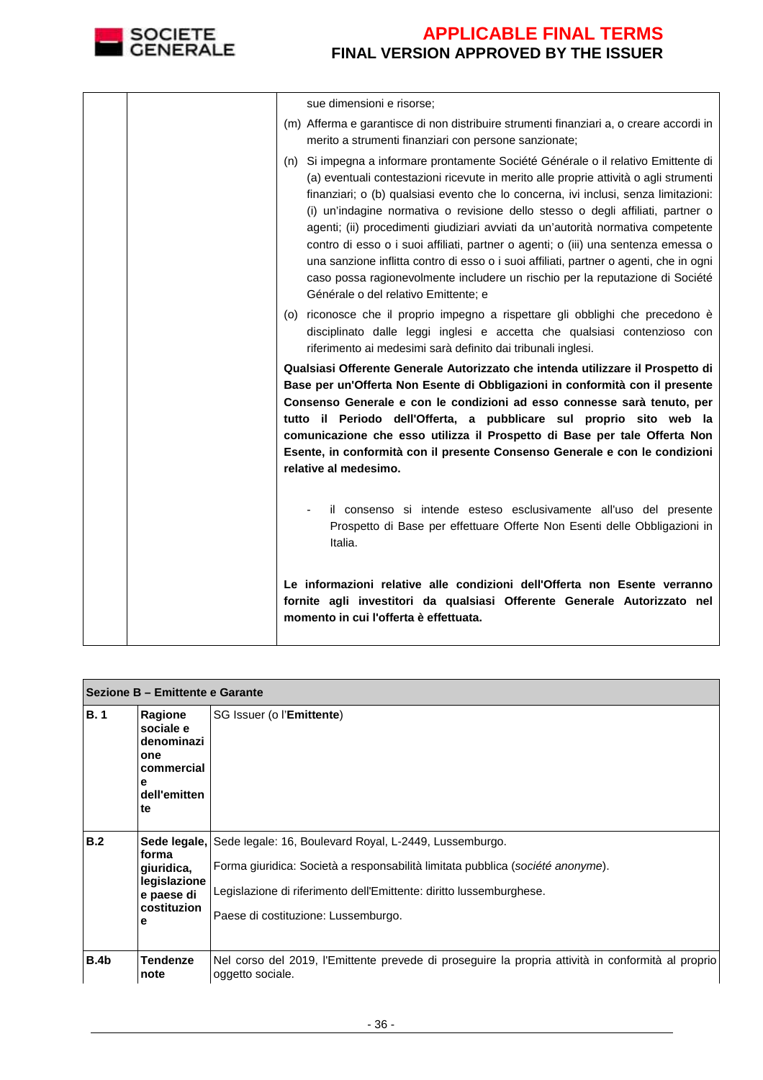

|  | sue dimensioni e risorse;                                                                                                                                                                                                                                                                                                                                                                                                                                                                                                                                                                                                                                                                                                                          |
|--|----------------------------------------------------------------------------------------------------------------------------------------------------------------------------------------------------------------------------------------------------------------------------------------------------------------------------------------------------------------------------------------------------------------------------------------------------------------------------------------------------------------------------------------------------------------------------------------------------------------------------------------------------------------------------------------------------------------------------------------------------|
|  | (m) Afferma e garantisce di non distribuire strumenti finanziari a, o creare accordi in<br>merito a strumenti finanziari con persone sanzionate;                                                                                                                                                                                                                                                                                                                                                                                                                                                                                                                                                                                                   |
|  | (n) Si impegna a informare prontamente Société Générale o il relativo Emittente di<br>(a) eventuali contestazioni ricevute in merito alle proprie attività o agli strumenti<br>finanziari; o (b) qualsiasi evento che lo concerna, ivi inclusi, senza limitazioni:<br>(i) un'indagine normativa o revisione dello stesso o degli affiliati, partner o<br>agenti; (ii) procedimenti giudiziari avviati da un'autorità normativa competente<br>contro di esso o i suoi affiliati, partner o agenti; o (iii) una sentenza emessa o<br>una sanzione inflitta contro di esso o i suoi affiliati, partner o agenti, che in ogni<br>caso possa ragionevolmente includere un rischio per la reputazione di Société<br>Générale o del relativo Emittente; e |
|  | (o) riconosce che il proprio impegno a rispettare gli obblighi che precedono è<br>disciplinato dalle leggi inglesi e accetta che qualsiasi contenzioso con<br>riferimento ai medesimi sarà definito dai tribunali inglesi.                                                                                                                                                                                                                                                                                                                                                                                                                                                                                                                         |
|  | Qualsiasi Offerente Generale Autorizzato che intenda utilizzare il Prospetto di<br>Base per un'Offerta Non Esente di Obbligazioni in conformità con il presente<br>Consenso Generale e con le condizioni ad esso connesse sarà tenuto, per<br>tutto il Periodo dell'Offerta, a pubblicare sul proprio sito web la<br>comunicazione che esso utilizza il Prospetto di Base per tale Offerta Non<br>Esente, in conformità con il presente Consenso Generale e con le condizioni<br>relative al medesimo.                                                                                                                                                                                                                                             |
|  | il consenso si intende esteso esclusivamente all'uso del presente<br>Prospetto di Base per effettuare Offerte Non Esenti delle Obbligazioni in<br>Italia.                                                                                                                                                                                                                                                                                                                                                                                                                                                                                                                                                                                          |
|  | Le informazioni relative alle condizioni dell'Offerta non Esente verranno<br>fornite agli investitori da qualsiasi Offerente Generale Autorizzato nel<br>momento in cui l'offerta è effettuata.                                                                                                                                                                                                                                                                                                                                                                                                                                                                                                                                                    |

|             | Sezione B - Emittente e Garante                                                    |                                                                                                                                                                                                                                                                     |  |  |  |
|-------------|------------------------------------------------------------------------------------|---------------------------------------------------------------------------------------------------------------------------------------------------------------------------------------------------------------------------------------------------------------------|--|--|--|
| B.1         | Ragione<br>sociale e<br>denominazi<br>one<br>commercial<br>е<br>dell'emitten<br>te | SG Issuer (o l'Emittente)                                                                                                                                                                                                                                           |  |  |  |
| B.2         | forma<br>giuridica,<br>legislazione<br>e paese di<br>costituzion<br>е              | Sede legale, Sede legale: 16, Boulevard Royal, L-2449, Lussemburgo.<br>Forma giuridica: Società a responsabilità limitata pubblica (société anonyme).<br>Legislazione di riferimento dell'Emittente: diritto lussemburghese.<br>Paese di costituzione: Lussemburgo. |  |  |  |
| <b>B.4b</b> | <b>Tendenze</b><br>note                                                            | Nel corso del 2019, l'Emittente prevede di proseguire la propria attività in conformità al proprio<br>oggetto sociale.                                                                                                                                              |  |  |  |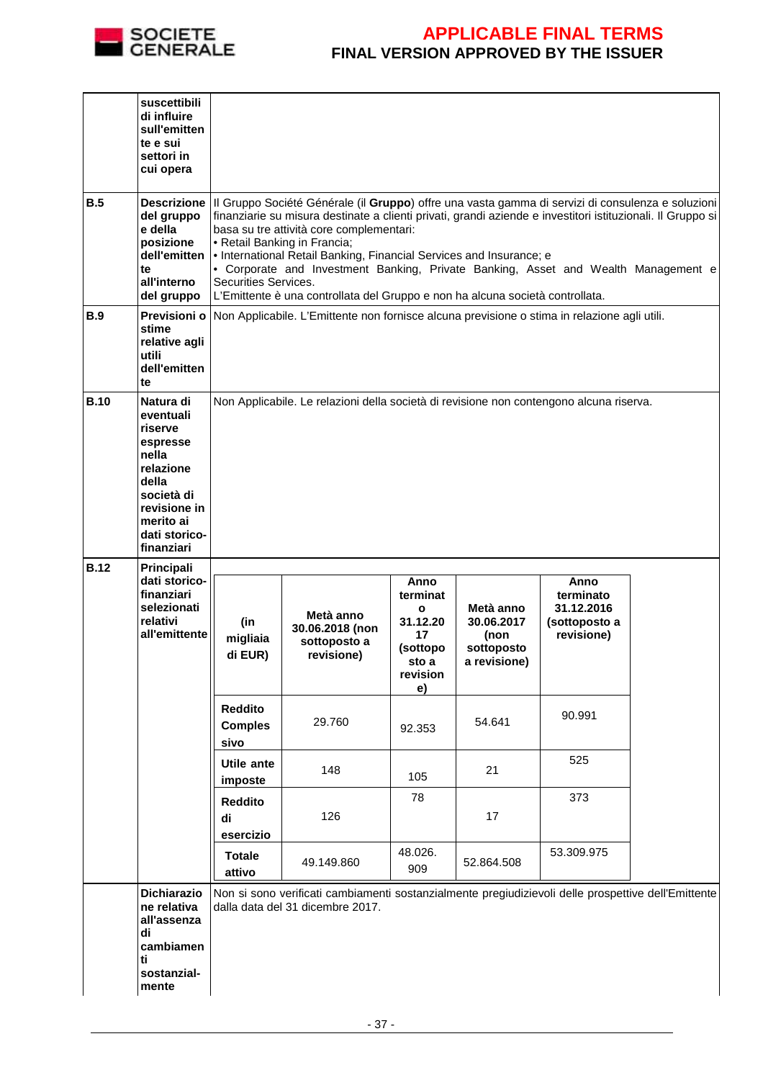

|             | suscettibili<br>di influire<br>sull'emitten<br>te e sui<br>settori in<br>cui opera                                                                     |                                                                                                                                                                                                                                                                                                                                                                                                                                                                                                                                                                      |                                                                                                                                         |                                                                                           |                                                               |                                                                |  |
|-------------|--------------------------------------------------------------------------------------------------------------------------------------------------------|----------------------------------------------------------------------------------------------------------------------------------------------------------------------------------------------------------------------------------------------------------------------------------------------------------------------------------------------------------------------------------------------------------------------------------------------------------------------------------------------------------------------------------------------------------------------|-----------------------------------------------------------------------------------------------------------------------------------------|-------------------------------------------------------------------------------------------|---------------------------------------------------------------|----------------------------------------------------------------|--|
| <b>B.5</b>  | <b>Descrizione</b><br>del gruppo<br>e della<br>posizione<br>dell'emitten<br>te<br>all'interno<br>del gruppo                                            | III Gruppo Société Générale (il Gruppo) offre una vasta gamma di servizi di consulenza e soluzioni<br>finanziarie su misura destinate a clienti privati, grandi aziende e investitori istituzionali. Il Gruppo si<br>basa su tre attività core complementari:<br>• Retail Banking in Francia;<br>Io International Retail Banking, Financial Services and Insurance; e<br>• Corporate and Investment Banking, Private Banking, Asset and Wealth Management e<br>Securities Services.<br>L'Emittente è una controllata del Gruppo e non ha alcuna società controllata. |                                                                                                                                         |                                                                                           |                                                               |                                                                |  |
| <b>B.9</b>  | stime<br>relative agli<br>utili<br>dell'emitten<br>te                                                                                                  | Previsioni o Non Applicabile. L'Emittente non fornisce alcuna previsione o stima in relazione agli utili.                                                                                                                                                                                                                                                                                                                                                                                                                                                            |                                                                                                                                         |                                                                                           |                                                               |                                                                |  |
| <b>B.10</b> | Natura di<br>eventuali<br>riserve<br>espresse<br>nella<br>relazione<br>della<br>società di<br>revisione in<br>merito ai<br>dati storico-<br>finanziari | Non Applicabile. Le relazioni della società di revisione non contengono alcuna riserva.                                                                                                                                                                                                                                                                                                                                                                                                                                                                              |                                                                                                                                         |                                                                                           |                                                               |                                                                |  |
| <b>B.12</b> | Principali<br>dati storico-<br>finanziari<br>selezionati<br>relativi<br>all'emittente                                                                  | (in<br>migliaia<br>di EUR)                                                                                                                                                                                                                                                                                                                                                                                                                                                                                                                                           | Metà anno<br>30.06.2018 (non<br>sottoposto a<br>revisione)                                                                              | Anno<br>terminat<br>$\mathbf{o}$<br>31.12.20<br>17<br>(sottopo<br>sto a<br>revision<br>e) | Metà anno<br>30.06.2017<br>(non<br>sottoposto<br>a revisione) | Anno<br>terminato<br>31.12.2016<br>(sottoposto a<br>revisione) |  |
|             |                                                                                                                                                        | <b>Reddito</b><br><b>Comples</b><br>sivo                                                                                                                                                                                                                                                                                                                                                                                                                                                                                                                             | 29.760                                                                                                                                  | 92.353                                                                                    | 54.641                                                        | 90.991                                                         |  |
|             |                                                                                                                                                        | Utile ante<br>imposte                                                                                                                                                                                                                                                                                                                                                                                                                                                                                                                                                | 148                                                                                                                                     | 105                                                                                       | 21                                                            | 525                                                            |  |
|             |                                                                                                                                                        | <b>Reddito</b><br>di<br>esercizio                                                                                                                                                                                                                                                                                                                                                                                                                                                                                                                                    | 126                                                                                                                                     | 78                                                                                        | 17                                                            | 373                                                            |  |
|             |                                                                                                                                                        | <b>Totale</b><br>attivo                                                                                                                                                                                                                                                                                                                                                                                                                                                                                                                                              | 49.149.860                                                                                                                              | 48.026.<br>909                                                                            | 52.864.508                                                    | 53.309.975                                                     |  |
|             | <b>Dichiarazio</b><br>ne relativa<br>all'assenza<br>di<br>cambiamen<br>ti<br>sostanzial-<br>mente                                                      |                                                                                                                                                                                                                                                                                                                                                                                                                                                                                                                                                                      | Non si sono verificati cambiamenti sostanzialmente pregiudizievoli delle prospettive dell'Emittente<br>dalla data del 31 dicembre 2017. |                                                                                           |                                                               |                                                                |  |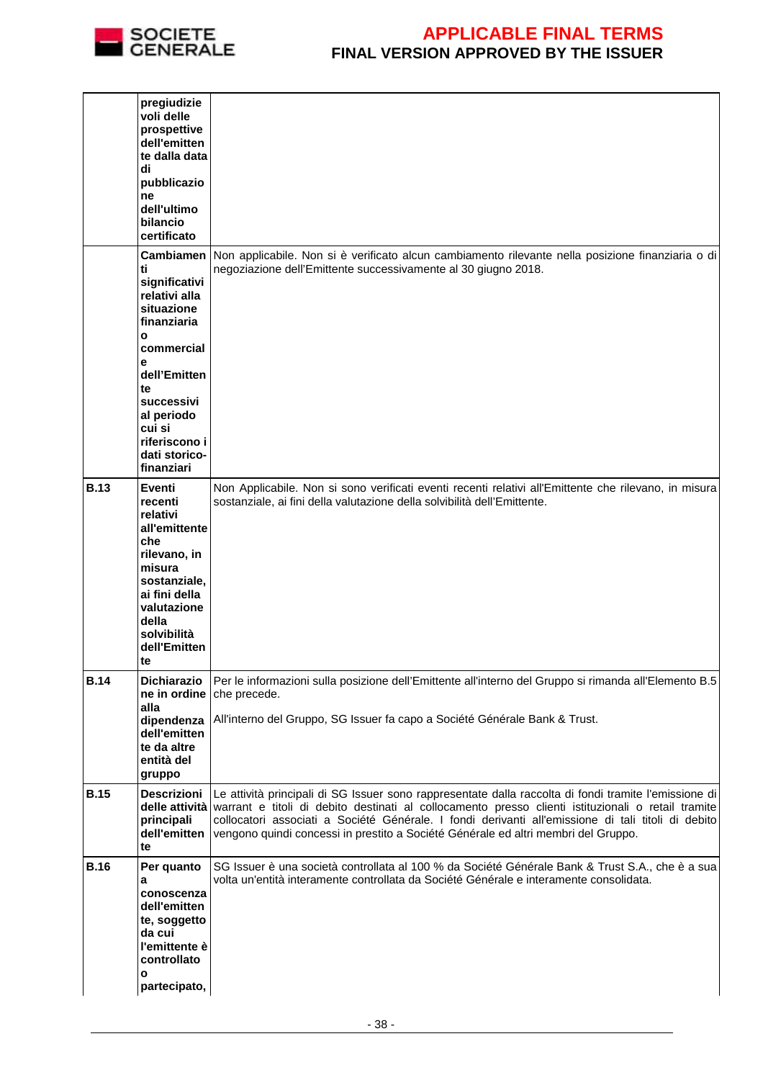

|             | pregiudizie<br>voli delle<br>prospettive<br>dell'emitten<br>te dalla data<br>di<br>pubblicazio<br>ne<br>dell'ultimo<br>bilancio<br>certificato                                |                                                                                                                                                                                                                                                                                                                                                                                                                        |
|-------------|-------------------------------------------------------------------------------------------------------------------------------------------------------------------------------|------------------------------------------------------------------------------------------------------------------------------------------------------------------------------------------------------------------------------------------------------------------------------------------------------------------------------------------------------------------------------------------------------------------------|
|             | <b>Cambiamen</b><br>ti<br>significativi<br>relativi alla<br>situazione<br>finanziaria<br>$\mathbf{o}$<br>commercial<br>e<br>dell'Emitten<br>te<br>successivi                  | Non applicabile. Non si è verificato alcun cambiamento rilevante nella posizione finanziaria o di<br>negoziazione dell'Emittente successivamente al 30 giugno 2018.                                                                                                                                                                                                                                                    |
|             | al periodo<br>cui si<br>riferiscono i<br>dati storico-<br>finanziari                                                                                                          |                                                                                                                                                                                                                                                                                                                                                                                                                        |
| <b>B.13</b> | Eventi<br>recenti<br>relativi<br>all'emittente<br>che<br>rilevano, in<br>misura<br>sostanziale,<br>ai fini della<br>valutazione<br>della<br>solvibilità<br>dell'Emitten<br>te | Non Applicabile. Non si sono verificati eventi recenti relativi all'Emittente che rilevano, in misura<br>sostanziale, ai fini della valutazione della solvibilità dell'Emittente.                                                                                                                                                                                                                                      |
| <b>B.14</b> | <b>Dichiarazio</b><br>ne in ordine<br>alla<br>dipendenza<br>dell'emitten<br>te da altre<br>entità del<br>gruppo                                                               | Per le informazioni sulla posizione dell'Emittente all'interno del Gruppo si rimanda all'Elemento B.5<br>che precede.<br>All'interno del Gruppo, SG Issuer fa capo a Société Générale Bank & Trust.                                                                                                                                                                                                                    |
| <b>B.15</b> | <b>Descrizioni</b><br>principali<br>dell'emitten<br>te                                                                                                                        | Le attività principali di SG Issuer sono rappresentate dalla raccolta di fondi tramite l'emissione di<br>delle attività warrant e titoli di debito destinati al collocamento presso clienti istituzionali o retail tramite<br>collocatori associati a Société Générale. I fondi derivanti all'emissione di tali titoli di debito<br>vengono quindi concessi in prestito a Société Générale ed altri membri del Gruppo. |
| <b>B.16</b> | Per quanto<br>а<br>conoscenza<br>dell'emitten<br>te, soggetto<br>da cui<br>l'emittente è<br>controllato<br>о<br>partecipato,                                                  | SG Issuer è una società controllata al 100 % da Société Générale Bank & Trust S.A., che è a sua<br>volta un'entità interamente controllata da Société Générale e interamente consolidata.                                                                                                                                                                                                                              |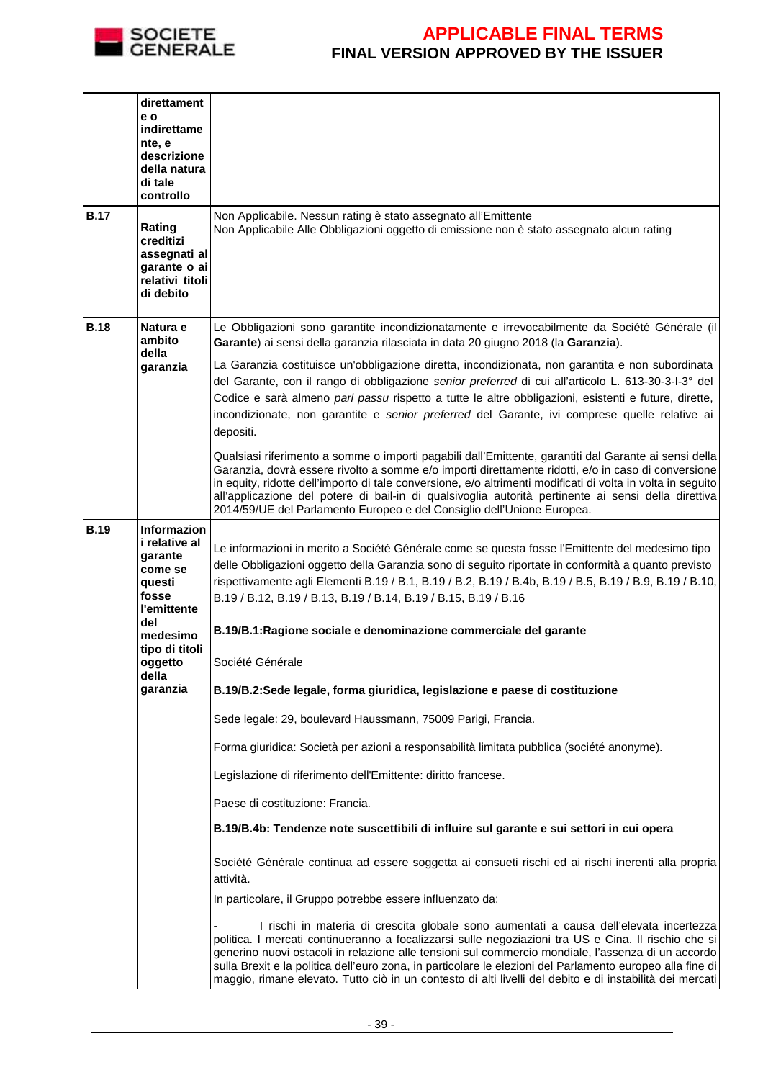

| <b>B.17</b> | direttament<br>e o<br>indirettame<br>nte, e<br>descrizione<br>della natura<br>di tale<br>controllo<br>Rating<br>creditizi<br>assegnati al<br>garante o ai<br>relativi titoli<br>di debito | Non Applicabile. Nessun rating è stato assegnato all'Emittente<br>Non Applicabile Alle Obbligazioni oggetto di emissione non è stato assegnato alcun rating                                                                                                                                                                                                                                                                                                                                                                                                                                                                                                                                                                                                                                                                                                                                                                                                                                                                                                                                                                                                                                                                                                                                                                                                                                                                                                                                                                                                                                                                                |
|-------------|-------------------------------------------------------------------------------------------------------------------------------------------------------------------------------------------|--------------------------------------------------------------------------------------------------------------------------------------------------------------------------------------------------------------------------------------------------------------------------------------------------------------------------------------------------------------------------------------------------------------------------------------------------------------------------------------------------------------------------------------------------------------------------------------------------------------------------------------------------------------------------------------------------------------------------------------------------------------------------------------------------------------------------------------------------------------------------------------------------------------------------------------------------------------------------------------------------------------------------------------------------------------------------------------------------------------------------------------------------------------------------------------------------------------------------------------------------------------------------------------------------------------------------------------------------------------------------------------------------------------------------------------------------------------------------------------------------------------------------------------------------------------------------------------------------------------------------------------------|
| <b>B.18</b> | Natura e<br>ambito<br>della<br>garanzia                                                                                                                                                   | Le Obbligazioni sono garantite incondizionatamente e irrevocabilmente da Société Générale (il<br>Garante) ai sensi della garanzia rilasciata in data 20 giugno 2018 (la Garanzia).<br>La Garanzia costituisce un'obbligazione diretta, incondizionata, non garantita e non subordinata<br>del Garante, con il rango di obbligazione senior preferred di cui all'articolo L. 613-30-3-1-3° del<br>Codice e sarà almeno pari passu rispetto a tutte le altre obbligazioni, esistenti e future, dirette,<br>incondizionate, non garantite e senior preferred del Garante, ivi comprese quelle relative ai<br>depositi.<br>Qualsiasi riferimento a somme o importi pagabili dall'Emittente, garantiti dal Garante ai sensi della<br>Garanzia, dovrà essere rivolto a somme e/o importi direttamente ridotti, e/o in caso di conversione<br>in equity, ridotte dell'importo di tale conversione, e/o altrimenti modificati di volta in volta in seguito<br>all'applicazione del potere di bail-in di qualsivoglia autorità pertinente ai sensi della direttiva<br>2014/59/UE del Parlamento Europeo e del Consiglio dell'Unione Europea.                                                                                                                                                                                                                                                                                                                                                                                                                                                                                                        |
| <b>B.19</b> | <b>Informazion</b><br>i relative al<br>garante<br>come se<br>questi<br>fosse<br>l'emittente<br>del<br>medesimo<br>tipo di titoli<br>oggetto<br>della<br>garanzia                          | Le informazioni in merito a Société Générale come se questa fosse l'Emittente del medesimo tipo<br>delle Obbligazioni oggetto della Garanzia sono di seguito riportate in conformità a quanto previsto<br>rispettivamente agli Elementi B.19 / B.1, B.19 / B.2, B.19 / B.4b, B.19 / B.5, B.19 / B.9, B.19 / B.10,<br>B.19 / B.12, B.19 / B.13, B.19 / B.14, B.19 / B.15, B.19 / B.16<br>B.19/B.1: Ragione sociale e denominazione commerciale del garante<br>Société Générale<br>B.19/B.2:Sede legale, forma giuridica, legislazione e paese di costituzione<br>Sede legale: 29, boulevard Haussmann, 75009 Parigi, Francia.<br>Forma giuridica: Società per azioni a responsabilità limitata pubblica (société anonyme).<br>Legislazione di riferimento dell'Emittente: diritto francese.<br>Paese di costituzione: Francia.<br>B.19/B.4b: Tendenze note suscettibili di influire sul garante e sui settori in cui opera<br>Société Générale continua ad essere soggetta ai consueti rischi ed ai rischi inerenti alla propria<br>attività.<br>In particolare, il Gruppo potrebbe essere influenzato da:<br>I rischi in materia di crescita globale sono aumentati a causa dell'elevata incertezza<br>politica. I mercati continueranno a focalizzarsi sulle negoziazioni tra US e Cina. Il rischio che si<br>generino nuovi ostacoli in relazione alle tensioni sul commercio mondiale, l'assenza di un accordo<br>sulla Brexit e la politica dell'euro zona, in particolare le elezioni del Parlamento europeo alla fine di<br>maggio, rimane elevato. Tutto ciò in un contesto di alti livelli del debito e di instabilità dei mercati |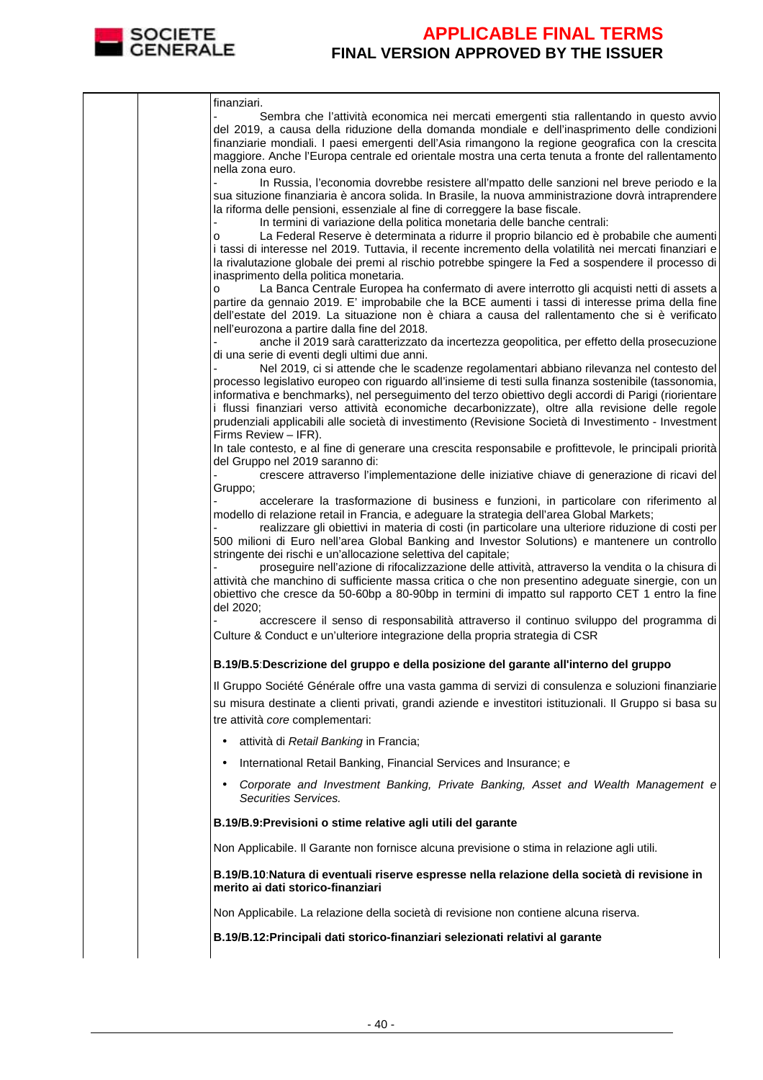

|  | finanziari.<br>Sembra che l'attività economica nei mercati emergenti stia rallentando in questo avvio<br>del 2019, a causa della riduzione della domanda mondiale e dell'inasprimento delle condizioni<br>finanziarie mondiali. I paesi emergenti dell'Asia rimangono la regione geografica con la crescita                                                |
|--|------------------------------------------------------------------------------------------------------------------------------------------------------------------------------------------------------------------------------------------------------------------------------------------------------------------------------------------------------------|
|  | maggiore. Anche l'Europa centrale ed orientale mostra una certa tenuta a fronte del rallentamento<br>nella zona euro.                                                                                                                                                                                                                                      |
|  | In Russia, l'economia dovrebbe resistere all'mpatto delle sanzioni nel breve periodo e la<br>sua situzione finanziaria è ancora solida. In Brasile, la nuova amministrazione dovrà intraprendere                                                                                                                                                           |
|  | la riforma delle pensioni, essenziale al fine di correggere la base fiscale.<br>In termini di variazione della politica monetaria delle banche centrali:                                                                                                                                                                                                   |
|  | La Federal Reserve è determinata a ridurre il proprio bilancio ed è probabile che aumenti<br>о<br>i tassi di interesse nel 2019. Tuttavia, il recente incremento della volatilità nei mercati finanziari e<br>la rivalutazione globale dei premi al rischio potrebbe spingere la Fed a sospendere il processo di<br>inasprimento della politica monetaria. |
|  | La Banca Centrale Europea ha confermato di avere interrotto gli acquisti netti di assets a<br>o<br>partire da gennaio 2019. E' improbabile che la BCE aumenti i tassi di interesse prima della fine<br>dell'estate del 2019. La situazione non è chiara a causa del rallentamento che si è verificato                                                      |
|  | nell'eurozona a partire dalla fine del 2018.<br>anche il 2019 sarà caratterizzato da incertezza geopolitica, per effetto della prosecuzione<br>di una serie di eventi degli ultimi due anni.                                                                                                                                                               |
|  | Nel 2019, ci si attende che le scadenze regolamentari abbiano rilevanza nel contesto del<br>processo legislativo europeo con riguardo all'insieme di testi sulla finanza sostenibile (tassonomia,                                                                                                                                                          |
|  | informativa e benchmarks), nel perseguimento del terzo obiettivo degli accordi di Parigi (riorientare<br>i flussi finanziari verso attività economiche decarbonizzate), oltre alla revisione delle regole<br>prudenziali applicabili alle società di investimento (Revisione Società di Investimento - Investment<br>Firms Review - IFR).                  |
|  | In tale contesto, e al fine di generare una crescita responsabile e profittevole, le principali priorità<br>del Gruppo nel 2019 saranno di:                                                                                                                                                                                                                |
|  | crescere attraverso l'implementazione delle iniziative chiave di generazione di ricavi del<br>Gruppo;                                                                                                                                                                                                                                                      |
|  | accelerare la trasformazione di business e funzioni, in particolare con riferimento al<br>modello di relazione retail in Francia, e adeguare la strategia dell'area Global Markets;<br>realizzare gli obiettivi in materia di costi (in particolare una ulteriore riduzione di costi per                                                                   |
|  | 500 milioni di Euro nell'area Global Banking and Investor Solutions) e mantenere un controllo<br>stringente dei rischi e un'allocazione selettiva del capitale;                                                                                                                                                                                            |
|  | proseguire nell'azione di rifocalizzazione delle attività, attraverso la vendita o la chisura di<br>attività che manchino di sufficiente massa critica o che non presentino adeguate sinergie, con un<br>obiettivo che cresce da 50-60bp a 80-90bp in termini di impatto sul rapporto CET 1 entro la fine<br>del 2020;                                     |
|  | accrescere il senso di responsabilità attraverso il continuo sviluppo del programma di<br>Culture & Conduct e un'ulteriore integrazione della propria strategia di CSR                                                                                                                                                                                     |
|  | B.19/B.5:Descrizione del gruppo e della posizione del garante all'interno del gruppo                                                                                                                                                                                                                                                                       |
|  | Il Gruppo Société Générale offre una vasta gamma di servizi di consulenza e soluzioni finanziarie<br>su misura destinate a clienti privati, grandi aziende e investitori istituzionali. Il Gruppo si basa su<br>tre attività core complementari:                                                                                                           |
|  | attività di Retail Banking in Francia;<br>$\bullet$                                                                                                                                                                                                                                                                                                        |
|  | International Retail Banking, Financial Services and Insurance; e<br>$\bullet$                                                                                                                                                                                                                                                                             |
|  | Corporate and Investment Banking, Private Banking, Asset and Wealth Management e<br>$\bullet$<br>Securities Services.                                                                                                                                                                                                                                      |
|  | B.19/B.9: Previsioni o stime relative agli utili del garante                                                                                                                                                                                                                                                                                               |
|  | Non Applicabile. Il Garante non fornisce alcuna previsione o stima in relazione agli utili.                                                                                                                                                                                                                                                                |
|  | B.19/B.10: Natura di eventuali riserve espresse nella relazione della società di revisione in<br>merito ai dati storico-finanziari                                                                                                                                                                                                                         |
|  | Non Applicabile. La relazione della società di revisione non contiene alcuna riserva.                                                                                                                                                                                                                                                                      |
|  | B.19/B.12: Principali dati storico-finanziari selezionati relativi al garante                                                                                                                                                                                                                                                                              |
|  |                                                                                                                                                                                                                                                                                                                                                            |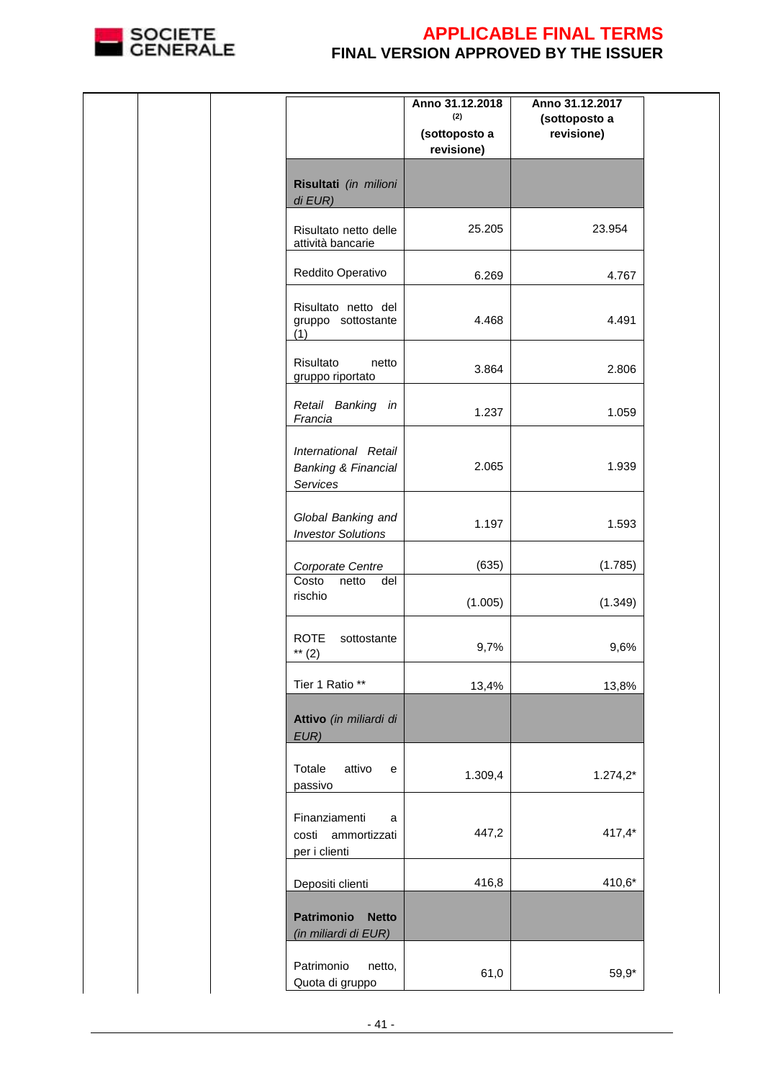

|  |                                                                    | Anno 31.12.2018<br>(2)<br>(sottoposto a<br>revisione) | Anno 31.12.2017<br>(sottoposto a<br>revisione) |  |
|--|--------------------------------------------------------------------|-------------------------------------------------------|------------------------------------------------|--|
|  | Risultati (in milioni<br>di EUR)                                   |                                                       |                                                |  |
|  | Risultato netto delle<br>attività bancarie                         | 25.205                                                | 23.954                                         |  |
|  | Reddito Operativo                                                  | 6.269                                                 | 4.767                                          |  |
|  | Risultato netto del<br>gruppo sottostante<br>(1)                   | 4.468                                                 | 4.491                                          |  |
|  | Risultato<br>netto<br>gruppo riportato                             | 3.864                                                 | 2.806                                          |  |
|  | Retail Banking in<br>Francia                                       | 1.237                                                 | 1.059                                          |  |
|  | International Retail<br><b>Banking &amp; Financial</b><br>Services | 2.065                                                 | 1.939                                          |  |
|  | Global Banking and<br><b>Investor Solutions</b>                    | 1.197                                                 | 1.593                                          |  |
|  | Corporate Centre                                                   | (635)                                                 | (1.785)                                        |  |
|  | Costo<br>netto<br>del<br>rischio                                   | (1.005)                                               | (1.349)                                        |  |
|  | <b>ROTE</b><br>sottostante<br>** $(2)$                             | 9,7%                                                  | 9,6%                                           |  |
|  | Tier 1 Ratio **                                                    | 13,4%                                                 | 13,8%                                          |  |
|  | Attivo (in miliardi di<br>EUR)                                     |                                                       |                                                |  |
|  | Totale<br>attivo<br>e<br>passivo                                   | 1.309,4                                               | $1.274,2*$                                     |  |
|  | Finanziamenti<br>a<br>costi ammortizzati<br>per i clienti          | 447,2                                                 | $417,4*$                                       |  |
|  | Depositi clienti                                                   | 416,8                                                 | 410,6*                                         |  |
|  | Patrimonio<br><b>Netto</b><br>(in miliardi di EUR)                 |                                                       |                                                |  |
|  | Patrimonio<br>netto,<br>Quota di gruppo                            | 61,0                                                  | 59,9*                                          |  |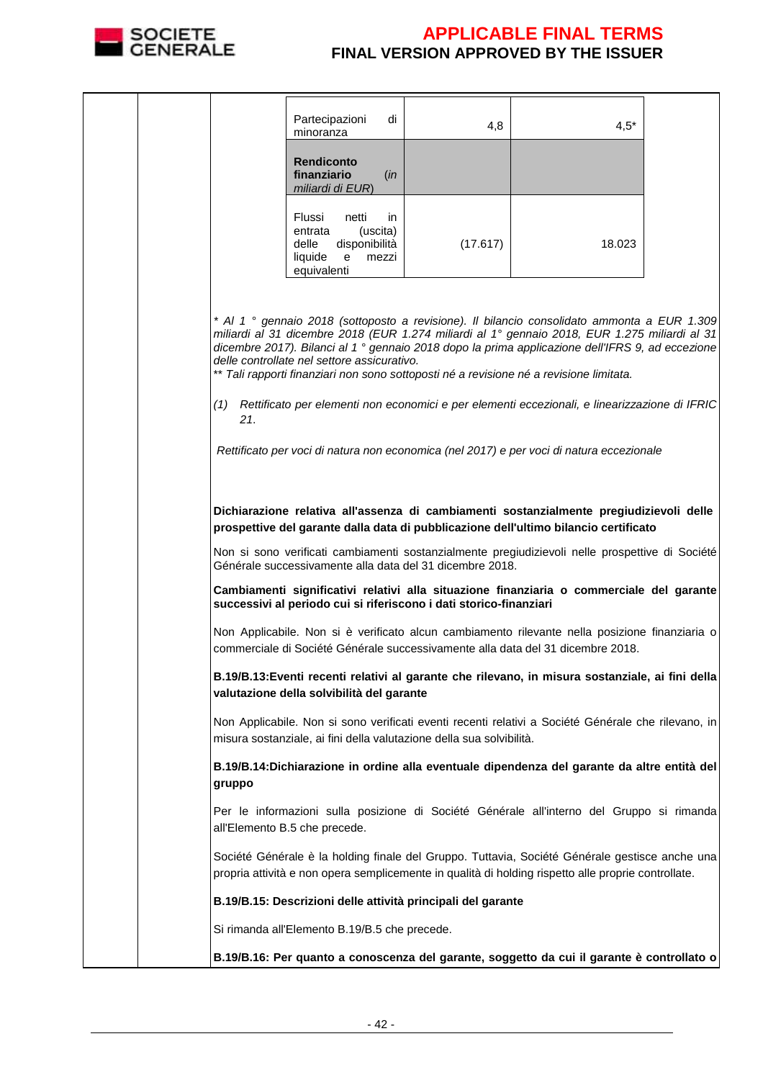

|  |        | Partecipazioni<br>di<br>minoranza                                                                               | 4,8      | $4,5*$                                                                                                                                                                                                                                                                                                                                                                                                                                                                                                      |  |
|--|--------|-----------------------------------------------------------------------------------------------------------------|----------|-------------------------------------------------------------------------------------------------------------------------------------------------------------------------------------------------------------------------------------------------------------------------------------------------------------------------------------------------------------------------------------------------------------------------------------------------------------------------------------------------------------|--|
|  |        | <b>Rendiconto</b><br>finanziario<br>(in<br>miliardi di EUR)                                                     |          |                                                                                                                                                                                                                                                                                                                                                                                                                                                                                                             |  |
|  |        | Flussi<br>netti<br>in.<br>(uscita)<br>entrata<br>delle<br>disponibilità<br>liquide<br>e<br>mezzi<br>equivalenti | (17.617) | 18.023                                                                                                                                                                                                                                                                                                                                                                                                                                                                                                      |  |
|  | 21.    | delle controllate nel settore assicurativo.                                                                     |          | * Al 1 ° gennaio 2018 (sottoposto a revisione). Il bilancio consolidato ammonta a EUR 1.309<br>miliardi al 31 dicembre 2018 (EUR 1.274 miliardi al 1º gennaio 2018, EUR 1.275 miliardi al 31<br>dicembre 2017). Bilanci al 1 <sup>°</sup> gennaio 2018 dopo la prima applicazione dell'IFRS 9, ad eccezione<br>** Tali rapporti finanziari non sono sottoposti né a revisione né a revisione limitata.<br>(1) Rettificato per elementi non economici e per elementi eccezionali, e linearizzazione di IFRIC |  |
|  |        |                                                                                                                 |          | Rettificato per voci di natura non economica (nel 2017) e per voci di natura eccezionale                                                                                                                                                                                                                                                                                                                                                                                                                    |  |
|  |        |                                                                                                                 |          | Dichiarazione relativa all'assenza di cambiamenti sostanzialmente pregiudizievoli delle<br>prospettive del garante dalla data di pubblicazione dell'ultimo bilancio certificato                                                                                                                                                                                                                                                                                                                             |  |
|  |        | Générale successivamente alla data del 31 dicembre 2018.                                                        |          | Non si sono verificati cambiamenti sostanzialmente pregiudizievoli nelle prospettive di Société                                                                                                                                                                                                                                                                                                                                                                                                             |  |
|  |        | successivi al periodo cui si riferiscono i dati storico-finanziari                                              |          | Cambiamenti significativi relativi alla situazione finanziaria o commerciale del garante                                                                                                                                                                                                                                                                                                                                                                                                                    |  |
|  |        |                                                                                                                 |          | Non Applicabile. Non si è verificato alcun cambiamento rilevante nella posizione finanziaria o<br>commerciale di Société Générale successivamente alla data del 31 dicembre 2018.                                                                                                                                                                                                                                                                                                                           |  |
|  |        | valutazione della solvibilità del garante                                                                       |          | B.19/B.13: Eventi recenti relativi al garante che rilevano, in misura sostanziale, ai fini della                                                                                                                                                                                                                                                                                                                                                                                                            |  |
|  |        | misura sostanziale, ai fini della valutazione della sua solvibilità.                                            |          | Non Applicabile. Non si sono verificati eventi recenti relativi a Société Générale che rilevano, in                                                                                                                                                                                                                                                                                                                                                                                                         |  |
|  | gruppo |                                                                                                                 |          | B.19/B.14: Dichiarazione in ordine alla eventuale dipendenza del garante da altre entità del                                                                                                                                                                                                                                                                                                                                                                                                                |  |
|  |        | all'Elemento B.5 che precede.                                                                                   |          | Per le informazioni sulla posizione di Société Générale all'interno del Gruppo si rimanda                                                                                                                                                                                                                                                                                                                                                                                                                   |  |
|  |        |                                                                                                                 |          | Société Générale è la holding finale del Gruppo. Tuttavia, Société Générale gestisce anche una<br>propria attività e non opera semplicemente in qualità di holding rispetto alle proprie controllate.                                                                                                                                                                                                                                                                                                       |  |
|  |        | B.19/B.15: Descrizioni delle attività principali del garante                                                    |          |                                                                                                                                                                                                                                                                                                                                                                                                                                                                                                             |  |
|  |        | Si rimanda all'Elemento B.19/B.5 che precede.                                                                   |          |                                                                                                                                                                                                                                                                                                                                                                                                                                                                                                             |  |
|  |        |                                                                                                                 |          | B.19/B.16: Per quanto a conoscenza del garante, soggetto da cui il garante è controllato o                                                                                                                                                                                                                                                                                                                                                                                                                  |  |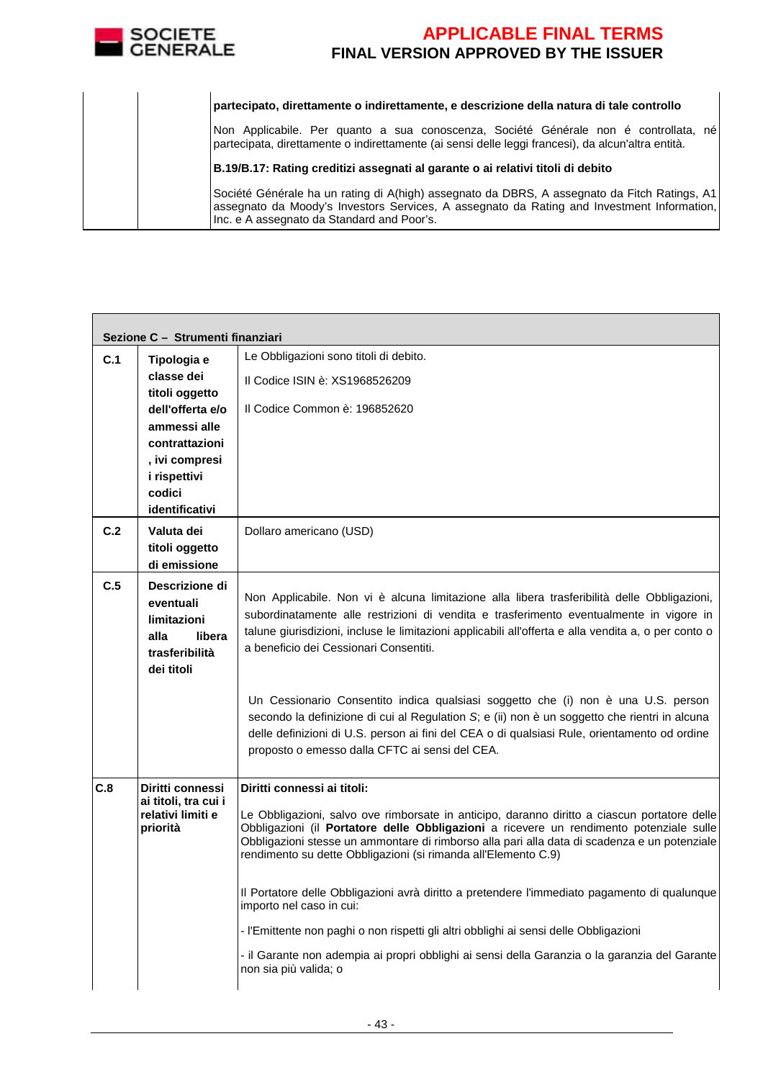

| partecipato, direttamente o indirettamente, e descrizione della natura di tale controllo                                                                                                                                                 |
|------------------------------------------------------------------------------------------------------------------------------------------------------------------------------------------------------------------------------------------|
| Non Applicabile. Per quanto a sua conoscenza, Société Générale non é controllata, né<br>partecipata, direttamente o indirettamente (ai sensi delle leggi francesi), da alcun'altra entità.                                               |
| B.19/B.17: Rating creditizi assegnati al garante o ai relativi titoli di debito                                                                                                                                                          |
| Société Générale ha un rating di A(high) assegnato da DBRS, A assegnato da Fitch Ratings, A1<br>assegnato da Moody's Investors Services, A assegnato da Rating and Investment Information,<br>Inc. e A assegnato da Standard and Poor's. |

|     | Sezione C - Strumenti finanziari                                                                                                                                       |                                                                                                                                                                                                                                                                                                                                                                                                                                                                                                                                                                                                                                                                                                                                         |
|-----|------------------------------------------------------------------------------------------------------------------------------------------------------------------------|-----------------------------------------------------------------------------------------------------------------------------------------------------------------------------------------------------------------------------------------------------------------------------------------------------------------------------------------------------------------------------------------------------------------------------------------------------------------------------------------------------------------------------------------------------------------------------------------------------------------------------------------------------------------------------------------------------------------------------------------|
| C.1 | Tipologia e<br>classe dei<br>titoli oggetto<br>dell'offerta e/o<br>ammessi alle<br>contrattazioni<br>, ivi compresi<br><i>i</i> rispettivi<br>codici<br>identificativi | Le Obbligazioni sono titoli di debito.<br>Il Codice ISIN è: XS1968526209<br>Il Codice Common è: 196852620                                                                                                                                                                                                                                                                                                                                                                                                                                                                                                                                                                                                                               |
| C.2 | Valuta dei<br>titoli oggetto<br>di emissione                                                                                                                           | Dollaro americano (USD)                                                                                                                                                                                                                                                                                                                                                                                                                                                                                                                                                                                                                                                                                                                 |
| C.5 | Descrizione di<br>eventuali<br>limitazioni<br>alla<br>libera<br>trasferibilità<br>dei titoli                                                                           | Non Applicabile. Non vi è alcuna limitazione alla libera trasferibilità delle Obbligazioni,<br>subordinatamente alle restrizioni di vendita e trasferimento eventualmente in vigore in<br>talune giurisdizioni, incluse le limitazioni applicabili all'offerta e alla vendita a, o per conto o<br>a beneficio dei Cessionari Consentiti.                                                                                                                                                                                                                                                                                                                                                                                                |
|     |                                                                                                                                                                        | Un Cessionario Consentito indica qualsiasi soggetto che (i) non è una U.S. person<br>secondo la definizione di cui al Regulation S; e (ii) non è un soggetto che rientri in alcuna<br>delle definizioni di U.S. person ai fini del CEA o di qualsiasi Rule, orientamento od ordine<br>proposto o emesso dalla CFTC ai sensi del CEA.                                                                                                                                                                                                                                                                                                                                                                                                    |
| C.8 | Diritti connessi<br>ai titoli, tra cui i<br>relativi limiti e<br>priorità                                                                                              | Diritti connessi ai titoli:<br>Le Obbligazioni, salvo ove rimborsate in anticipo, daranno diritto a ciascun portatore delle<br>Obbligazioni (il Portatore delle Obbligazioni a ricevere un rendimento potenziale sulle<br>Obbligazioni stesse un ammontare di rimborso alla pari alla data di scadenza e un potenziale<br>rendimento su dette Obbligazioni (si rimanda all'Elemento C.9)<br>Il Portatore delle Obbligazioni avrà diritto a pretendere l'immediato pagamento di qualunque<br>importo nel caso in cui:<br>- l'Emittente non paghi o non rispetti gli altri obblighi ai sensi delle Obbligazioni<br>- il Garante non adempia ai propri obblighi ai sensi della Garanzia o la garanzia del Garante<br>non sia più valida; o |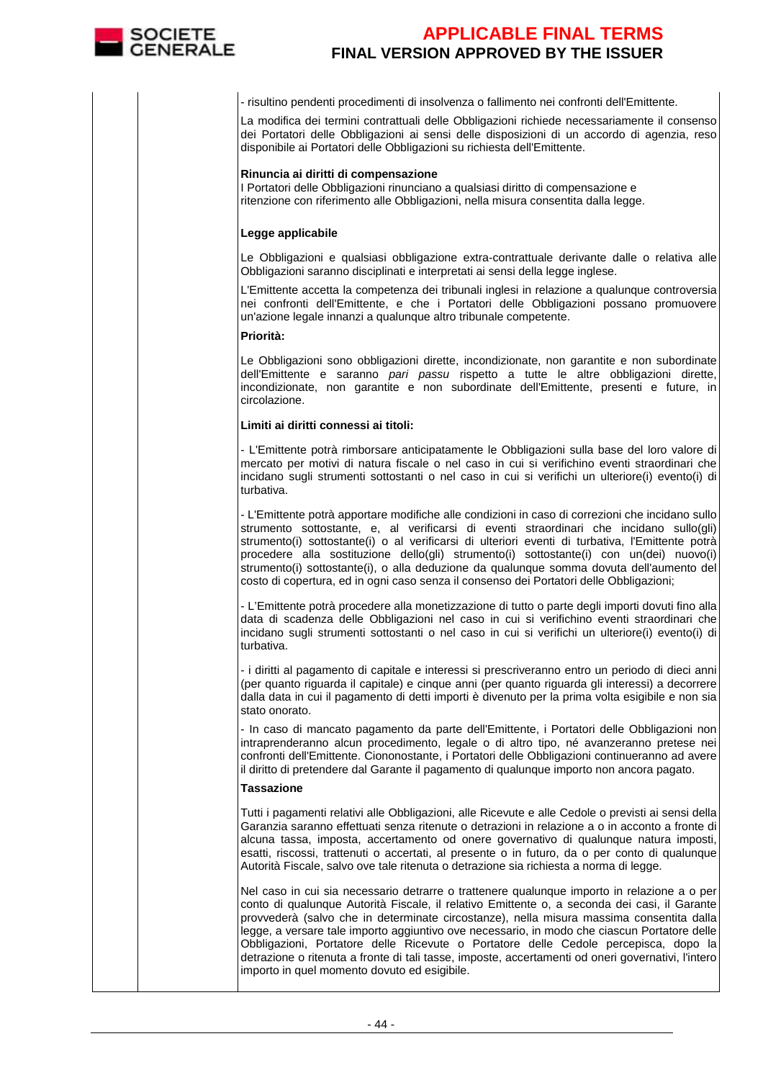

- risultino pendenti procedimenti di insolvenza o fallimento nei confronti dell'Emittente.

 La modifica dei termini contrattuali delle Obbligazioni richiede necessariamente il consenso dei Portatori delle Obbligazioni ai sensi delle disposizioni di un accordo di agenzia, reso disponibile ai Portatori delle Obbligazioni su richiesta dell'Emittente.

#### **Rinuncia ai diritti di compensazione**

I Portatori delle Obbligazioni rinunciano a qualsiasi diritto di compensazione e ritenzione con riferimento alle Obbligazioni, nella misura consentita dalla legge.

#### **Legge applicabile**

Le Obbligazioni e qualsiasi obbligazione extra-contrattuale derivante dalle o relativa alle Obbligazioni saranno disciplinati e interpretati ai sensi della legge inglese.

 L'Emittente accetta la competenza dei tribunali inglesi in relazione a qualunque controversia nei confronti dell'Emittente, e che i Portatori delle Obbligazioni possano promuovere un'azione legale innanzi a qualunque altro tribunale competente.

**Priorità:**

Le Obbligazioni sono obbligazioni dirette, incondizionate, non garantite e non subordinate dell'Emittente e saranno *pari passu* rispetto a tutte le altre obbligazioni dirette, incondizionate, non garantite e non subordinate dell'Emittente, presenti e future, in circolazione.

#### **Limiti ai diritti connessi ai titoli:**

- L'Emittente potrà rimborsare anticipatamente le Obbligazioni sulla base del loro valore di mercato per motivi di natura fiscale o nel caso in cui si verifichino eventi straordinari che incidano sugli strumenti sottostanti o nel caso in cui si verifichi un ulteriore(i) evento(i) di turbativa.

- L'Emittente potrà apportare modifiche alle condizioni in caso di correzioni che incidano sullo strumento sottostante, e, al verificarsi di eventi straordinari che incidano sullo(gli) strumento(i) sottostante(i) o al verificarsi di ulteriori eventi di turbativa, l'Emittente potrà procedere alla sostituzione dello(gli) strumento(i) sottostante(i) con un(dei) nuovo(i) strumento(i) sottostante(i), o alla deduzione da qualunque somma dovuta dell'aumento del costo di copertura, ed in ogni caso senza il consenso dei Portatori delle Obbligazioni;

- L'Emittente potrà procedere alla monetizzazione di tutto o parte degli importi dovuti fino alla data di scadenza delle Obbligazioni nel caso in cui si verifichino eventi straordinari che incidano sugli strumenti sottostanti o nel caso in cui si verifichi un ulteriore(i) evento(i) di turbativa.

- i diritti al pagamento di capitale e interessi si prescriveranno entro un periodo di dieci anni (per quanto riguarda il capitale) e cinque anni (per quanto riguarda gli interessi) a decorrere dalla data in cui il pagamento di detti importi è divenuto per la prima volta esigibile e non sia stato onorato.

 - In caso di mancato pagamento da parte dell'Emittente, i Portatori delle Obbligazioni non intraprenderanno alcun procedimento, legale o di altro tipo, né avanzeranno pretese nei confronti dell'Emittente. Ciononostante, i Portatori delle Obbligazioni continueranno ad avere il diritto di pretendere dal Garante il pagamento di qualunque importo non ancora pagato.

#### **Tassazione**

Tutti i pagamenti relativi alle Obbligazioni, alle Ricevute e alle Cedole o previsti ai sensi della Garanzia saranno effettuati senza ritenute o detrazioni in relazione a o in acconto a fronte di alcuna tassa, imposta, accertamento od onere governativo di qualunque natura imposti, esatti, riscossi, trattenuti o accertati, al presente o in futuro, da o per conto di qualunque Autorità Fiscale, salvo ove tale ritenuta o detrazione sia richiesta a norma di legge.

Nel caso in cui sia necessario detrarre o trattenere qualunque importo in relazione a o per conto di qualunque Autorità Fiscale, il relativo Emittente o, a seconda dei casi, il Garante provvederà (salvo che in determinate circostanze), nella misura massima consentita dalla legge, a versare tale importo aggiuntivo ove necessario, in modo che ciascun Portatore delle Obbligazioni, Portatore delle Ricevute o Portatore delle Cedole percepisca, dopo la detrazione o ritenuta a fronte di tali tasse, imposte, accertamenti od oneri governativi, l'intero importo in quel momento dovuto ed esigibile.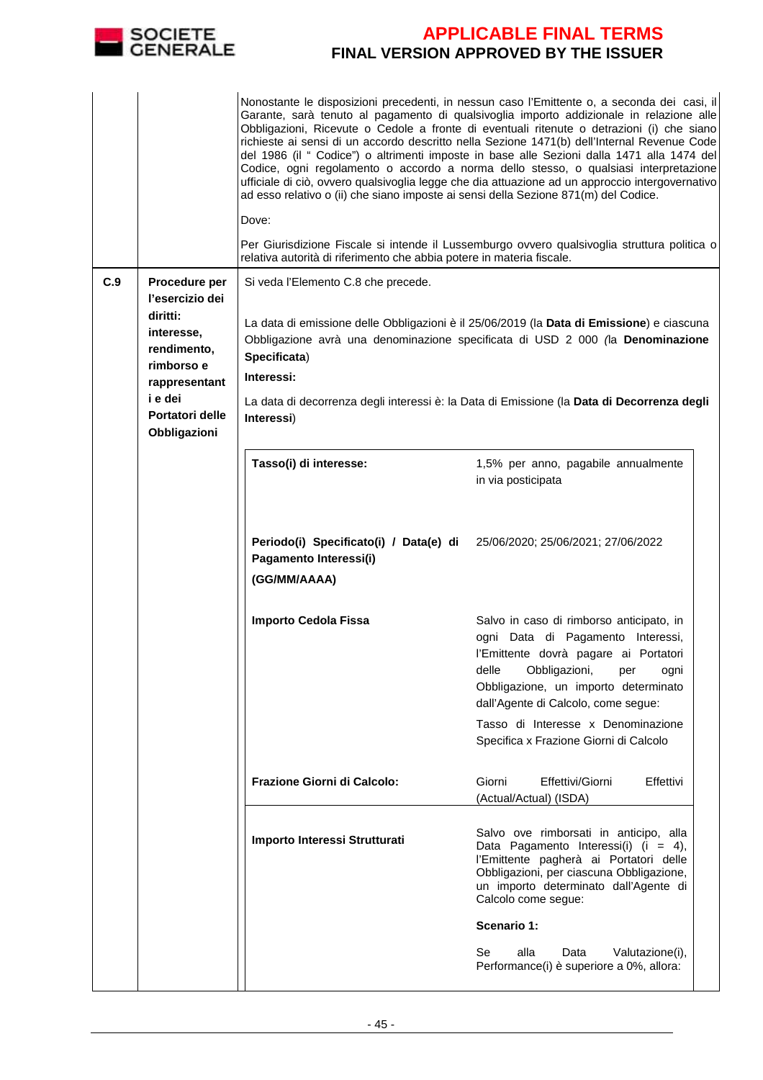

|     |                                                     | Nonostante le disposizioni precedenti, in nessun caso l'Emittente o, a seconda dei casi, il<br>Garante, sarà tenuto al pagamento di qualsivoglia importo addizionale in relazione alle<br>Obbligazioni, Ricevute o Cedole a fronte di eventuali ritenute o detrazioni (i) che siano<br>richieste ai sensi di un accordo descritto nella Sezione 1471(b) dell'Internal Revenue Code<br>del 1986 (il " Codice") o altrimenti imposte in base alle Sezioni dalla 1471 alla 1474 del<br>Codice, ogni regolamento o accordo a norma dello stesso, o qualsiasi interpretazione<br>ufficiale di ciò, ovvero qualsivoglia legge che dia attuazione ad un approccio intergovernativo<br>ad esso relativo o (ii) che siano imposte ai sensi della Sezione 871(m) del Codice.<br>Dove:<br>Per Giurisdizione Fiscale si intende il Lussemburgo ovvero qualsivoglia struttura politica o<br>relativa autorità di riferimento che abbia potere in materia fiscale. |                                                                                                                                                                                                                                                                                                                                |  |  |
|-----|-----------------------------------------------------|------------------------------------------------------------------------------------------------------------------------------------------------------------------------------------------------------------------------------------------------------------------------------------------------------------------------------------------------------------------------------------------------------------------------------------------------------------------------------------------------------------------------------------------------------------------------------------------------------------------------------------------------------------------------------------------------------------------------------------------------------------------------------------------------------------------------------------------------------------------------------------------------------------------------------------------------------|--------------------------------------------------------------------------------------------------------------------------------------------------------------------------------------------------------------------------------------------------------------------------------------------------------------------------------|--|--|
| C.9 | Procedure per<br>l'esercizio dei                    | Si veda l'Elemento C.8 che precede.                                                                                                                                                                                                                                                                                                                                                                                                                                                                                                                                                                                                                                                                                                                                                                                                                                                                                                                  |                                                                                                                                                                                                                                                                                                                                |  |  |
|     | diritti:<br>interesse,<br>rendimento,<br>rimborso e | Specificata)                                                                                                                                                                                                                                                                                                                                                                                                                                                                                                                                                                                                                                                                                                                                                                                                                                                                                                                                         | La data di emissione delle Obbligazioni è il 25/06/2019 (la Data di Emissione) e ciascuna<br>Obbligazione avrà una denominazione specificata di USD 2 000 (la Denominazione                                                                                                                                                    |  |  |
|     | rappresentant<br>i e dei                            | Interessi:                                                                                                                                                                                                                                                                                                                                                                                                                                                                                                                                                                                                                                                                                                                                                                                                                                                                                                                                           |                                                                                                                                                                                                                                                                                                                                |  |  |
|     | Portatori delle<br>Obbligazioni                     | Interessi)                                                                                                                                                                                                                                                                                                                                                                                                                                                                                                                                                                                                                                                                                                                                                                                                                                                                                                                                           | La data di decorrenza degli interessi è: la Data di Emissione (la Data di Decorrenza degli                                                                                                                                                                                                                                     |  |  |
|     |                                                     | Tasso(i) di interesse:                                                                                                                                                                                                                                                                                                                                                                                                                                                                                                                                                                                                                                                                                                                                                                                                                                                                                                                               | 1,5% per anno, pagabile annualmente<br>in via posticipata                                                                                                                                                                                                                                                                      |  |  |
|     |                                                     | Periodo(i) Specificato(i) / Data(e) di<br>Pagamento Interessi(i)<br>(GG/MM/AAAA)                                                                                                                                                                                                                                                                                                                                                                                                                                                                                                                                                                                                                                                                                                                                                                                                                                                                     | 25/06/2020; 25/06/2021; 27/06/2022                                                                                                                                                                                                                                                                                             |  |  |
|     |                                                     | <b>Importo Cedola Fissa</b>                                                                                                                                                                                                                                                                                                                                                                                                                                                                                                                                                                                                                                                                                                                                                                                                                                                                                                                          | Salvo in caso di rimborso anticipato, in<br>ogni Data di Pagamento Interessi,<br>l'Emittente dovrà pagare ai Portatori<br>delle<br>Obbligazioni,<br>per<br>ogni<br>Obbligazione, un importo determinato<br>dall'Agente di Calcolo, come segue:<br>Tasso di Interesse x Denominazione<br>Specifica x Frazione Giorni di Calcolo |  |  |
|     |                                                     | Frazione Giorni di Calcolo:                                                                                                                                                                                                                                                                                                                                                                                                                                                                                                                                                                                                                                                                                                                                                                                                                                                                                                                          | Giorni<br>Effettivi/Giorni<br>Effettivi<br>(Actual/Actual) (ISDA)                                                                                                                                                                                                                                                              |  |  |
|     |                                                     | Importo Interessi Strutturati                                                                                                                                                                                                                                                                                                                                                                                                                                                                                                                                                                                                                                                                                                                                                                                                                                                                                                                        | Salvo ove rimborsati in anticipo, alla<br>Data Pagamento Interessi(i) (i = 4),<br>l'Emittente pagherà ai Portatori delle<br>Obbligazioni, per ciascuna Obbligazione,<br>un importo determinato dall'Agente di<br>Calcolo come segue:                                                                                           |  |  |
|     |                                                     |                                                                                                                                                                                                                                                                                                                                                                                                                                                                                                                                                                                                                                                                                                                                                                                                                                                                                                                                                      | Scenario 1:                                                                                                                                                                                                                                                                                                                    |  |  |
|     |                                                     |                                                                                                                                                                                                                                                                                                                                                                                                                                                                                                                                                                                                                                                                                                                                                                                                                                                                                                                                                      | Se<br>alla<br>Data<br>Valutazione(i),<br>Performance(i) è superiore a 0%, allora:                                                                                                                                                                                                                                              |  |  |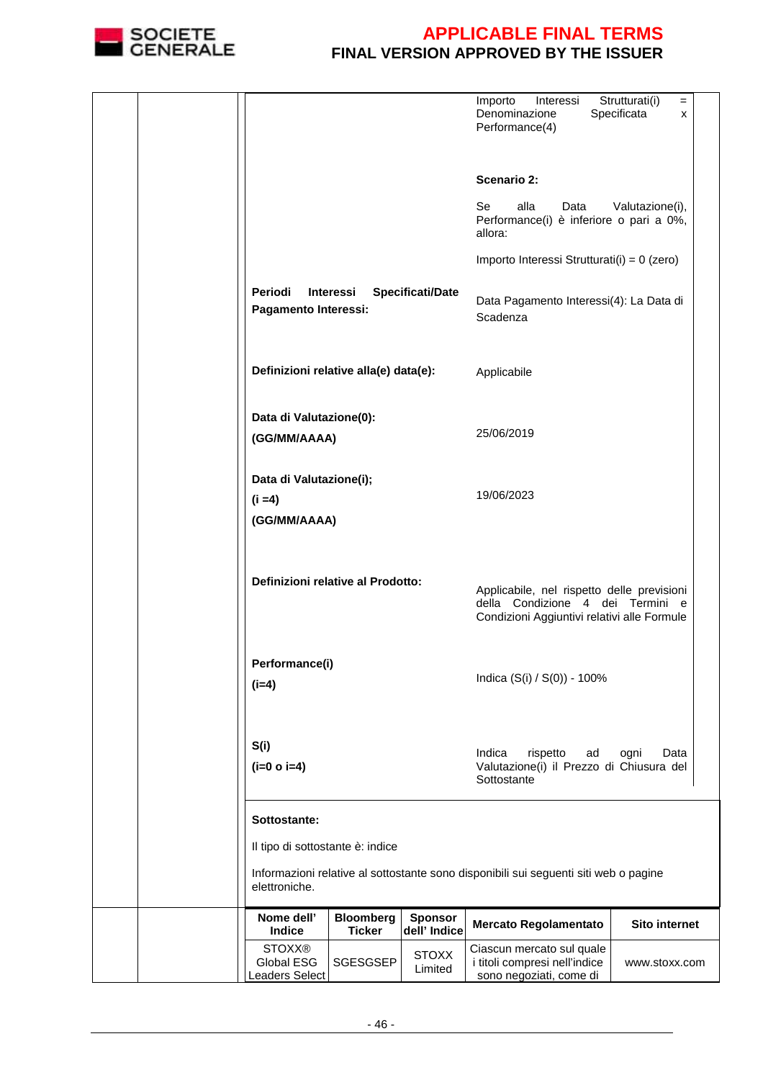

|  |                                                      |                                   |                                | Importo<br>Interessi<br>Denominazione<br>Performance(4)                                                                       | Strutturati(i)<br>$=$<br>Specificata<br>X |
|--|------------------------------------------------------|-----------------------------------|--------------------------------|-------------------------------------------------------------------------------------------------------------------------------|-------------------------------------------|
|  |                                                      |                                   |                                | Scenario 2:                                                                                                                   |                                           |
|  |                                                      |                                   |                                | Se<br>alla<br>Data<br>Performance(i) è inferiore o pari a 0%,<br>allora:                                                      | Valutazione(i),                           |
|  |                                                      |                                   |                                | Importo Interessi Strutturati(i) = 0 (zero)                                                                                   |                                           |
|  | Periodi<br>Pagamento Interessi:                      | <b>Interessi</b>                  | <b>Specificati/Date</b>        | Data Pagamento Interessi(4): La Data di<br>Scadenza                                                                           |                                           |
|  | Definizioni relative alla(e) data(e):                |                                   |                                | Applicabile                                                                                                                   |                                           |
|  | Data di Valutazione(0):<br>(GG/MM/AAAA)              |                                   |                                | 25/06/2019                                                                                                                    |                                           |
|  | Data di Valutazione(i);<br>$(i = 4)$<br>(GG/MM/AAAA) |                                   |                                | 19/06/2023                                                                                                                    |                                           |
|  | Definizioni relative al Prodotto:                    |                                   |                                | Applicabile, nel rispetto delle previsioni<br>della Condizione 4 dei Termini e<br>Condizioni Aggiuntivi relativi alle Formule |                                           |
|  | Performance(i)<br>$(i=4)$                            |                                   |                                | Indica (S(i) / S(0)) - 100%                                                                                                   |                                           |
|  | S(i)<br>$(i=0 o i=4)$                                |                                   |                                | Indica<br>rispetto<br>ad<br>Valutazione(i) il Prezzo di Chiusura del<br>Sottostante                                           | Data<br>ogni                              |
|  | Sottostante:                                         |                                   |                                |                                                                                                                               |                                           |
|  | Il tipo di sottostante è: indice<br>elettroniche.    |                                   |                                | Informazioni relative al sottostante sono disponibili sui seguenti siti web o pagine                                          |                                           |
|  | Nome dell'<br><b>Indice</b>                          | <b>Bloomberg</b><br><b>Ticker</b> | <b>Sponsor</b><br>dell' Indice | Mercato Regolamentato                                                                                                         | <b>Sito internet</b>                      |
|  | <b>STOXX®</b><br>Global ESG<br>eaders Select         | SGESGSEP                          | <b>STOXX</b><br>Limited        | Ciascun mercato sul quale<br>i titoli compresi nell'indice<br>sono negoziati, come di                                         | www.stoxx.com                             |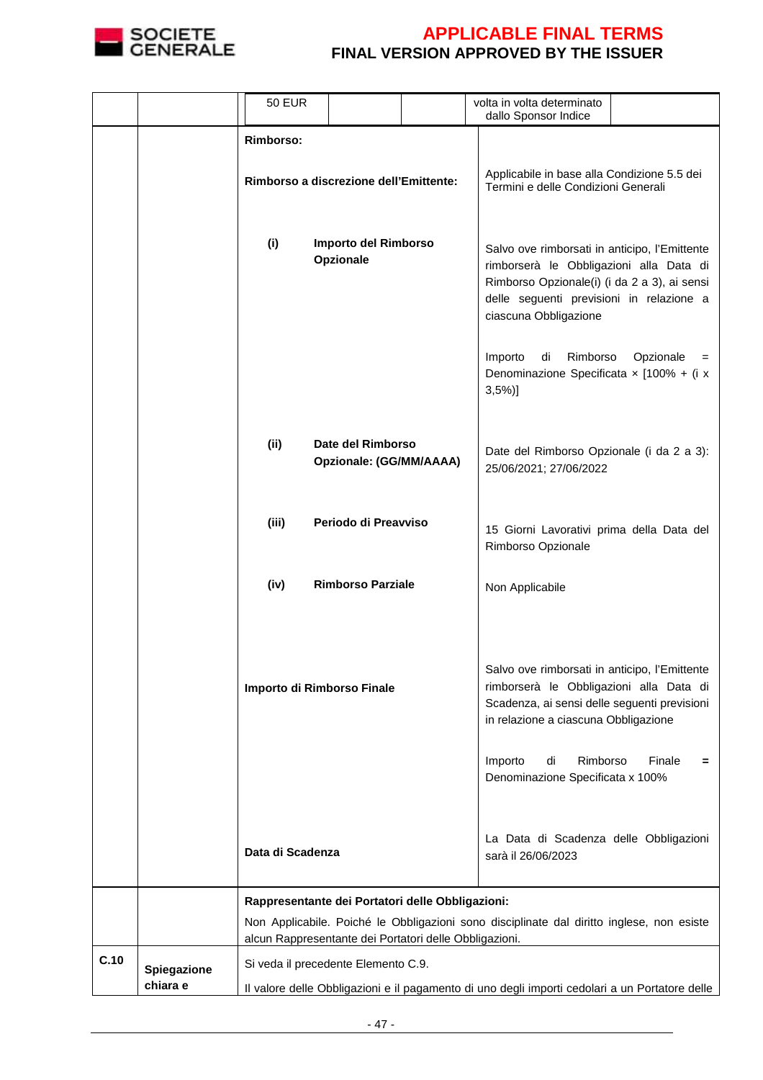

|                                 | <b>50 EUR</b>                                          |                                                                                                                                       |  | volta in volta determinato<br>dallo Sponsor Indice                                                                                                                                                                                                                                                                |             |
|---------------------------------|--------------------------------------------------------|---------------------------------------------------------------------------------------------------------------------------------------|--|-------------------------------------------------------------------------------------------------------------------------------------------------------------------------------------------------------------------------------------------------------------------------------------------------------------------|-------------|
|                                 | <b>Rimborso:</b>                                       |                                                                                                                                       |  |                                                                                                                                                                                                                                                                                                                   |             |
|                                 |                                                        | Rimborso a discrezione dell'Emittente:                                                                                                |  | Applicabile in base alla Condizione 5.5 dei<br>Termini e delle Condizioni Generali                                                                                                                                                                                                                                |             |
|                                 | (i)                                                    | Importo del Rimborso<br>Opzionale                                                                                                     |  | Salvo ove rimborsati in anticipo, l'Emittente<br>rimborserà le Obbligazioni alla Data di<br>Rimborso Opzionale(i) (i da 2 a 3), ai sensi<br>delle seguenti previsioni in relazione a<br>ciascuna Obbligazione                                                                                                     |             |
|                                 |                                                        |                                                                                                                                       |  | Importo<br>di<br>Rimborso<br>Denominazione Specificata x [100% + (i x<br>$3,5\%)$                                                                                                                                                                                                                                 | Opzionale   |
|                                 | (ii)                                                   | Date del Rimborso<br>Opzionale: (GG/MM/AAAA)                                                                                          |  | Date del Rimborso Opzionale (i da 2 a 3):<br>25/06/2021; 27/06/2022                                                                                                                                                                                                                                               |             |
|                                 | (iii)                                                  | Periodo di Preavviso                                                                                                                  |  | 15 Giorni Lavorativi prima della Data del<br>Rimborso Opzionale                                                                                                                                                                                                                                                   |             |
|                                 | (iv)                                                   | <b>Rimborso Parziale</b>                                                                                                              |  | Non Applicabile                                                                                                                                                                                                                                                                                                   |             |
|                                 | Importo di Rimborso Finale<br>Data di Scadenza         |                                                                                                                                       |  | Salvo ove rimborsati in anticipo, l'Emittente<br>rimborserà le Obbligazioni alla Data di<br>Scadenza, ai sensi delle seguenti previsioni<br>in relazione a ciascuna Obbligazione<br>Rimborso<br>Importo<br>di<br>Denominazione Specificata x 100%<br>La Data di Scadenza delle Obbligazioni<br>sarà il 26/06/2023 | Finale<br>= |
|                                 | Rappresentante dei Portatori delle Obbligazioni:       |                                                                                                                                       |  |                                                                                                                                                                                                                                                                                                                   |             |
|                                 | alcun Rappresentante dei Portatori delle Obbligazioni. |                                                                                                                                       |  | Non Applicabile. Poiché le Obbligazioni sono disciplinate dal diritto inglese, non esiste                                                                                                                                                                                                                         |             |
| C.10<br>Spiegazione<br>chiara e |                                                        | Si veda il precedente Elemento C.9.<br>Il valore delle Obbligazioni e il pagamento di uno degli importi cedolari a un Portatore delle |  |                                                                                                                                                                                                                                                                                                                   |             |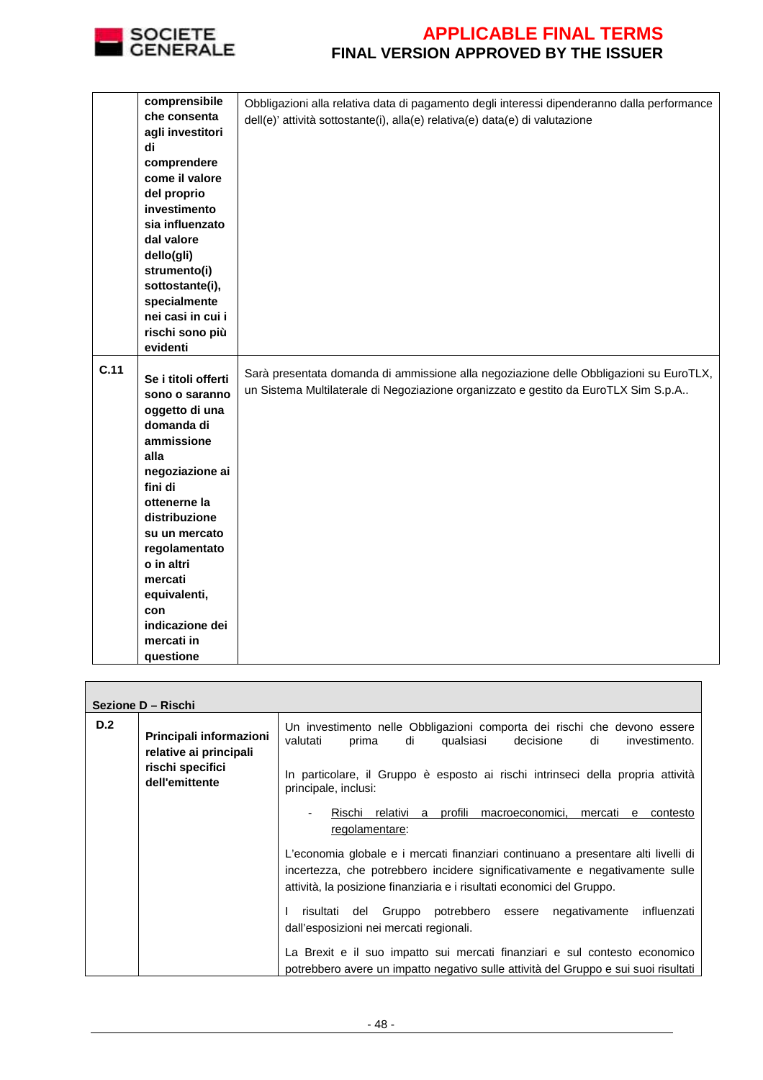

|      | comprensibile           | Obbligazioni alla relativa data di pagamento degli interessi dipenderanno dalla performance |
|------|-------------------------|---------------------------------------------------------------------------------------------|
|      | che consenta            | dell(e)' attività sottostante(i), alla(e) relativa(e) data(e) di valutazione                |
|      | agli investitori        |                                                                                             |
|      | di                      |                                                                                             |
|      | comprendere             |                                                                                             |
|      | come il valore          |                                                                                             |
|      | del proprio             |                                                                                             |
|      | investimento            |                                                                                             |
|      | sia influenzato         |                                                                                             |
|      | dal valore              |                                                                                             |
|      | dello(gli)              |                                                                                             |
|      | strumento(i)            |                                                                                             |
|      | sottostante(i),         |                                                                                             |
|      | specialmente            |                                                                                             |
|      | nei casi in cui i       |                                                                                             |
|      | rischi sono più         |                                                                                             |
|      | evidenti                |                                                                                             |
| C.11 |                         |                                                                                             |
|      | Se i titoli offerti     | Sarà presentata domanda di ammissione alla negoziazione delle Obbligazioni su EuroTLX,      |
|      | sono o saranno          | un Sistema Multilaterale di Negoziazione organizzato e gestito da EuroTLX Sim S.p.A         |
|      | oggetto di una          |                                                                                             |
|      | domanda di              |                                                                                             |
|      | ammissione              |                                                                                             |
|      | alla                    |                                                                                             |
|      | negoziazione ai         |                                                                                             |
|      | fini di                 |                                                                                             |
|      | ottenerne la            |                                                                                             |
|      | distribuzione           |                                                                                             |
|      | su un mercato           |                                                                                             |
|      | regolamentato           |                                                                                             |
|      | o in altri              |                                                                                             |
|      | mercati                 |                                                                                             |
|      | equivalenti,            |                                                                                             |
|      | con                     |                                                                                             |
|      | indicazione dei         |                                                                                             |
|      |                         |                                                                                             |
|      | mercati in<br>questione |                                                                                             |

|     | Sezione D - Rischi                                |                                                                                                                                                                                                                                             |  |  |  |  |  |
|-----|---------------------------------------------------|---------------------------------------------------------------------------------------------------------------------------------------------------------------------------------------------------------------------------------------------|--|--|--|--|--|
| D.2 | Principali informazioni<br>relative ai principali | Un investimento nelle Obbligazioni comporta dei rischi che devono essere<br>di<br>decisione<br>valutati<br>prima<br>qualsiasi<br>di<br>investimento.                                                                                        |  |  |  |  |  |
|     | rischi specifici<br>dell'emittente                | In particolare, il Gruppo è esposto ai rischi intrinseci della propria attività<br>principale, inclusi:                                                                                                                                     |  |  |  |  |  |
|     |                                                   | Rischi relativi a profili macroeconomici, mercati<br>contesto<br>e –<br>regolamentare:                                                                                                                                                      |  |  |  |  |  |
|     |                                                   | L'economia globale e i mercati finanziari continuano a presentare alti livelli di<br>incertezza, che potrebbero incidere significativamente e negativamente sulle<br>attività, la posizione finanziaria e i risultati economici del Gruppo. |  |  |  |  |  |
|     |                                                   | potrebbero essere<br>del Gruppo<br>negativamente<br>influenzati<br>risultati<br>dall'esposizioni nei mercati regionali.                                                                                                                     |  |  |  |  |  |
|     |                                                   | La Brexit e il suo impatto sui mercati finanziari e sul contesto economico<br>potrebbero avere un impatto negativo sulle attività del Gruppo e sui suoi risultati                                                                           |  |  |  |  |  |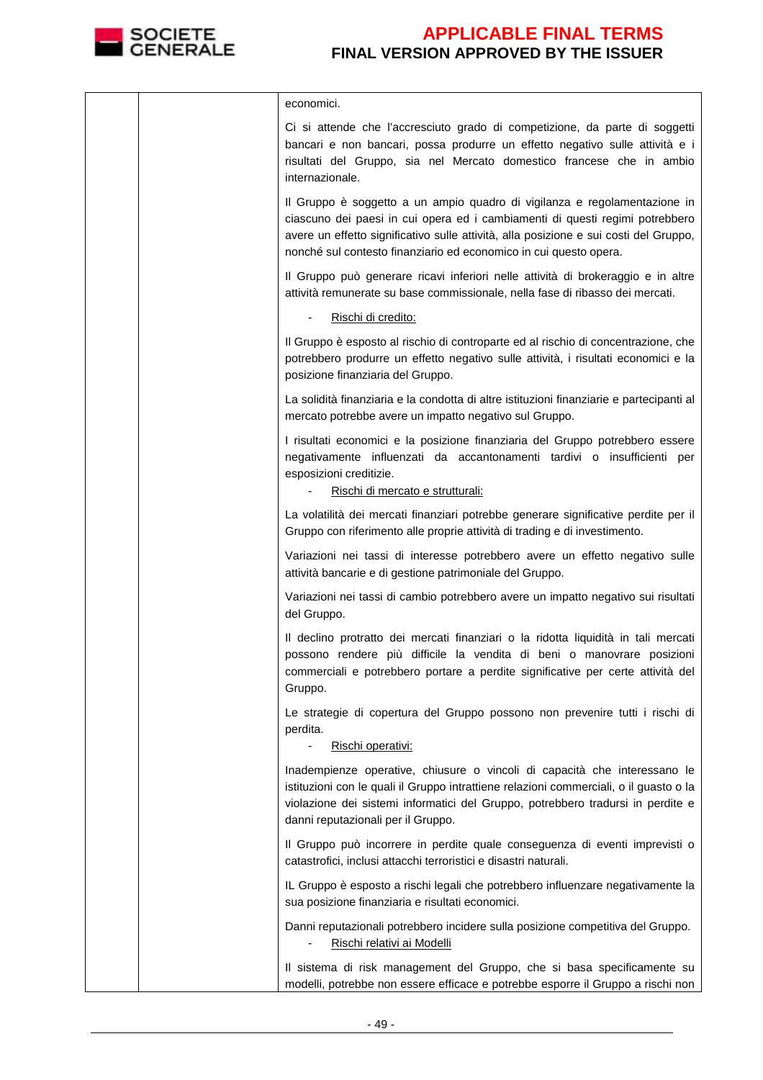

| economici.                                                                                                                                                                                                                                                                                                              |
|-------------------------------------------------------------------------------------------------------------------------------------------------------------------------------------------------------------------------------------------------------------------------------------------------------------------------|
| Ci si attende che l'accresciuto grado di competizione, da parte di soggetti<br>bancari e non bancari, possa produrre un effetto negativo sulle attività e i<br>risultati del Gruppo, sia nel Mercato domestico francese che in ambio<br>internazionale.                                                                 |
| Il Gruppo è soggetto a un ampio quadro di vigilanza e regolamentazione in<br>ciascuno dei paesi in cui opera ed i cambiamenti di questi regimi potrebbero<br>avere un effetto significativo sulle attività, alla posizione e sui costi del Gruppo,<br>nonché sul contesto finanziario ed economico in cui questo opera. |
| Il Gruppo può generare ricavi inferiori nelle attività di brokeraggio e in altre<br>attività remunerate su base commissionale, nella fase di ribasso dei mercati.                                                                                                                                                       |
| Rischi di credito:                                                                                                                                                                                                                                                                                                      |
| Il Gruppo è esposto al rischio di controparte ed al rischio di concentrazione, che<br>potrebbero produrre un effetto negativo sulle attività, i risultati economici e la<br>posizione finanziaria del Gruppo.                                                                                                           |
| La solidità finanziaria e la condotta di altre istituzioni finanziarie e partecipanti al<br>mercato potrebbe avere un impatto negativo sul Gruppo.                                                                                                                                                                      |
| I risultati economici e la posizione finanziaria del Gruppo potrebbero essere<br>negativamente influenzati da accantonamenti tardivi o insufficienti per<br>esposizioni creditizie.<br>Rischi di mercato e strutturali:                                                                                                 |
| La volatilità dei mercati finanziari potrebbe generare significative perdite per il<br>Gruppo con riferimento alle proprie attività di trading e di investimento.                                                                                                                                                       |
| Variazioni nei tassi di interesse potrebbero avere un effetto negativo sulle<br>attività bancarie e di gestione patrimoniale del Gruppo.                                                                                                                                                                                |
| Variazioni nei tassi di cambio potrebbero avere un impatto negativo sui risultati<br>del Gruppo.                                                                                                                                                                                                                        |
| Il declino protratto dei mercati finanziari o la ridotta liquidità in tali mercati<br>possono rendere più difficile la vendita di beni o manovrare posizioni<br>commerciali e potrebbero portare a perdite significative per certe attività del<br>Gruppo.                                                              |
| Le strategie di copertura del Gruppo possono non prevenire tutti i rischi di<br>perdita.                                                                                                                                                                                                                                |
| Rischi operativi:                                                                                                                                                                                                                                                                                                       |
| Inadempienze operative, chiusure o vincoli di capacità che interessano le<br>istituzioni con le quali il Gruppo intrattiene relazioni commerciali, o il guasto o la<br>violazione dei sistemi informatici del Gruppo, potrebbero tradursi in perdite e<br>danni reputazionali per il Gruppo.                            |
| Il Gruppo può incorrere in perdite quale conseguenza di eventi imprevisti o<br>catastrofici, inclusi attacchi terroristici e disastri naturali.                                                                                                                                                                         |
| IL Gruppo è esposto a rischi legali che potrebbero influenzare negativamente la<br>sua posizione finanziaria e risultati economici.                                                                                                                                                                                     |
| Danni reputazionali potrebbero incidere sulla posizione competitiva del Gruppo.<br>Rischi relativi ai Modelli                                                                                                                                                                                                           |
| Il sistema di risk management del Gruppo, che si basa specificamente su<br>modelli, potrebbe non essere efficace e potrebbe esporre il Gruppo a rischi non                                                                                                                                                              |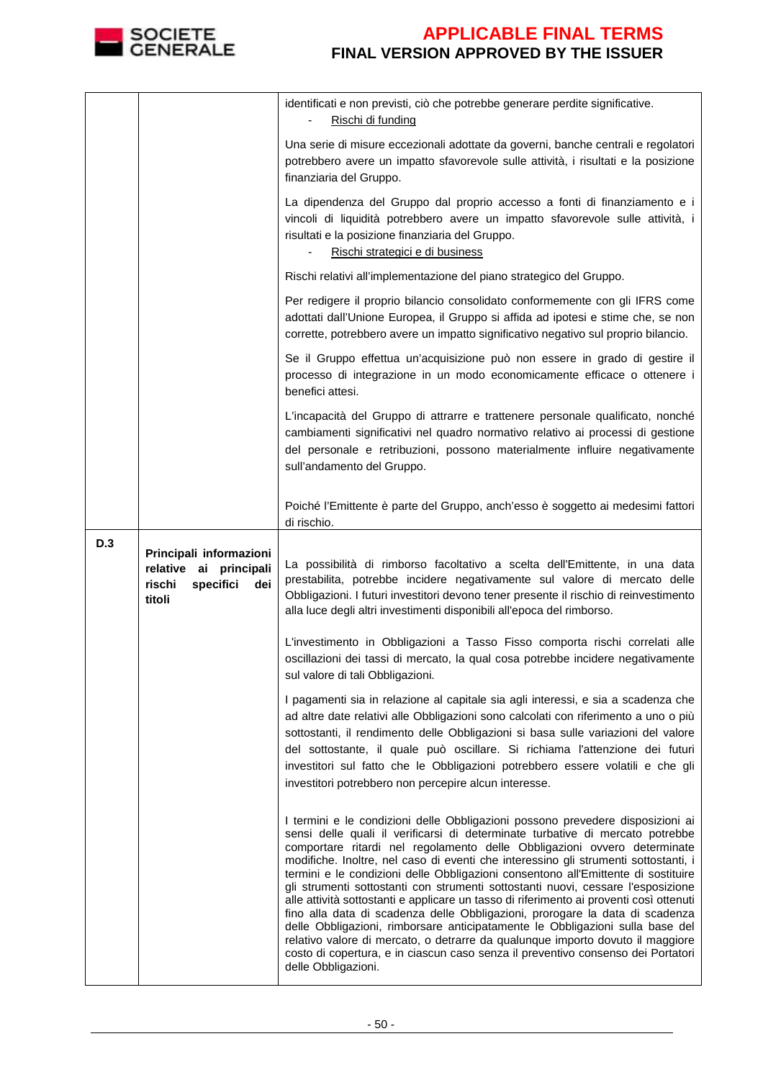

|     |                                                                                           | identificati e non previsti, ciò che potrebbe generare perdite significative.<br>Rischi di funding                                                                                                                                                                                                                                                                                                                                                                                                                                                                                                                                                                                                                                                                                                                                                        |
|-----|-------------------------------------------------------------------------------------------|-----------------------------------------------------------------------------------------------------------------------------------------------------------------------------------------------------------------------------------------------------------------------------------------------------------------------------------------------------------------------------------------------------------------------------------------------------------------------------------------------------------------------------------------------------------------------------------------------------------------------------------------------------------------------------------------------------------------------------------------------------------------------------------------------------------------------------------------------------------|
|     |                                                                                           | Una serie di misure eccezionali adottate da governi, banche centrali e regolatori<br>potrebbero avere un impatto sfavorevole sulle attività, i risultati e la posizione<br>finanziaria del Gruppo.                                                                                                                                                                                                                                                                                                                                                                                                                                                                                                                                                                                                                                                        |
|     |                                                                                           | La dipendenza del Gruppo dal proprio accesso a fonti di finanziamento e i<br>vincoli di liquidità potrebbero avere un impatto sfavorevole sulle attività, i<br>risultati e la posizione finanziaria del Gruppo.<br>Rischi strategici e di business                                                                                                                                                                                                                                                                                                                                                                                                                                                                                                                                                                                                        |
|     |                                                                                           | Rischi relativi all'implementazione del piano strategico del Gruppo.                                                                                                                                                                                                                                                                                                                                                                                                                                                                                                                                                                                                                                                                                                                                                                                      |
|     |                                                                                           | Per redigere il proprio bilancio consolidato conformemente con gli IFRS come<br>adottati dall'Unione Europea, il Gruppo si affida ad ipotesi e stime che, se non<br>corrette, potrebbero avere un impatto significativo negativo sul proprio bilancio.                                                                                                                                                                                                                                                                                                                                                                                                                                                                                                                                                                                                    |
|     |                                                                                           | Se il Gruppo effettua un'acquisizione può non essere in grado di gestire il<br>processo di integrazione in un modo economicamente efficace o ottenere i<br>benefici attesi.                                                                                                                                                                                                                                                                                                                                                                                                                                                                                                                                                                                                                                                                               |
|     |                                                                                           | L'incapacità del Gruppo di attrarre e trattenere personale qualificato, nonché<br>cambiamenti significativi nel quadro normativo relativo ai processi di gestione<br>del personale e retribuzioni, possono materialmente influire negativamente<br>sull'andamento del Gruppo.                                                                                                                                                                                                                                                                                                                                                                                                                                                                                                                                                                             |
|     |                                                                                           | Poiché l'Emittente è parte del Gruppo, anch'esso è soggetto ai medesimi fattori<br>di rischio.                                                                                                                                                                                                                                                                                                                                                                                                                                                                                                                                                                                                                                                                                                                                                            |
| D.3 | Principali informazioni<br>relative ai principali<br>rischi<br>specifici<br>dei<br>titoli | La possibilità di rimborso facoltativo a scelta dell'Emittente, in una data<br>prestabilita, potrebbe incidere negativamente sul valore di mercato delle<br>Obbligazioni. I futuri investitori devono tener presente il rischio di reinvestimento<br>alla luce degli altri investimenti disponibili all'epoca del rimborso.                                                                                                                                                                                                                                                                                                                                                                                                                                                                                                                               |
|     |                                                                                           | L'investimento in Obbligazioni a Tasso Fisso comporta rischi correlati alle<br>oscillazioni dei tassi di mercato, la qual cosa potrebbe incidere negativamente<br>sul valore di tali Obbligazioni.                                                                                                                                                                                                                                                                                                                                                                                                                                                                                                                                                                                                                                                        |
|     |                                                                                           | I pagamenti sia in relazione al capitale sia agli interessi, e sia a scadenza che<br>ad altre date relativi alle Obbligazioni sono calcolati con riferimento a uno o più<br>sottostanti, il rendimento delle Obbligazioni si basa sulle variazioni del valore<br>del sottostante, il quale può oscillare. Si richiama l'attenzione dei futuri<br>investitori sul fatto che le Obbligazioni potrebbero essere volatili e che gli<br>investitori potrebbero non percepire alcun interesse.                                                                                                                                                                                                                                                                                                                                                                  |
|     |                                                                                           | I termini e le condizioni delle Obbligazioni possono prevedere disposizioni ai<br>sensi delle quali il verificarsi di determinate turbative di mercato potrebbe<br>comportare ritardi nel regolamento delle Obbligazioni ovvero determinate<br>modifiche. Inoltre, nel caso di eventi che interessino gli strumenti sottostanti, i<br>termini e le condizioni delle Obbligazioni consentono all'Emittente di sostituire<br>gli strumenti sottostanti con strumenti sottostanti nuovi, cessare l'esposizione<br>alle attività sottostanti e applicare un tasso di riferimento ai proventi così ottenuti<br>fino alla data di scadenza delle Obbligazioni, prorogare la data di scadenza<br>delle Obbligazioni, rimborsare anticipatamente le Obbligazioni sulla base del<br>relativo valore di mercato, o detrarre da qualunque importo dovuto il maggiore |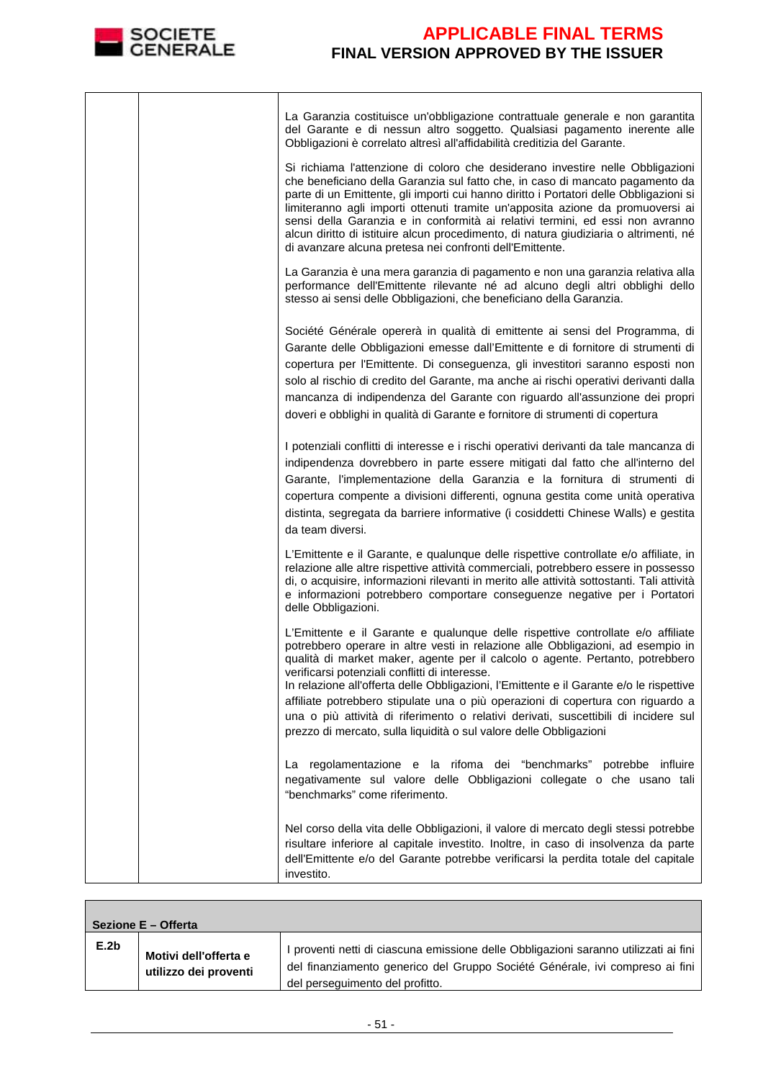

 $\overline{1}$ 

### **APPLICABLE FINAL TERMS FINAL VERSION APPROVED BY THE ISSUER**

|  | La Garanzia costituisce un'obbligazione contrattuale generale e non garantita<br>del Garante e di nessun altro soggetto. Qualsiasi pagamento inerente alle<br>Obbligazioni è correlato altresì all'affidabilità creditizia del Garante.                                                                                                                                                                                                                                                                                                                                                                                                          |
|--|--------------------------------------------------------------------------------------------------------------------------------------------------------------------------------------------------------------------------------------------------------------------------------------------------------------------------------------------------------------------------------------------------------------------------------------------------------------------------------------------------------------------------------------------------------------------------------------------------------------------------------------------------|
|  | Si richiama l'attenzione di coloro che desiderano investire nelle Obbligazioni<br>che beneficiano della Garanzia sul fatto che, in caso di mancato pagamento da<br>parte di un Emittente, gli importi cui hanno diritto i Portatori delle Obbligazioni si<br>limiteranno agli importi ottenuti tramite un'apposita azione da promuoversi ai<br>sensi della Garanzia e in conformità ai relativi termini, ed essi non avranno<br>alcun diritto di istituire alcun procedimento, di natura giudiziaria o altrimenti, né<br>di avanzare alcuna pretesa nei confronti dell'Emittente.                                                                |
|  | La Garanzia è una mera garanzia di pagamento e non una garanzia relativa alla<br>performance dell'Emittente rilevante né ad alcuno degli altri obblighi dello<br>stesso ai sensi delle Obbligazioni, che beneficiano della Garanzia.                                                                                                                                                                                                                                                                                                                                                                                                             |
|  | Société Générale opererà in qualità di emittente ai sensi del Programma, di<br>Garante delle Obbligazioni emesse dall'Emittente e di fornitore di strumenti di<br>copertura per l'Emittente. Di conseguenza, gli investitori saranno esposti non<br>solo al rischio di credito del Garante, ma anche ai rischi operativi derivanti dalla<br>mancanza di indipendenza del Garante con riguardo all'assunzione dei propri<br>doveri e obblighi in qualità di Garante e fornitore di strumenti di copertura                                                                                                                                         |
|  | I potenziali conflitti di interesse e i rischi operativi derivanti da tale mancanza di<br>indipendenza dovrebbero in parte essere mitigati dal fatto che all'interno del<br>Garante, l'implementazione della Garanzia e la fornitura di strumenti di<br>copertura compente a divisioni differenti, ognuna gestita come unità operativa<br>distinta, segregata da barriere informative (i cosiddetti Chinese Walls) e gestita<br>da team diversi.                                                                                                                                                                                                 |
|  | L'Emittente e il Garante, e qualunque delle rispettive controllate e/o affiliate, in<br>relazione alle altre rispettive attività commerciali, potrebbero essere in possesso<br>di, o acquisire, informazioni rilevanti in merito alle attività sottostanti. Tali attività<br>e informazioni potrebbero comportare conseguenze negative per i Portatori<br>delle Obbligazioni.                                                                                                                                                                                                                                                                    |
|  | L'Emittente e il Garante e qualunque delle rispettive controllate e/o affiliate<br>potrebbero operare in altre vesti in relazione alle Obbligazioni, ad esempio in<br>qualità di market maker, agente per il calcolo o agente. Pertanto, potrebbero<br>verificarsi potenziali conflitti di interesse.<br>In relazione all'offerta delle Obbligazioni, l'Emittente e il Garante e/o le rispettive<br>affiliate potrebbero stipulate una o più operazioni di copertura con riguardo a<br>una o più attività di riferimento o relativi derivati, suscettibili di incidere sul<br>prezzo di mercato, sulla liquidità o sul valore delle Obbligazioni |
|  | La regolamentazione e la rifoma dei "benchmarks" potrebbe influire<br>negativamente sul valore delle Obbligazioni collegate o che usano tali<br>"benchmarks" come riferimento.                                                                                                                                                                                                                                                                                                                                                                                                                                                                   |
|  | Nel corso della vita delle Obbligazioni, il valore di mercato degli stessi potrebbe<br>risultare inferiore al capitale investito. Inoltre, in caso di insolvenza da parte<br>dell'Emittente e/o del Garante potrebbe verificarsi la perdita totale del capitale<br>investito.                                                                                                                                                                                                                                                                                                                                                                    |

| Sezione E – Offerta |                                                |                                                                                                                                                                                                         |
|---------------------|------------------------------------------------|---------------------------------------------------------------------------------------------------------------------------------------------------------------------------------------------------------|
| E.2b                | Motivi dell'offerta e<br>utilizzo dei proventi | I proventi netti di ciascuna emissione delle Obbligazioni saranno utilizzati ai fini<br>del finanziamento generico del Gruppo Société Générale, ivi compreso ai fini<br>del perseguimento del profitto. |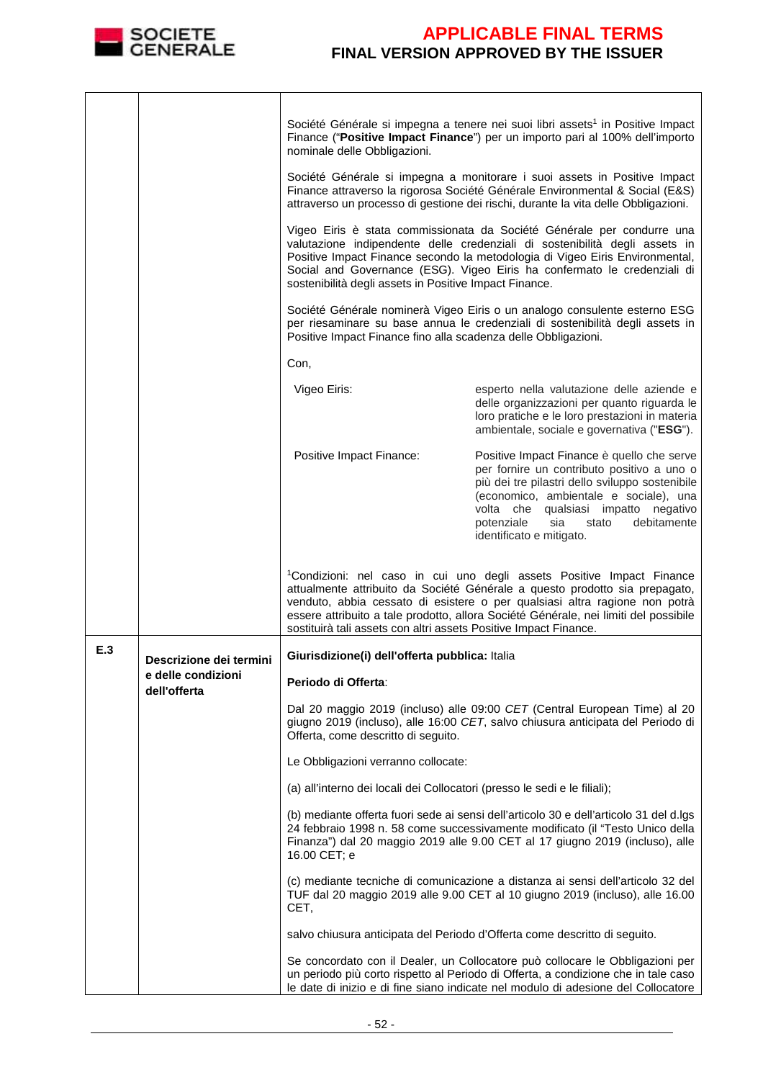

|     |                                    | nominale delle Obbligazioni.                                              | Société Générale si impegna a tenere nei suoi libri assets <sup>1</sup> in Positive Impact<br>Finance ("Positive Impact Finance") per un importo pari al 100% dell'importo                                                                                                                                                             |
|-----|------------------------------------|---------------------------------------------------------------------------|----------------------------------------------------------------------------------------------------------------------------------------------------------------------------------------------------------------------------------------------------------------------------------------------------------------------------------------|
|     |                                    |                                                                           | Société Générale si impegna a monitorare i suoi assets in Positive Impact<br>Finance attraverso la rigorosa Société Générale Environmental & Social (E&S)<br>attraverso un processo di gestione dei rischi, durante la vita delle Obbligazioni.                                                                                        |
|     |                                    | sostenibilità degli assets in Positive Impact Finance.                    | Vigeo Eiris è stata commissionata da Société Générale per condurre una<br>valutazione indipendente delle credenziali di sostenibilità degli assets in<br>Positive Impact Finance secondo la metodologia di Vigeo Eiris Environmental,<br>Social and Governance (ESG). Vigeo Eiris ha confermato le credenziali di                      |
|     |                                    | Positive Impact Finance fino alla scadenza delle Obbligazioni.            | Société Générale nominerà Vigeo Eiris o un analogo consulente esterno ESG<br>per riesaminare su base annua le credenziali di sostenibilità degli assets in                                                                                                                                                                             |
|     |                                    | Con,                                                                      |                                                                                                                                                                                                                                                                                                                                        |
|     |                                    | Vigeo Eiris:                                                              | esperto nella valutazione delle aziende e<br>delle organizzazioni per quanto riguarda le<br>loro pratiche e le loro prestazioni in materia<br>ambientale, sociale e governativa ("ESG").                                                                                                                                               |
|     |                                    | Positive Impact Finance:                                                  | Positive Impact Finance è quello che serve<br>per fornire un contributo positivo a uno o<br>più dei tre pilastri dello sviluppo sostenibile<br>(economico, ambientale e sociale), una<br>volta che qualsiasi impatto negativo<br>sia<br>debitamente<br>potenziale<br>stato<br>identificato e mitigato.                                 |
|     |                                    | sostituirà tali assets con altri assets Positive Impact Finance.          | <sup>1</sup> Condizioni: nel caso in cui uno degli assets Positive Impact Finance<br>attualmente attribuito da Société Générale a questo prodotto sia prepagato,<br>venduto, abbia cessato di esistere o per qualsiasi altra ragione non potrà<br>essere attribuito a tale prodotto, allora Société Générale, nei limiti del possibile |
| E.3 | Descrizione dei termini            | Giurisdizione(i) dell'offerta pubblica: Italia                            |                                                                                                                                                                                                                                                                                                                                        |
|     | e delle condizioni<br>dell'offerta | Periodo di Offerta:                                                       |                                                                                                                                                                                                                                                                                                                                        |
|     |                                    | Offerta, come descritto di seguito.                                       | Dal 20 maggio 2019 (incluso) alle 09:00 CET (Central European Time) al 20<br>giugno 2019 (incluso), alle 16:00 CET, salvo chiusura anticipata del Periodo di                                                                                                                                                                           |
|     |                                    | Le Obbligazioni verranno collocate:                                       |                                                                                                                                                                                                                                                                                                                                        |
|     |                                    | (a) all'interno dei locali dei Collocatori (presso le sedi e le filiali); |                                                                                                                                                                                                                                                                                                                                        |
|     |                                    | 16.00 CET; e                                                              | (b) mediante offerta fuori sede ai sensi dell'articolo 30 e dell'articolo 31 del d.lgs<br>24 febbraio 1998 n. 58 come successivamente modificato (il "Testo Unico della<br>Finanza") dal 20 maggio 2019 alle 9.00 CET al 17 giugno 2019 (incluso), alle                                                                                |
|     |                                    | CET,                                                                      | (c) mediante tecniche di comunicazione a distanza ai sensi dell'articolo 32 del<br>TUF dal 20 maggio 2019 alle 9.00 CET al 10 giugno 2019 (incluso), alle 16.00                                                                                                                                                                        |
|     |                                    |                                                                           | salvo chiusura anticipata del Periodo d'Offerta come descritto di seguito.                                                                                                                                                                                                                                                             |
|     |                                    |                                                                           | Se concordato con il Dealer, un Collocatore può collocare le Obbligazioni per<br>un periodo più corto rispetto al Periodo di Offerta, a condizione che in tale caso<br>le date di inizio e di fine siano indicate nel modulo di adesione del Collocatore                                                                               |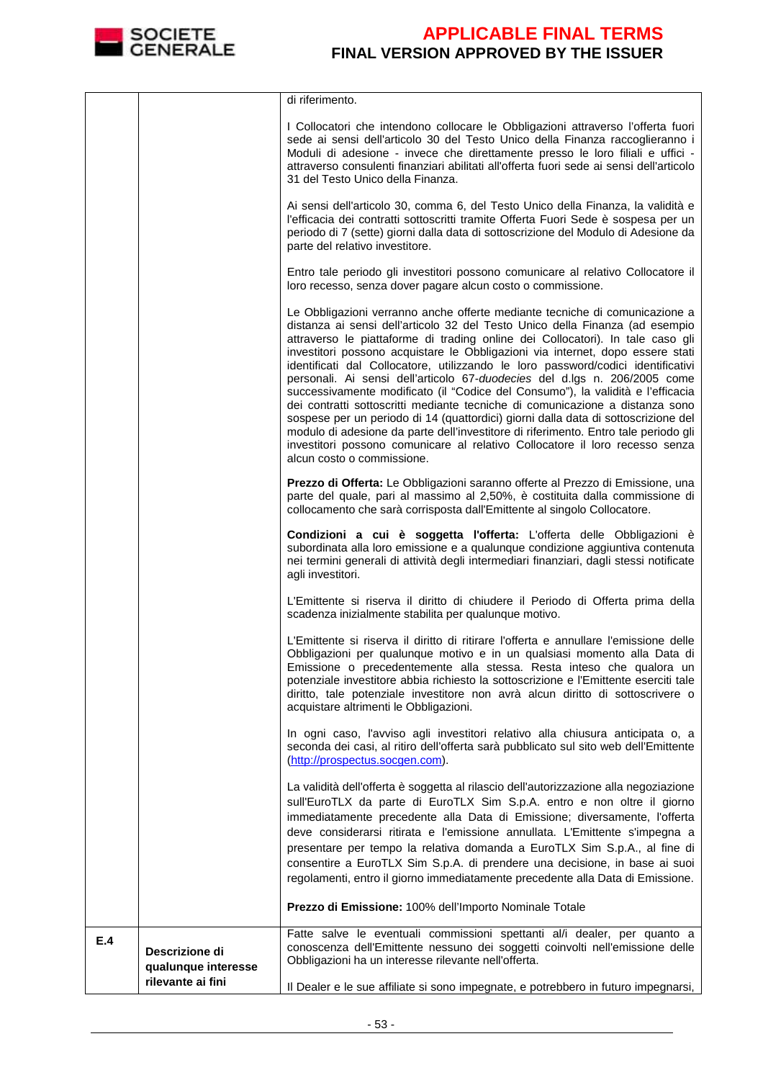

|     |                                                            | di riferimento.                                                                                                                                                                                                                                                                                                                                                                                                                                                                                                                                                                                                                                                                                                                                                                                                                                                                                                                                                 |
|-----|------------------------------------------------------------|-----------------------------------------------------------------------------------------------------------------------------------------------------------------------------------------------------------------------------------------------------------------------------------------------------------------------------------------------------------------------------------------------------------------------------------------------------------------------------------------------------------------------------------------------------------------------------------------------------------------------------------------------------------------------------------------------------------------------------------------------------------------------------------------------------------------------------------------------------------------------------------------------------------------------------------------------------------------|
|     |                                                            | I Collocatori che intendono collocare le Obbligazioni attraverso l'offerta fuori<br>sede ai sensi dell'articolo 30 del Testo Unico della Finanza raccoglieranno i<br>Moduli di adesione - invece che direttamente presso le loro filiali e uffici -<br>attraverso consulenti finanziari abilitati all'offerta fuori sede ai sensi dell'articolo<br>31 del Testo Unico della Finanza.                                                                                                                                                                                                                                                                                                                                                                                                                                                                                                                                                                            |
|     |                                                            | Ai sensi dell'articolo 30, comma 6, del Testo Unico della Finanza, la validità e<br>l'efficacia dei contratti sottoscritti tramite Offerta Fuori Sede è sospesa per un<br>periodo di 7 (sette) giorni dalla data di sottoscrizione del Modulo di Adesione da<br>parte del relativo investitore.                                                                                                                                                                                                                                                                                                                                                                                                                                                                                                                                                                                                                                                                 |
|     |                                                            | Entro tale periodo gli investitori possono comunicare al relativo Collocatore il<br>loro recesso, senza dover pagare alcun costo o commissione.                                                                                                                                                                                                                                                                                                                                                                                                                                                                                                                                                                                                                                                                                                                                                                                                                 |
|     |                                                            | Le Obbligazioni verranno anche offerte mediante tecniche di comunicazione a<br>distanza ai sensi dell'articolo 32 del Testo Unico della Finanza (ad esempio<br>attraverso le piattaforme di trading online dei Collocatori). In tale caso gli<br>investitori possono acquistare le Obbligazioni via internet, dopo essere stati<br>identificati dal Collocatore, utilizzando le loro password/codici identificativi<br>personali. Ai sensi dell'articolo 67-duodecies del d.lgs n. 206/2005 come<br>successivamente modificato (il "Codice del Consumo"), la validità e l'efficacia<br>dei contratti sottoscritti mediante tecniche di comunicazione a distanza sono<br>sospese per un periodo di 14 (quattordici) giorni dalla data di sottoscrizione del<br>modulo di adesione da parte dell'investitore di riferimento. Entro tale periodo gli<br>investitori possono comunicare al relativo Collocatore il loro recesso senza<br>alcun costo o commissione. |
|     |                                                            | Prezzo di Offerta: Le Obbligazioni saranno offerte al Prezzo di Emissione, una<br>parte del quale, pari al massimo al 2,50%, è costituita dalla commissione di<br>collocamento che sarà corrisposta dall'Emittente al singolo Collocatore.                                                                                                                                                                                                                                                                                                                                                                                                                                                                                                                                                                                                                                                                                                                      |
|     |                                                            | Condizioni a cui è soggetta l'offerta: L'offerta delle Obbligazioni è<br>subordinata alla loro emissione e a qualunque condizione aggiuntiva contenuta<br>nei termini generali di attività degli intermediari finanziari, dagli stessi notificate<br>agli investitori.                                                                                                                                                                                                                                                                                                                                                                                                                                                                                                                                                                                                                                                                                          |
|     |                                                            | L'Emittente si riserva il diritto di chiudere il Periodo di Offerta prima della<br>scadenza inizialmente stabilita per qualunque motivo.                                                                                                                                                                                                                                                                                                                                                                                                                                                                                                                                                                                                                                                                                                                                                                                                                        |
|     |                                                            | L'Emittente si riserva il diritto di ritirare l'offerta e annullare l'emissione delle<br>Obbligazioni per qualunque motivo e in un qualsiasi momento alla Data di<br>Emissione o precedentemente alla stessa. Resta inteso che qualora un<br>potenziale investitore abbia richiesto la sottoscrizione e l'Emittente eserciti tale<br>diritto, tale potenziale investitore non avrà alcun diritto di sottoscrivere o<br>acquistare altrimenti le Obbligazioni.                                                                                                                                                                                                                                                                                                                                                                                                                                                                                                   |
|     |                                                            | In ogni caso, l'avviso agli investitori relativo alla chiusura anticipata o, a<br>seconda dei casi, al ritiro dell'offerta sarà pubblicato sul sito web dell'Emittente<br>(http://prospectus.socgen.com).                                                                                                                                                                                                                                                                                                                                                                                                                                                                                                                                                                                                                                                                                                                                                       |
|     |                                                            | La validità dell'offerta è soggetta al rilascio dell'autorizzazione alla negoziazione<br>sull'EuroTLX da parte di EuroTLX Sim S.p.A. entro e non oltre il giorno<br>immediatamente precedente alla Data di Emissione; diversamente, l'offerta<br>deve considerarsi ritirata e l'emissione annullata. L'Emittente s'impegna a<br>presentare per tempo la relativa domanda a EuroTLX Sim S.p.A., al fine di<br>consentire a EuroTLX Sim S.p.A. di prendere una decisione, in base ai suoi<br>regolamenti, entro il giorno immediatamente precedente alla Data di Emissione.                                                                                                                                                                                                                                                                                                                                                                                       |
|     |                                                            | Prezzo di Emissione: 100% dell'Importo Nominale Totale                                                                                                                                                                                                                                                                                                                                                                                                                                                                                                                                                                                                                                                                                                                                                                                                                                                                                                          |
| E.4 | Descrizione di<br>qualunque interesse<br>rilevante ai fini | Fatte salve le eventuali commissioni spettanti al/i dealer, per quanto a<br>conoscenza dell'Emittente nessuno dei soggetti coinvolti nell'emissione delle<br>Obbligazioni ha un interesse rilevante nell'offerta.                                                                                                                                                                                                                                                                                                                                                                                                                                                                                                                                                                                                                                                                                                                                               |
|     |                                                            | Il Dealer e le sue affiliate si sono impegnate, e potrebbero in futuro impegnarsi,                                                                                                                                                                                                                                                                                                                                                                                                                                                                                                                                                                                                                                                                                                                                                                                                                                                                              |